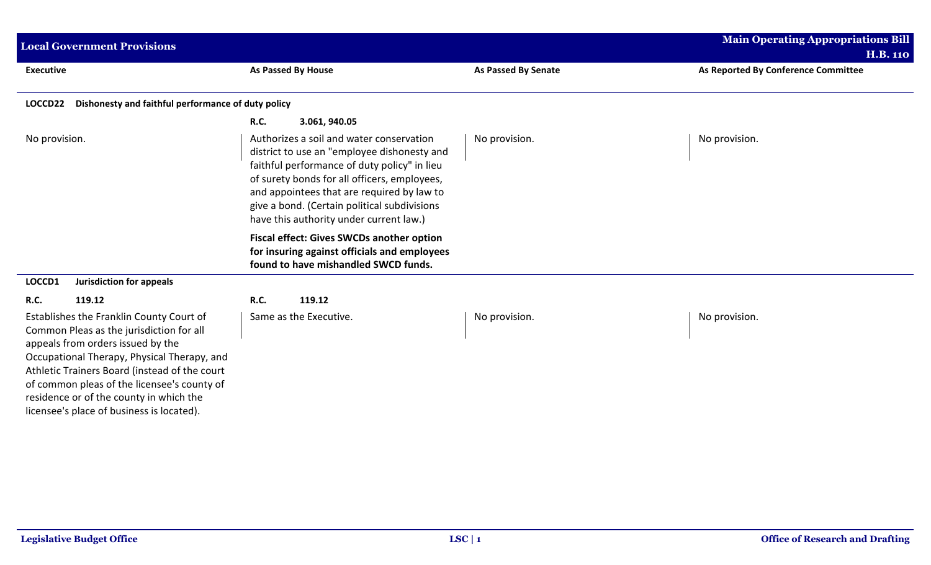| <b>Local Government Provisions</b>                                                                                                                                                                                                                                                                                                                               |                                                                                                                                                                                                                                                                                                                                  |                            | <b>Main Operating Appropriations Bill</b><br><b>H.B. 110</b> |  |
|------------------------------------------------------------------------------------------------------------------------------------------------------------------------------------------------------------------------------------------------------------------------------------------------------------------------------------------------------------------|----------------------------------------------------------------------------------------------------------------------------------------------------------------------------------------------------------------------------------------------------------------------------------------------------------------------------------|----------------------------|--------------------------------------------------------------|--|
| <b>Executive</b>                                                                                                                                                                                                                                                                                                                                                 | As Passed By House                                                                                                                                                                                                                                                                                                               | <b>As Passed By Senate</b> | As Reported By Conference Committee                          |  |
| Dishonesty and faithful performance of duty policy<br>LOCCD22                                                                                                                                                                                                                                                                                                    |                                                                                                                                                                                                                                                                                                                                  |                            |                                                              |  |
|                                                                                                                                                                                                                                                                                                                                                                  | <b>R.C.</b><br>3.061, 940.05                                                                                                                                                                                                                                                                                                     |                            |                                                              |  |
| No provision.                                                                                                                                                                                                                                                                                                                                                    | Authorizes a soil and water conservation<br>district to use an "employee dishonesty and<br>faithful performance of duty policy" in lieu<br>of surety bonds for all officers, employees,<br>and appointees that are required by law to<br>give a bond. (Certain political subdivisions<br>have this authority under current law.) | No provision.              | No provision.                                                |  |
|                                                                                                                                                                                                                                                                                                                                                                  | <b>Fiscal effect: Gives SWCDs another option</b><br>for insuring against officials and employees<br>found to have mishandled SWCD funds.                                                                                                                                                                                         |                            |                                                              |  |
| LOCCD1<br>Jurisdiction for appeals                                                                                                                                                                                                                                                                                                                               |                                                                                                                                                                                                                                                                                                                                  |                            |                                                              |  |
| 119.12<br><b>R.C.</b>                                                                                                                                                                                                                                                                                                                                            | 119.12<br><b>R.C.</b>                                                                                                                                                                                                                                                                                                            |                            |                                                              |  |
| Establishes the Franklin County Court of<br>Common Pleas as the jurisdiction for all<br>appeals from orders issued by the<br>Occupational Therapy, Physical Therapy, and<br>Athletic Trainers Board (instead of the court<br>of common pleas of the licensee's county of<br>residence or of the county in which the<br>licensee's place of business is located). | Same as the Executive.                                                                                                                                                                                                                                                                                                           | No provision.              | No provision.                                                |  |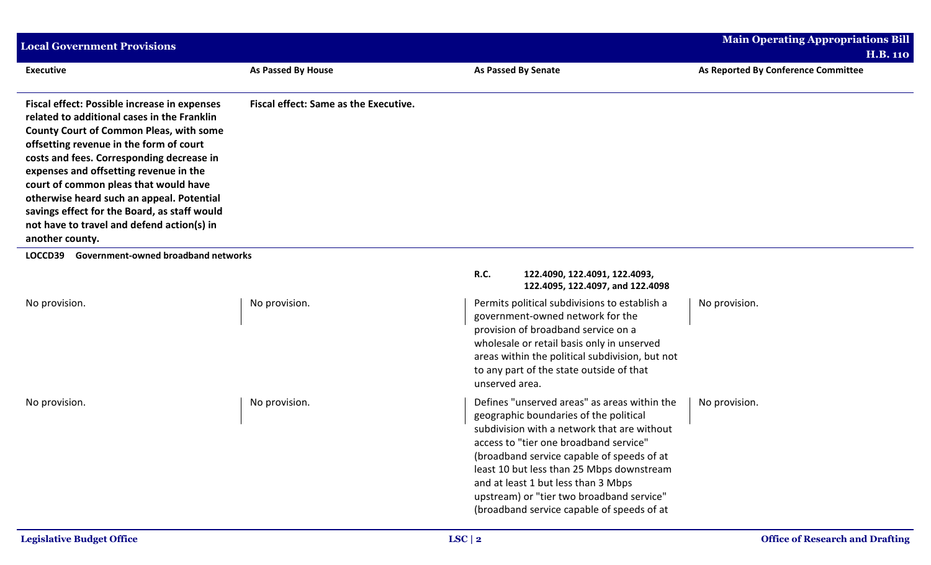| <b>Local Government Provisions</b>                                                                                                                                                                                                                                                                                                                                                                                                                                                            |                                              |                                                                                                                                                                                                                                                                                                                                                                                                              | Main Operating Appropriations Bill  |
|-----------------------------------------------------------------------------------------------------------------------------------------------------------------------------------------------------------------------------------------------------------------------------------------------------------------------------------------------------------------------------------------------------------------------------------------------------------------------------------------------|----------------------------------------------|--------------------------------------------------------------------------------------------------------------------------------------------------------------------------------------------------------------------------------------------------------------------------------------------------------------------------------------------------------------------------------------------------------------|-------------------------------------|
|                                                                                                                                                                                                                                                                                                                                                                                                                                                                                               |                                              |                                                                                                                                                                                                                                                                                                                                                                                                              | <b>H.B. 110</b>                     |
| <b>Executive</b>                                                                                                                                                                                                                                                                                                                                                                                                                                                                              | As Passed By House                           | <b>As Passed By Senate</b>                                                                                                                                                                                                                                                                                                                                                                                   | As Reported By Conference Committee |
| <b>Fiscal effect: Possible increase in expenses</b><br>related to additional cases in the Franklin<br><b>County Court of Common Pleas, with some</b><br>offsetting revenue in the form of court<br>costs and fees. Corresponding decrease in<br>expenses and offsetting revenue in the<br>court of common pleas that would have<br>otherwise heard such an appeal. Potential<br>savings effect for the Board, as staff would<br>not have to travel and defend action(s) in<br>another county. | <b>Fiscal effect: Same as the Executive.</b> |                                                                                                                                                                                                                                                                                                                                                                                                              |                                     |
| Government-owned broadband networks<br>LOCCD39                                                                                                                                                                                                                                                                                                                                                                                                                                                |                                              |                                                                                                                                                                                                                                                                                                                                                                                                              |                                     |
|                                                                                                                                                                                                                                                                                                                                                                                                                                                                                               |                                              | R.C.<br>122.4090, 122.4091, 122.4093,<br>122.4095, 122.4097, and 122.4098                                                                                                                                                                                                                                                                                                                                    |                                     |
| No provision.                                                                                                                                                                                                                                                                                                                                                                                                                                                                                 | No provision.                                | Permits political subdivisions to establish a<br>government-owned network for the<br>provision of broadband service on a<br>wholesale or retail basis only in unserved<br>areas within the political subdivision, but not<br>to any part of the state outside of that<br>unserved area.                                                                                                                      | No provision.                       |
| No provision.                                                                                                                                                                                                                                                                                                                                                                                                                                                                                 | No provision.                                | Defines "unserved areas" as areas within the<br>geographic boundaries of the political<br>subdivision with a network that are without<br>access to "tier one broadband service"<br>(broadband service capable of speeds of at<br>least 10 but less than 25 Mbps downstream<br>and at least 1 but less than 3 Mbps<br>upstream) or "tier two broadband service"<br>(broadband service capable of speeds of at | No provision.                       |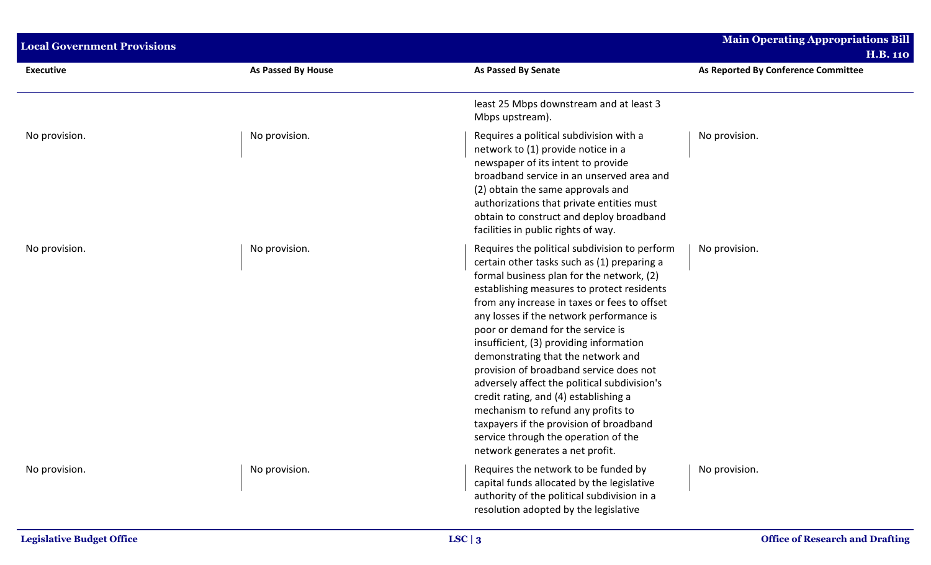| <b>Local Government Provisions</b> |                           |                                                                                                                                                                                                                                                                                                                                                                                                                                                                                                                                                                                                                                                                                                           | <b>Main Operating Appropriations Bill</b><br><b>H.B. 110</b> |
|------------------------------------|---------------------------|-----------------------------------------------------------------------------------------------------------------------------------------------------------------------------------------------------------------------------------------------------------------------------------------------------------------------------------------------------------------------------------------------------------------------------------------------------------------------------------------------------------------------------------------------------------------------------------------------------------------------------------------------------------------------------------------------------------|--------------------------------------------------------------|
| <b>Executive</b>                   | <b>As Passed By House</b> | <b>As Passed By Senate</b>                                                                                                                                                                                                                                                                                                                                                                                                                                                                                                                                                                                                                                                                                | As Reported By Conference Committee                          |
|                                    |                           | least 25 Mbps downstream and at least 3<br>Mbps upstream).                                                                                                                                                                                                                                                                                                                                                                                                                                                                                                                                                                                                                                                |                                                              |
| No provision.                      | No provision.             | Requires a political subdivision with a<br>network to (1) provide notice in a<br>newspaper of its intent to provide<br>broadband service in an unserved area and<br>(2) obtain the same approvals and<br>authorizations that private entities must<br>obtain to construct and deploy broadband<br>facilities in public rights of way.                                                                                                                                                                                                                                                                                                                                                                     | No provision.                                                |
| No provision.                      | No provision.             | Requires the political subdivision to perform<br>certain other tasks such as (1) preparing a<br>formal business plan for the network, (2)<br>establishing measures to protect residents<br>from any increase in taxes or fees to offset<br>any losses if the network performance is<br>poor or demand for the service is<br>insufficient, (3) providing information<br>demonstrating that the network and<br>provision of broadband service does not<br>adversely affect the political subdivision's<br>credit rating, and (4) establishing a<br>mechanism to refund any profits to<br>taxpayers if the provision of broadband<br>service through the operation of the<br>network generates a net profit. | No provision.                                                |
| No provision.                      | No provision.             | Requires the network to be funded by<br>capital funds allocated by the legislative<br>authority of the political subdivision in a<br>resolution adopted by the legislative                                                                                                                                                                                                                                                                                                                                                                                                                                                                                                                                | No provision.                                                |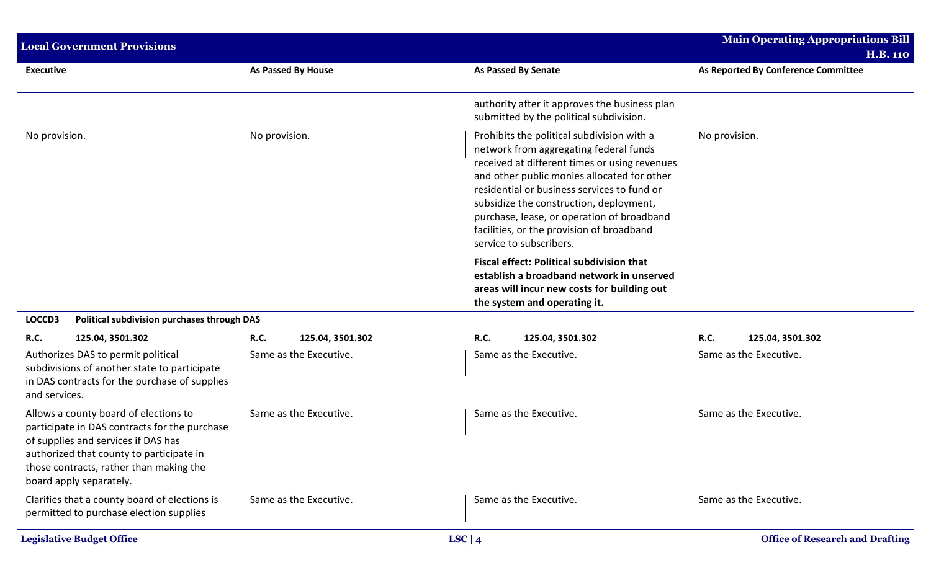| <b>Local Government Provisions</b>                                                                                                                                                                                                              |                           |                                                                                                                                                                                                                                                                                                                                                                                                      | <b>Main Operating Appropriations Bill</b><br><b>H.B. 110</b> |
|-------------------------------------------------------------------------------------------------------------------------------------------------------------------------------------------------------------------------------------------------|---------------------------|------------------------------------------------------------------------------------------------------------------------------------------------------------------------------------------------------------------------------------------------------------------------------------------------------------------------------------------------------------------------------------------------------|--------------------------------------------------------------|
| <b>Executive</b>                                                                                                                                                                                                                                | <b>As Passed By House</b> | <b>As Passed By Senate</b>                                                                                                                                                                                                                                                                                                                                                                           | As Reported By Conference Committee                          |
|                                                                                                                                                                                                                                                 |                           | authority after it approves the business plan<br>submitted by the political subdivision.                                                                                                                                                                                                                                                                                                             |                                                              |
| No provision.                                                                                                                                                                                                                                   | No provision.             | Prohibits the political subdivision with a<br>network from aggregating federal funds<br>received at different times or using revenues<br>and other public monies allocated for other<br>residential or business services to fund or<br>subsidize the construction, deployment,<br>purchase, lease, or operation of broadband<br>facilities, or the provision of broadband<br>service to subscribers. | No provision.                                                |
|                                                                                                                                                                                                                                                 |                           | <b>Fiscal effect: Political subdivision that</b><br>establish a broadband network in unserved<br>areas will incur new costs for building out<br>the system and operating it.                                                                                                                                                                                                                         |                                                              |
| LOCCD3<br>Political subdivision purchases through DAS                                                                                                                                                                                           |                           |                                                                                                                                                                                                                                                                                                                                                                                                      |                                                              |
| <b>R.C.</b><br>125.04, 3501.302                                                                                                                                                                                                                 | R.C.<br>125.04, 3501.302  | R.C.<br>125.04, 3501.302                                                                                                                                                                                                                                                                                                                                                                             | R.C.<br>125.04, 3501.302                                     |
| Authorizes DAS to permit political<br>subdivisions of another state to participate<br>in DAS contracts for the purchase of supplies<br>and services.                                                                                            | Same as the Executive.    | Same as the Executive.                                                                                                                                                                                                                                                                                                                                                                               | Same as the Executive.                                       |
| Allows a county board of elections to<br>participate in DAS contracts for the purchase<br>of supplies and services if DAS has<br>authorized that county to participate in<br>those contracts, rather than making the<br>board apply separately. | Same as the Executive.    | Same as the Executive.                                                                                                                                                                                                                                                                                                                                                                               | Same as the Executive.                                       |
| Clarifies that a county board of elections is<br>permitted to purchase election supplies                                                                                                                                                        | Same as the Executive.    | Same as the Executive.                                                                                                                                                                                                                                                                                                                                                                               | Same as the Executive.                                       |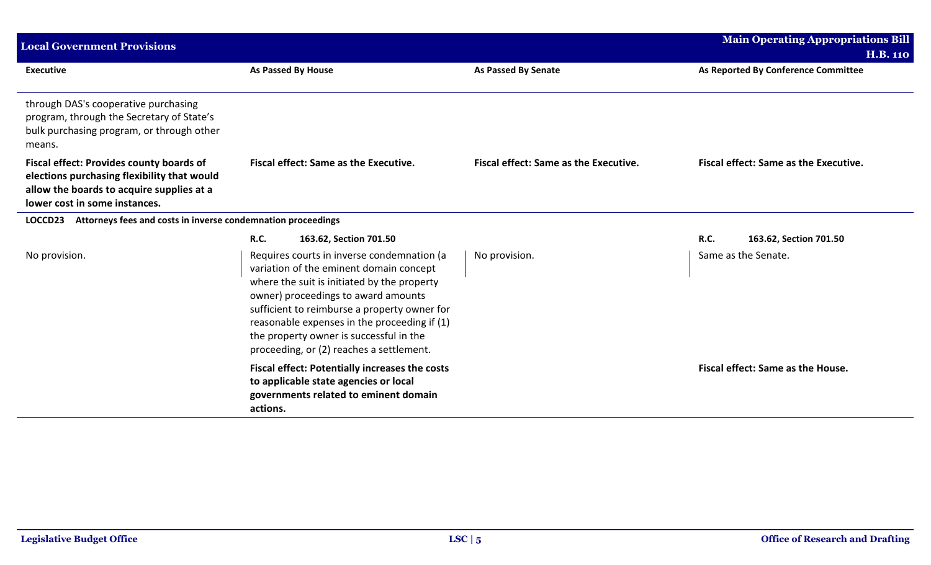| <b>Local Government Provisions</b>                                                                                                                                           |                                                                                                                                                                                                                                                                                                                                                                    |                                              | <b>Main Operating Appropriations Bill</b> |
|------------------------------------------------------------------------------------------------------------------------------------------------------------------------------|--------------------------------------------------------------------------------------------------------------------------------------------------------------------------------------------------------------------------------------------------------------------------------------------------------------------------------------------------------------------|----------------------------------------------|-------------------------------------------|
|                                                                                                                                                                              |                                                                                                                                                                                                                                                                                                                                                                    |                                              | <b>H.B. 110</b>                           |
| <b>Executive</b>                                                                                                                                                             | <b>As Passed By House</b>                                                                                                                                                                                                                                                                                                                                          | <b>As Passed By Senate</b>                   | As Reported By Conference Committee       |
| through DAS's cooperative purchasing<br>program, through the Secretary of State's<br>bulk purchasing program, or through other<br>means.                                     |                                                                                                                                                                                                                                                                                                                                                                    |                                              |                                           |
| <b>Fiscal effect: Provides county boards of</b><br>elections purchasing flexibility that would<br>allow the boards to acquire supplies at a<br>lower cost in some instances. | <b>Fiscal effect: Same as the Executive.</b>                                                                                                                                                                                                                                                                                                                       | <b>Fiscal effect: Same as the Executive.</b> | Fiscal effect: Same as the Executive.     |
| Attorneys fees and costs in inverse condemnation proceedings<br>LOCCD23                                                                                                      |                                                                                                                                                                                                                                                                                                                                                                    |                                              |                                           |
|                                                                                                                                                                              | <b>R.C.</b><br>163.62, Section 701.50                                                                                                                                                                                                                                                                                                                              |                                              | <b>R.C.</b><br>163.62, Section 701.50     |
| No provision.                                                                                                                                                                | Requires courts in inverse condemnation (a<br>variation of the eminent domain concept<br>where the suit is initiated by the property<br>owner) proceedings to award amounts<br>sufficient to reimburse a property owner for<br>reasonable expenses in the proceeding if (1)<br>the property owner is successful in the<br>proceeding, or (2) reaches a settlement. | No provision.                                | Same as the Senate.                       |
|                                                                                                                                                                              | <b>Fiscal effect: Potentially increases the costs</b><br>to applicable state agencies or local<br>governments related to eminent domain<br>actions.                                                                                                                                                                                                                |                                              | Fiscal effect: Same as the House.         |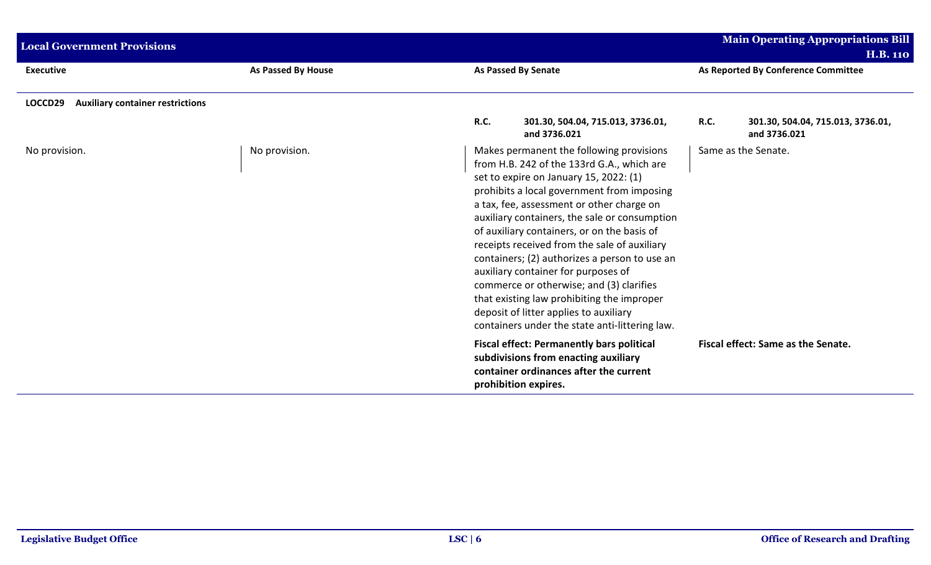| <b>Local Government Provisions</b>                 |                           |             |                                                                                                                                                                                                                                                                                                                                                                                                                                                                                                                                                                                                                                                           |             | <b>Main Operating Appropriations Bill</b>         |
|----------------------------------------------------|---------------------------|-------------|-----------------------------------------------------------------------------------------------------------------------------------------------------------------------------------------------------------------------------------------------------------------------------------------------------------------------------------------------------------------------------------------------------------------------------------------------------------------------------------------------------------------------------------------------------------------------------------------------------------------------------------------------------------|-------------|---------------------------------------------------|
|                                                    |                           |             |                                                                                                                                                                                                                                                                                                                                                                                                                                                                                                                                                                                                                                                           |             | <b>H.B. 110</b>                                   |
| <b>Executive</b>                                   | <b>As Passed By House</b> |             | As Passed By Senate                                                                                                                                                                                                                                                                                                                                                                                                                                                                                                                                                                                                                                       |             | As Reported By Conference Committee               |
| <b>Auxiliary container restrictions</b><br>LOCCD29 |                           |             |                                                                                                                                                                                                                                                                                                                                                                                                                                                                                                                                                                                                                                                           |             |                                                   |
|                                                    |                           | <b>R.C.</b> | 301.30, 504.04, 715.013, 3736.01,<br>and 3736.021                                                                                                                                                                                                                                                                                                                                                                                                                                                                                                                                                                                                         | <b>R.C.</b> | 301.30, 504.04, 715.013, 3736.01,<br>and 3736.021 |
| No provision.                                      | No provision.             |             | Makes permanent the following provisions<br>from H.B. 242 of the 133rd G.A., which are<br>set to expire on January 15, 2022: (1)<br>prohibits a local government from imposing<br>a tax, fee, assessment or other charge on<br>auxiliary containers, the sale or consumption<br>of auxiliary containers, or on the basis of<br>receipts received from the sale of auxiliary<br>containers; (2) authorizes a person to use an<br>auxiliary container for purposes of<br>commerce or otherwise; and (3) clarifies<br>that existing law prohibiting the improper<br>deposit of litter applies to auxiliary<br>containers under the state anti-littering law. |             | Same as the Senate.                               |
|                                                    |                           |             | <b>Fiscal effect: Permanently bars political</b><br>subdivisions from enacting auxiliary<br>container ordinances after the current<br>prohibition expires.                                                                                                                                                                                                                                                                                                                                                                                                                                                                                                |             | Fiscal effect: Same as the Senate.                |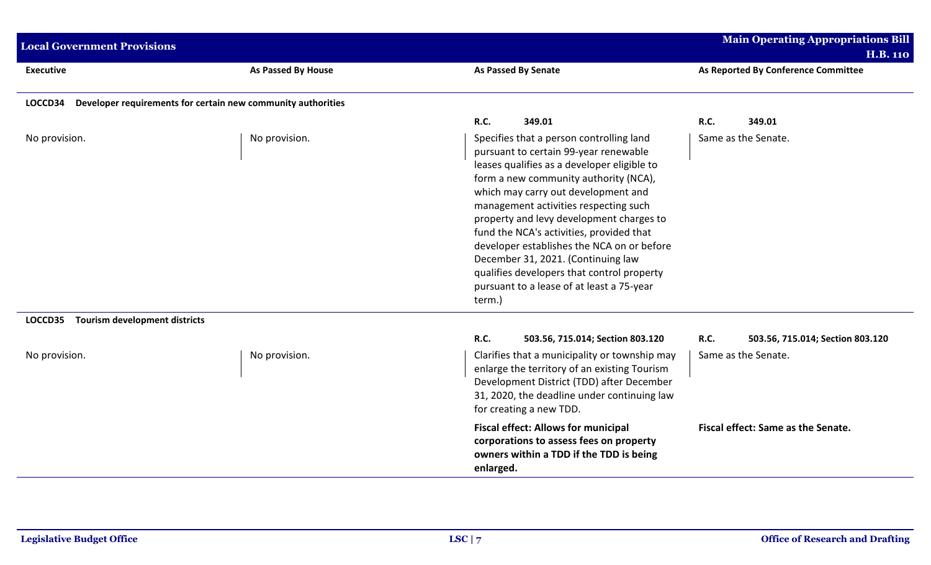| <b>Local Government Provisions</b>                                      |                    |                                                                                                                                                                                                                                                                                                                                                                                                                                                                                                                                            | <b>Main Operating Appropriations Bill</b><br><b>H.B. 110</b>    |
|-------------------------------------------------------------------------|--------------------|--------------------------------------------------------------------------------------------------------------------------------------------------------------------------------------------------------------------------------------------------------------------------------------------------------------------------------------------------------------------------------------------------------------------------------------------------------------------------------------------------------------------------------------------|-----------------------------------------------------------------|
| <b>Executive</b>                                                        | As Passed By House | <b>As Passed By Senate</b>                                                                                                                                                                                                                                                                                                                                                                                                                                                                                                                 | As Reported By Conference Committee                             |
| Developer requirements for certain new community authorities<br>LOCCD34 |                    |                                                                                                                                                                                                                                                                                                                                                                                                                                                                                                                                            |                                                                 |
|                                                                         |                    | 349.01<br><b>R.C.</b>                                                                                                                                                                                                                                                                                                                                                                                                                                                                                                                      | <b>R.C.</b><br>349.01                                           |
| No provision.                                                           | No provision.      | Specifies that a person controlling land<br>pursuant to certain 99-year renewable<br>leases qualifies as a developer eligible to<br>form a new community authority (NCA),<br>which may carry out development and<br>management activities respecting such<br>property and levy development charges to<br>fund the NCA's activities, provided that<br>developer establishes the NCA on or before<br>December 31, 2021. (Continuing law<br>qualifies developers that control property<br>pursuant to a lease of at least a 75-year<br>term.) | Same as the Senate.                                             |
| <b>Tourism development districts</b><br>LOCCD35                         |                    |                                                                                                                                                                                                                                                                                                                                                                                                                                                                                                                                            |                                                                 |
| No provision.                                                           | No provision.      | <b>R.C.</b><br>503.56, 715.014; Section 803.120<br>Clarifies that a municipality or township may<br>enlarge the territory of an existing Tourism<br>Development District (TDD) after December<br>31, 2020, the deadline under continuing law<br>for creating a new TDD.                                                                                                                                                                                                                                                                    | R.C.<br>503.56, 715.014; Section 803.120<br>Same as the Senate. |
|                                                                         |                    | <b>Fiscal effect: Allows for municipal</b><br>corporations to assess fees on property<br>owners within a TDD if the TDD is being<br>enlarged.                                                                                                                                                                                                                                                                                                                                                                                              | Fiscal effect: Same as the Senate.                              |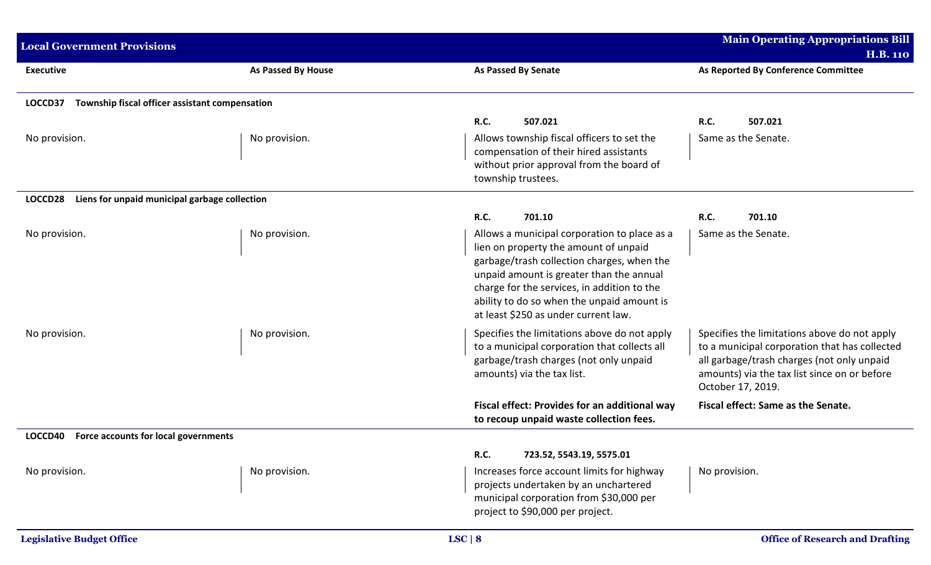| <b>Local Government Provisions</b>                        |                           |                                                                                                                                                                                                                                                                                                                      | <b>Main Operating Appropriations Bill</b>                                                                                                                                                                        |
|-----------------------------------------------------------|---------------------------|----------------------------------------------------------------------------------------------------------------------------------------------------------------------------------------------------------------------------------------------------------------------------------------------------------------------|------------------------------------------------------------------------------------------------------------------------------------------------------------------------------------------------------------------|
| <b>Executive</b>                                          | <b>As Passed By House</b> | <b>As Passed By Senate</b>                                                                                                                                                                                                                                                                                           | <b>H.B. 110</b><br>As Reported By Conference Committee                                                                                                                                                           |
| Township fiscal officer assistant compensation<br>LOCCD37 |                           |                                                                                                                                                                                                                                                                                                                      |                                                                                                                                                                                                                  |
|                                                           |                           | R.C.<br>507.021                                                                                                                                                                                                                                                                                                      | R.C.<br>507.021                                                                                                                                                                                                  |
| No provision.                                             | No provision.             | Allows township fiscal officers to set the<br>compensation of their hired assistants<br>without prior approval from the board of<br>township trustees.                                                                                                                                                               | Same as the Senate.                                                                                                                                                                                              |
| LOCCD28<br>Liens for unpaid municipal garbage collection  |                           |                                                                                                                                                                                                                                                                                                                      |                                                                                                                                                                                                                  |
|                                                           |                           | R.C.<br>701.10                                                                                                                                                                                                                                                                                                       | R.C.<br>701.10                                                                                                                                                                                                   |
| No provision.                                             | No provision.             | Allows a municipal corporation to place as a<br>lien on property the amount of unpaid<br>garbage/trash collection charges, when the<br>unpaid amount is greater than the annual<br>charge for the services, in addition to the<br>ability to do so when the unpaid amount is<br>at least \$250 as under current law. | Same as the Senate.                                                                                                                                                                                              |
| No provision.                                             | No provision.             | Specifies the limitations above do not apply<br>to a municipal corporation that collects all<br>garbage/trash charges (not only unpaid<br>amounts) via the tax list.                                                                                                                                                 | Specifies the limitations above do not apply<br>to a municipal corporation that has collected<br>all garbage/trash charges (not only unpaid<br>amounts) via the tax list since on or before<br>October 17, 2019. |
|                                                           |                           | Fiscal effect: Provides for an additional way<br>to recoup unpaid waste collection fees.                                                                                                                                                                                                                             | Fiscal effect: Same as the Senate.                                                                                                                                                                               |
| Force accounts for local governments<br>LOCCD40           |                           |                                                                                                                                                                                                                                                                                                                      |                                                                                                                                                                                                                  |
|                                                           |                           | R.C.<br>723.52, 5543.19, 5575.01                                                                                                                                                                                                                                                                                     |                                                                                                                                                                                                                  |
| No provision.                                             | No provision.             | Increases force account limits for highway<br>projects undertaken by an unchartered<br>municipal corporation from \$30,000 per<br>project to \$90,000 per project.                                                                                                                                                   | No provision.                                                                                                                                                                                                    |
| <b>Legislative Budget Office</b>                          |                           | LSC   8                                                                                                                                                                                                                                                                                                              | <b>Office of Research and Drafting</b>                                                                                                                                                                           |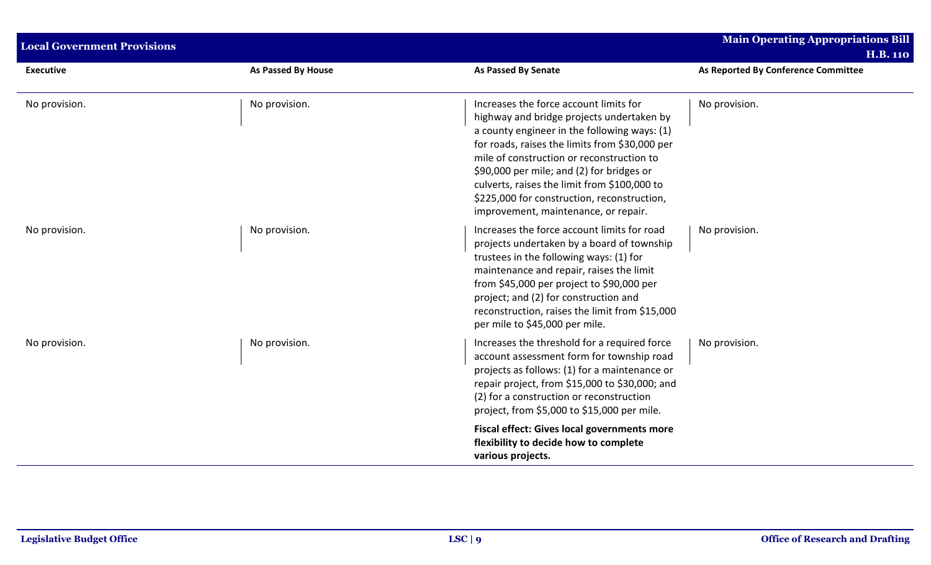| <b>Local Government Provisions</b> |                    |                                                                                                                                                                                                                                                                                                                                                                                                                        | <b>Main Operating Appropriations Bill</b><br><b>H.B. 110</b> |
|------------------------------------|--------------------|------------------------------------------------------------------------------------------------------------------------------------------------------------------------------------------------------------------------------------------------------------------------------------------------------------------------------------------------------------------------------------------------------------------------|--------------------------------------------------------------|
| <b>Executive</b>                   | As Passed By House | <b>As Passed By Senate</b>                                                                                                                                                                                                                                                                                                                                                                                             | As Reported By Conference Committee                          |
| No provision.                      | No provision.      | Increases the force account limits for<br>highway and bridge projects undertaken by<br>a county engineer in the following ways: (1)<br>for roads, raises the limits from \$30,000 per<br>mile of construction or reconstruction to<br>\$90,000 per mile; and (2) for bridges or<br>culverts, raises the limit from \$100,000 to<br>\$225,000 for construction, reconstruction,<br>improvement, maintenance, or repair. | No provision.                                                |
| No provision.                      | No provision.      | Increases the force account limits for road<br>projects undertaken by a board of township<br>trustees in the following ways: (1) for<br>maintenance and repair, raises the limit<br>from \$45,000 per project to \$90,000 per<br>project; and (2) for construction and<br>reconstruction, raises the limit from \$15,000<br>per mile to \$45,000 per mile.                                                             | No provision.                                                |
| No provision.                      | No provision.      | Increases the threshold for a required force<br>account assessment form for township road<br>projects as follows: (1) for a maintenance or<br>repair project, from \$15,000 to \$30,000; and<br>(2) for a construction or reconstruction<br>project, from \$5,000 to \$15,000 per mile.                                                                                                                                | No provision.                                                |
|                                    |                    | Fiscal effect: Gives local governments more<br>flexibility to decide how to complete<br>various projects.                                                                                                                                                                                                                                                                                                              |                                                              |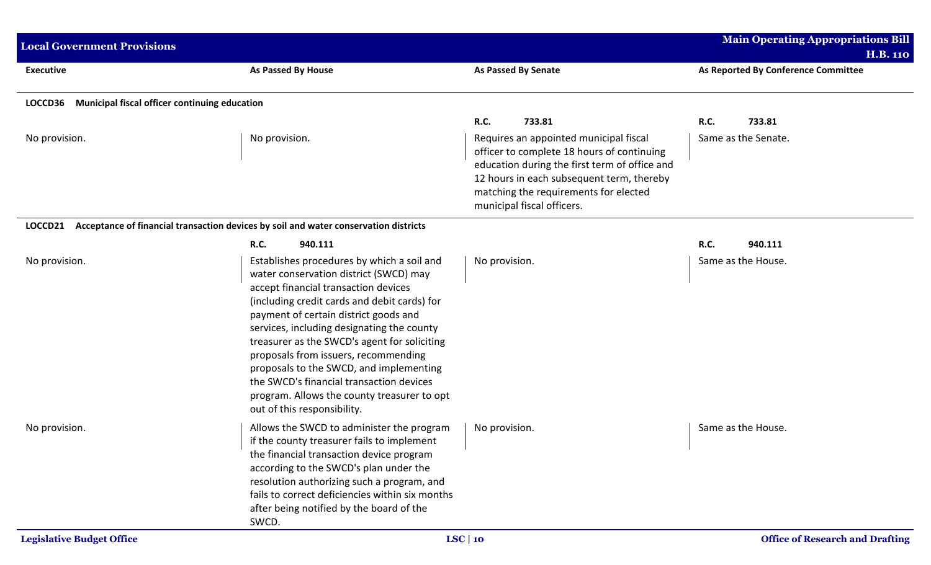| <b>Local Government Provisions</b>                       |                                                                                                                                                                                                                                                                                                                                                                                                                                                                                                                                  |                                                                                                                                                                                                                                                           | <b>Main Operating Appropriations Bill</b><br><b>H.B. 110</b> |
|----------------------------------------------------------|----------------------------------------------------------------------------------------------------------------------------------------------------------------------------------------------------------------------------------------------------------------------------------------------------------------------------------------------------------------------------------------------------------------------------------------------------------------------------------------------------------------------------------|-----------------------------------------------------------------------------------------------------------------------------------------------------------------------------------------------------------------------------------------------------------|--------------------------------------------------------------|
| <b>Executive</b>                                         | As Passed By House                                                                                                                                                                                                                                                                                                                                                                                                                                                                                                               | <b>As Passed By Senate</b>                                                                                                                                                                                                                                | As Reported By Conference Committee                          |
| Municipal fiscal officer continuing education<br>LOCCD36 |                                                                                                                                                                                                                                                                                                                                                                                                                                                                                                                                  |                                                                                                                                                                                                                                                           |                                                              |
|                                                          |                                                                                                                                                                                                                                                                                                                                                                                                                                                                                                                                  | R.C.<br>733.81                                                                                                                                                                                                                                            | <b>R.C.</b><br>733.81                                        |
| No provision.                                            | No provision.                                                                                                                                                                                                                                                                                                                                                                                                                                                                                                                    | Requires an appointed municipal fiscal<br>officer to complete 18 hours of continuing<br>education during the first term of office and<br>12 hours in each subsequent term, thereby<br>matching the requirements for elected<br>municipal fiscal officers. | Same as the Senate.                                          |
| LOCCD21                                                  | Acceptance of financial transaction devices by soil and water conservation districts                                                                                                                                                                                                                                                                                                                                                                                                                                             |                                                                                                                                                                                                                                                           |                                                              |
|                                                          | <b>R.C.</b><br>940.111                                                                                                                                                                                                                                                                                                                                                                                                                                                                                                           |                                                                                                                                                                                                                                                           | <b>R.C.</b><br>940.111                                       |
| No provision.                                            | Establishes procedures by which a soil and<br>water conservation district (SWCD) may<br>accept financial transaction devices<br>(including credit cards and debit cards) for<br>payment of certain district goods and<br>services, including designating the county<br>treasurer as the SWCD's agent for soliciting<br>proposals from issuers, recommending<br>proposals to the SWCD, and implementing<br>the SWCD's financial transaction devices<br>program. Allows the county treasurer to opt<br>out of this responsibility. | No provision.                                                                                                                                                                                                                                             | Same as the House.                                           |
| No provision.                                            | Allows the SWCD to administer the program<br>if the county treasurer fails to implement<br>the financial transaction device program<br>according to the SWCD's plan under the<br>resolution authorizing such a program, and<br>fails to correct deficiencies within six months<br>after being notified by the board of the<br>SWCD.                                                                                                                                                                                              | No provision.                                                                                                                                                                                                                                             | Same as the House.                                           |
| <b>Legislative Budget Office</b>                         |                                                                                                                                                                                                                                                                                                                                                                                                                                                                                                                                  | LSC   10                                                                                                                                                                                                                                                  | <b>Office of Research and Drafting</b>                       |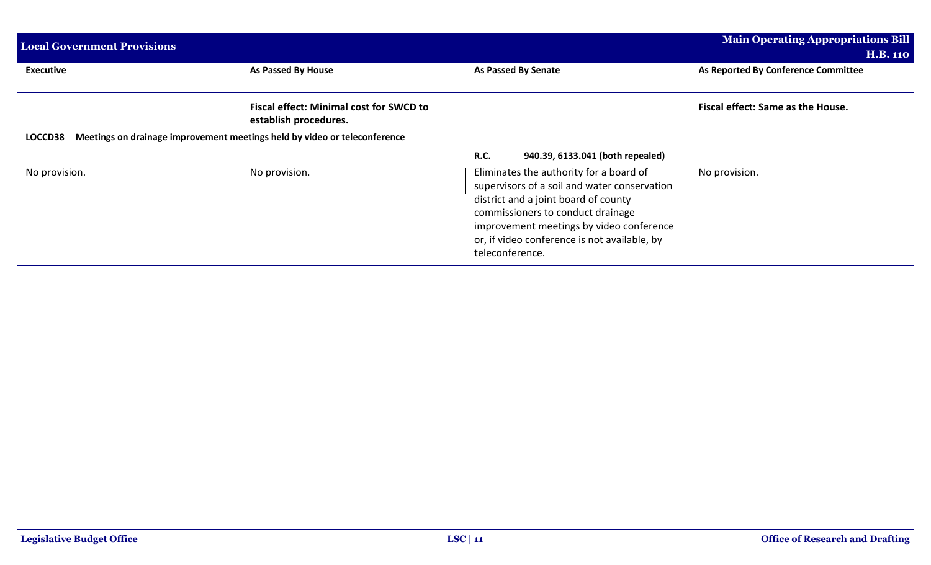| <b>Local Government Provisions</b> |                                                                           |                                                                                                                                                                                                                                                                                     | <b>Main Operating Appropriations Bill</b><br><b>H.B. 110</b> |
|------------------------------------|---------------------------------------------------------------------------|-------------------------------------------------------------------------------------------------------------------------------------------------------------------------------------------------------------------------------------------------------------------------------------|--------------------------------------------------------------|
| <b>Executive</b>                   | As Passed By House                                                        | As Passed By Senate                                                                                                                                                                                                                                                                 | As Reported By Conference Committee                          |
|                                    | <b>Fiscal effect: Minimal cost for SWCD to</b><br>establish procedures.   |                                                                                                                                                                                                                                                                                     | Fiscal effect: Same as the House.                            |
| LOCCD38                            | Meetings on drainage improvement meetings held by video or teleconference |                                                                                                                                                                                                                                                                                     |                                                              |
|                                    |                                                                           | <b>R.C.</b><br>940.39, 6133.041 (both repealed)                                                                                                                                                                                                                                     |                                                              |
| No provision.                      | No provision.                                                             | Eliminates the authority for a board of<br>supervisors of a soil and water conservation<br>district and a joint board of county<br>commissioners to conduct drainage<br>improvement meetings by video conference<br>or, if video conference is not available, by<br>teleconference. | No provision.                                                |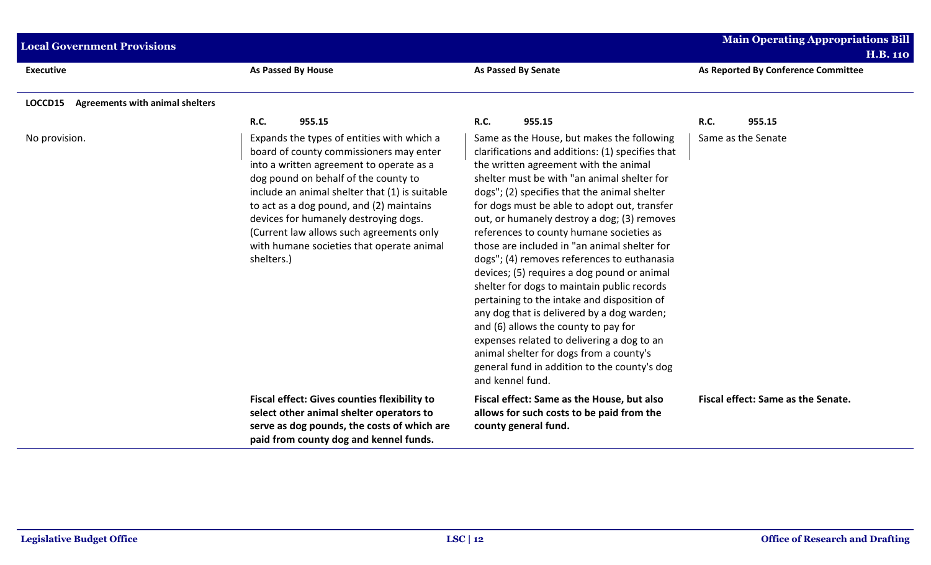| <b>Local Government Provisions</b>                |                                                                                                                                                                                                                                                                                                                                                                                                                         |                                                                                                                                                                                                                                                                                                                                                                                                                                                                                                                                                                                                                                                                                                                                                                                                                                                                                  | <b>Main Operating Appropriations Bill</b> |
|---------------------------------------------------|-------------------------------------------------------------------------------------------------------------------------------------------------------------------------------------------------------------------------------------------------------------------------------------------------------------------------------------------------------------------------------------------------------------------------|----------------------------------------------------------------------------------------------------------------------------------------------------------------------------------------------------------------------------------------------------------------------------------------------------------------------------------------------------------------------------------------------------------------------------------------------------------------------------------------------------------------------------------------------------------------------------------------------------------------------------------------------------------------------------------------------------------------------------------------------------------------------------------------------------------------------------------------------------------------------------------|-------------------------------------------|
|                                                   |                                                                                                                                                                                                                                                                                                                                                                                                                         |                                                                                                                                                                                                                                                                                                                                                                                                                                                                                                                                                                                                                                                                                                                                                                                                                                                                                  | <b>H.B. 110</b>                           |
| <b>Executive</b>                                  | <b>As Passed By House</b>                                                                                                                                                                                                                                                                                                                                                                                               | As Passed By Senate                                                                                                                                                                                                                                                                                                                                                                                                                                                                                                                                                                                                                                                                                                                                                                                                                                                              | As Reported By Conference Committee       |
| <b>Agreements with animal shelters</b><br>LOCCD15 |                                                                                                                                                                                                                                                                                                                                                                                                                         |                                                                                                                                                                                                                                                                                                                                                                                                                                                                                                                                                                                                                                                                                                                                                                                                                                                                                  |                                           |
|                                                   | R.C.<br>955.15                                                                                                                                                                                                                                                                                                                                                                                                          | <b>R.C.</b><br>955.15                                                                                                                                                                                                                                                                                                                                                                                                                                                                                                                                                                                                                                                                                                                                                                                                                                                            | R.C.<br>955.15                            |
| No provision.                                     | Expands the types of entities with which a<br>board of county commissioners may enter<br>into a written agreement to operate as a<br>dog pound on behalf of the county to<br>include an animal shelter that (1) is suitable<br>to act as a dog pound, and (2) maintains<br>devices for humanely destroying dogs.<br>(Current law allows such agreements only<br>with humane societies that operate animal<br>shelters.) | Same as the House, but makes the following<br>clarifications and additions: (1) specifies that<br>the written agreement with the animal<br>shelter must be with "an animal shelter for<br>dogs"; (2) specifies that the animal shelter<br>for dogs must be able to adopt out, transfer<br>out, or humanely destroy a dog; (3) removes<br>references to county humane societies as<br>those are included in "an animal shelter for<br>dogs"; (4) removes references to euthanasia<br>devices; (5) requires a dog pound or animal<br>shelter for dogs to maintain public records<br>pertaining to the intake and disposition of<br>any dog that is delivered by a dog warden;<br>and (6) allows the county to pay for<br>expenses related to delivering a dog to an<br>animal shelter for dogs from a county's<br>general fund in addition to the county's dog<br>and kennel fund. | Same as the Senate                        |
|                                                   | <b>Fiscal effect: Gives counties flexibility to</b><br>select other animal shelter operators to<br>serve as dog pounds, the costs of which are<br>paid from county dog and kennel funds.                                                                                                                                                                                                                                | Fiscal effect: Same as the House, but also<br>allows for such costs to be paid from the<br>county general fund.                                                                                                                                                                                                                                                                                                                                                                                                                                                                                                                                                                                                                                                                                                                                                                  | Fiscal effect: Same as the Senate.        |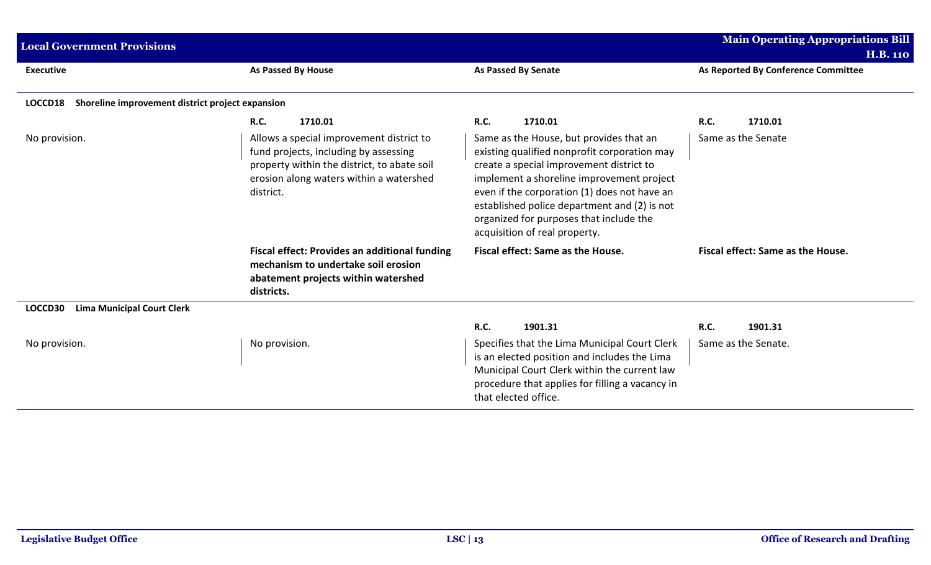| <b>Main Operating Appropriations Bill</b><br><b>Local Government Provisions</b><br><b>H.B. 110</b> |                                                                                                                                                                                          |                                                                                                                                                                                                                                                                                                                                                              |                                     |  |  |  |  |
|----------------------------------------------------------------------------------------------------|------------------------------------------------------------------------------------------------------------------------------------------------------------------------------------------|--------------------------------------------------------------------------------------------------------------------------------------------------------------------------------------------------------------------------------------------------------------------------------------------------------------------------------------------------------------|-------------------------------------|--|--|--|--|
| <b>Executive</b>                                                                                   | <b>As Passed By House</b>                                                                                                                                                                | <b>As Passed By Senate</b>                                                                                                                                                                                                                                                                                                                                   | As Reported By Conference Committee |  |  |  |  |
| Shoreline improvement district project expansion<br>LOCCD18                                        |                                                                                                                                                                                          |                                                                                                                                                                                                                                                                                                                                                              |                                     |  |  |  |  |
|                                                                                                    | <b>R.C.</b><br>1710.01                                                                                                                                                                   | <b>R.C.</b><br>1710.01                                                                                                                                                                                                                                                                                                                                       | <b>R.C.</b><br>1710.01              |  |  |  |  |
| No provision.                                                                                      | Allows a special improvement district to<br>fund projects, including by assessing<br>property within the district, to abate soil<br>erosion along waters within a watershed<br>district. | Same as the House, but provides that an<br>existing qualified nonprofit corporation may<br>create a special improvement district to<br>implement a shoreline improvement project<br>even if the corporation (1) does not have an<br>established police department and (2) is not<br>organized for purposes that include the<br>acquisition of real property. | Same as the Senate                  |  |  |  |  |
|                                                                                                    | <b>Fiscal effect: Provides an additional funding</b><br>mechanism to undertake soil erosion<br>abatement projects within watershed<br>districts.                                         | Fiscal effect: Same as the House.                                                                                                                                                                                                                                                                                                                            | Fiscal effect: Same as the House.   |  |  |  |  |
| <b>Lima Municipal Court Clerk</b><br>LOCCD30                                                       |                                                                                                                                                                                          |                                                                                                                                                                                                                                                                                                                                                              |                                     |  |  |  |  |
|                                                                                                    |                                                                                                                                                                                          | <b>R.C.</b><br>1901.31                                                                                                                                                                                                                                                                                                                                       | <b>R.C.</b><br>1901.31              |  |  |  |  |
| No provision.                                                                                      | No provision.                                                                                                                                                                            | Specifies that the Lima Municipal Court Clerk<br>is an elected position and includes the Lima<br>Municipal Court Clerk within the current law<br>procedure that applies for filling a vacancy in<br>that elected office.                                                                                                                                     | Same as the Senate.                 |  |  |  |  |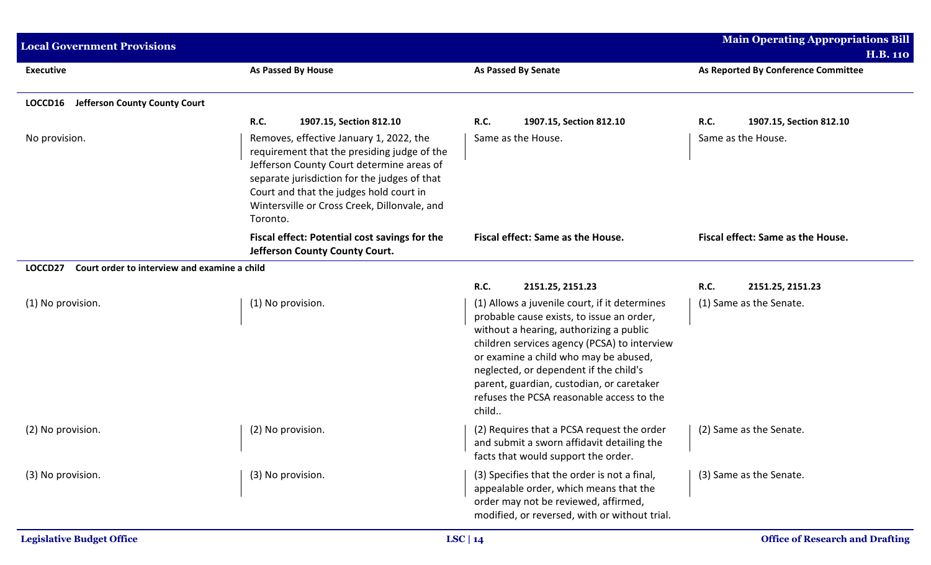| <b>Local Government Provisions</b>                      |                                                                                                                                                                                                                                                                                            |                                                                                                                                                                                                                                                                                                                                                                             | <b>Main Operating Appropriations Bill</b><br><b>H.B. 110</b> |
|---------------------------------------------------------|--------------------------------------------------------------------------------------------------------------------------------------------------------------------------------------------------------------------------------------------------------------------------------------------|-----------------------------------------------------------------------------------------------------------------------------------------------------------------------------------------------------------------------------------------------------------------------------------------------------------------------------------------------------------------------------|--------------------------------------------------------------|
| <b>Executive</b>                                        | <b>As Passed By House</b>                                                                                                                                                                                                                                                                  | <b>As Passed By Senate</b>                                                                                                                                                                                                                                                                                                                                                  | As Reported By Conference Committee                          |
| <b>Jefferson County County Court</b><br>LOCCD16         |                                                                                                                                                                                                                                                                                            |                                                                                                                                                                                                                                                                                                                                                                             |                                                              |
|                                                         | <b>R.C.</b><br>1907.15, Section 812.10                                                                                                                                                                                                                                                     | <b>R.C.</b><br>1907.15, Section 812.10                                                                                                                                                                                                                                                                                                                                      | <b>R.C.</b><br>1907.15, Section 812.10                       |
| No provision.                                           | Removes, effective January 1, 2022, the<br>requirement that the presiding judge of the<br>Jefferson County Court determine areas of<br>separate jurisdiction for the judges of that<br>Court and that the judges hold court in<br>Wintersville or Cross Creek, Dillonvale, and<br>Toronto. | Same as the House.                                                                                                                                                                                                                                                                                                                                                          | Same as the House.                                           |
|                                                         | Fiscal effect: Potential cost savings for the<br>Jefferson County County Court.                                                                                                                                                                                                            | Fiscal effect: Same as the House.                                                                                                                                                                                                                                                                                                                                           | Fiscal effect: Same as the House.                            |
| LOCCD27<br>Court order to interview and examine a child |                                                                                                                                                                                                                                                                                            |                                                                                                                                                                                                                                                                                                                                                                             |                                                              |
|                                                         |                                                                                                                                                                                                                                                                                            | <b>R.C.</b><br>2151.25, 2151.23                                                                                                                                                                                                                                                                                                                                             | R.C.<br>2151.25, 2151.23                                     |
| (1) No provision.                                       | (1) No provision.                                                                                                                                                                                                                                                                          | (1) Allows a juvenile court, if it determines<br>probable cause exists, to issue an order,<br>without a hearing, authorizing a public<br>children services agency (PCSA) to interview<br>or examine a child who may be abused,<br>neglected, or dependent if the child's<br>parent, guardian, custodian, or caretaker<br>refuses the PCSA reasonable access to the<br>child | (1) Same as the Senate.                                      |
| (2) No provision.                                       | (2) No provision.                                                                                                                                                                                                                                                                          | (2) Requires that a PCSA request the order<br>and submit a sworn affidavit detailing the<br>facts that would support the order.                                                                                                                                                                                                                                             | (2) Same as the Senate.                                      |
| (3) No provision.                                       | (3) No provision.                                                                                                                                                                                                                                                                          | (3) Specifies that the order is not a final,<br>appealable order, which means that the<br>order may not be reviewed, affirmed,<br>modified, or reversed, with or without trial.                                                                                                                                                                                             | (3) Same as the Senate.                                      |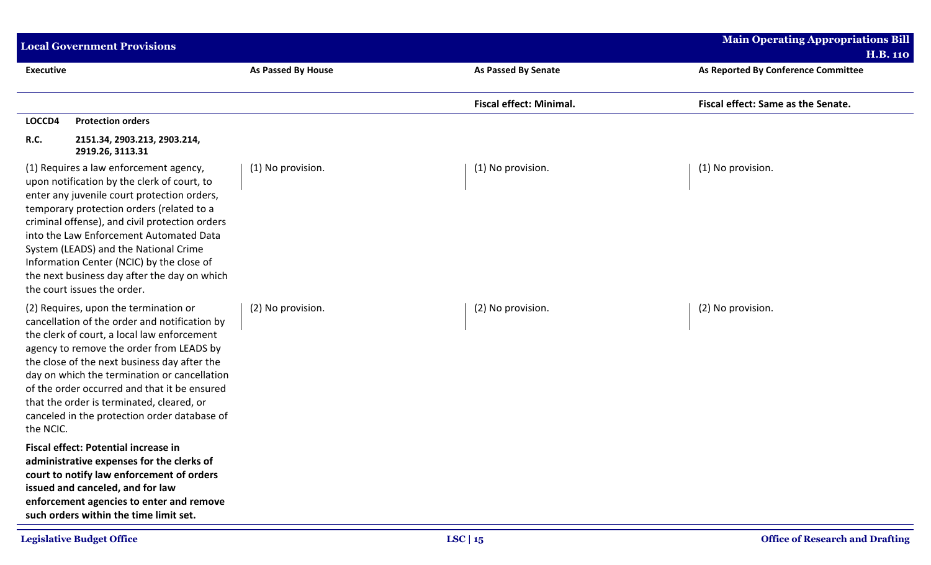|                  | <b>Local Government Provisions</b>                                                                                                                                                                                                                                                                                                                                                                                                                  |                    |                                | <b>Main Operating Appropriations Bill</b> |
|------------------|-----------------------------------------------------------------------------------------------------------------------------------------------------------------------------------------------------------------------------------------------------------------------------------------------------------------------------------------------------------------------------------------------------------------------------------------------------|--------------------|--------------------------------|-------------------------------------------|
|                  |                                                                                                                                                                                                                                                                                                                                                                                                                                                     |                    |                                | <b>H.B. 110</b>                           |
| <b>Executive</b> |                                                                                                                                                                                                                                                                                                                                                                                                                                                     | As Passed By House | <b>As Passed By Senate</b>     | As Reported By Conference Committee       |
|                  |                                                                                                                                                                                                                                                                                                                                                                                                                                                     |                    | <b>Fiscal effect: Minimal.</b> | Fiscal effect: Same as the Senate.        |
| LOCCD4           | <b>Protection orders</b>                                                                                                                                                                                                                                                                                                                                                                                                                            |                    |                                |                                           |
| <b>R.C.</b>      | 2151.34, 2903.213, 2903.214,<br>2919.26, 3113.31                                                                                                                                                                                                                                                                                                                                                                                                    |                    |                                |                                           |
|                  | (1) Requires a law enforcement agency,<br>upon notification by the clerk of court, to<br>enter any juvenile court protection orders,<br>temporary protection orders (related to a<br>criminal offense), and civil protection orders<br>into the Law Enforcement Automated Data<br>System (LEADS) and the National Crime<br>Information Center (NCIC) by the close of<br>the next business day after the day on which<br>the court issues the order. | (1) No provision.  | (1) No provision.              | (1) No provision.                         |
| the NCIC.        | (2) Requires, upon the termination or<br>cancellation of the order and notification by<br>the clerk of court, a local law enforcement<br>agency to remove the order from LEADS by<br>the close of the next business day after the<br>day on which the termination or cancellation<br>of the order occurred and that it be ensured<br>that the order is terminated, cleared, or<br>canceled in the protection order database of                      | (2) No provision.  | (2) No provision.              | (2) No provision.                         |
|                  | <b>Fiscal effect: Potential increase in</b><br>administrative expenses for the clerks of<br>court to notify law enforcement of orders<br>issued and canceled, and for law<br>enforcement agencies to enter and remove<br>such orders within the time limit set.                                                                                                                                                                                     |                    |                                |                                           |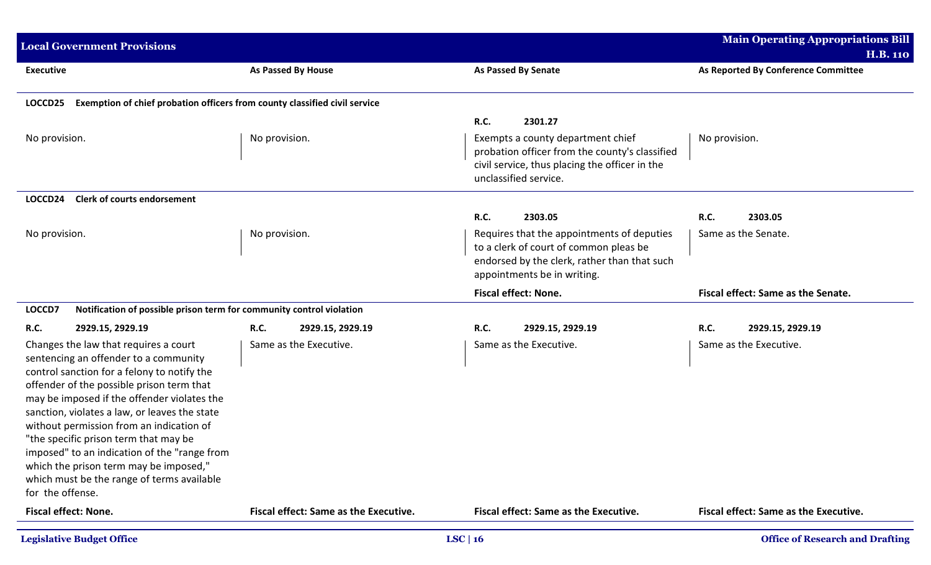| <b>Local Government Provisions</b>                                                                                                                                                                                                                                                                                                                                                                                                                                                                                          |                                              |                                                                                                                                                                     | <b>Main Operating Appropriations Bill</b>              |
|-----------------------------------------------------------------------------------------------------------------------------------------------------------------------------------------------------------------------------------------------------------------------------------------------------------------------------------------------------------------------------------------------------------------------------------------------------------------------------------------------------------------------------|----------------------------------------------|---------------------------------------------------------------------------------------------------------------------------------------------------------------------|--------------------------------------------------------|
| <b>Executive</b>                                                                                                                                                                                                                                                                                                                                                                                                                                                                                                            | As Passed By House                           | <b>As Passed By Senate</b>                                                                                                                                          | <b>H.B. 110</b><br>As Reported By Conference Committee |
|                                                                                                                                                                                                                                                                                                                                                                                                                                                                                                                             |                                              |                                                                                                                                                                     |                                                        |
| Exemption of chief probation officers from county classified civil service<br>LOCCD25                                                                                                                                                                                                                                                                                                                                                                                                                                       |                                              |                                                                                                                                                                     |                                                        |
|                                                                                                                                                                                                                                                                                                                                                                                                                                                                                                                             |                                              | R.C.<br>2301.27                                                                                                                                                     |                                                        |
| No provision.                                                                                                                                                                                                                                                                                                                                                                                                                                                                                                               | No provision.                                | Exempts a county department chief<br>probation officer from the county's classified<br>civil service, thus placing the officer in the<br>unclassified service.      | No provision.                                          |
| <b>Clerk of courts endorsement</b><br>LOCCD24                                                                                                                                                                                                                                                                                                                                                                                                                                                                               |                                              |                                                                                                                                                                     |                                                        |
|                                                                                                                                                                                                                                                                                                                                                                                                                                                                                                                             |                                              | R.C.<br>2303.05                                                                                                                                                     | 2303.05<br><b>R.C.</b>                                 |
| No provision.                                                                                                                                                                                                                                                                                                                                                                                                                                                                                                               | No provision.                                | Requires that the appointments of deputies<br>to a clerk of court of common pleas be<br>endorsed by the clerk, rather than that such<br>appointments be in writing. | Same as the Senate.                                    |
|                                                                                                                                                                                                                                                                                                                                                                                                                                                                                                                             |                                              | <b>Fiscal effect: None.</b>                                                                                                                                         | Fiscal effect: Same as the Senate.                     |
| Notification of possible prison term for community control violation<br>LOCCD7                                                                                                                                                                                                                                                                                                                                                                                                                                              |                                              |                                                                                                                                                                     |                                                        |
| <b>R.C.</b><br>2929.15, 2929.19                                                                                                                                                                                                                                                                                                                                                                                                                                                                                             | <b>R.C.</b><br>2929.15, 2929.19              | <b>R.C.</b><br>2929.15, 2929.19                                                                                                                                     | <b>R.C.</b><br>2929.15, 2929.19                        |
| Changes the law that requires a court<br>sentencing an offender to a community<br>control sanction for a felony to notify the<br>offender of the possible prison term that<br>may be imposed if the offender violates the<br>sanction, violates a law, or leaves the state<br>without permission from an indication of<br>"the specific prison term that may be<br>imposed" to an indication of the "range from<br>which the prison term may be imposed,"<br>which must be the range of terms available<br>for the offense. | Same as the Executive.                       | Same as the Executive.                                                                                                                                              | Same as the Executive.                                 |
| <b>Fiscal effect: None.</b>                                                                                                                                                                                                                                                                                                                                                                                                                                                                                                 | <b>Fiscal effect: Same as the Executive.</b> | <b>Fiscal effect: Same as the Executive.</b>                                                                                                                        | Fiscal effect: Same as the Executive.                  |
| <b>Legislative Budget Office</b>                                                                                                                                                                                                                                                                                                                                                                                                                                                                                            |                                              | LSC   $16$                                                                                                                                                          | <b>Office of Research and Drafting</b>                 |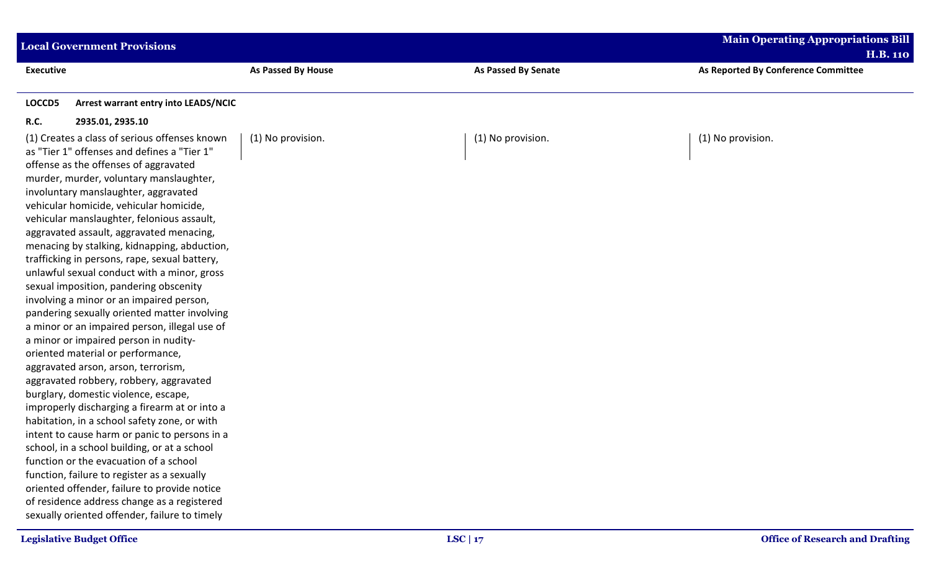| <b>Local Government Provisions</b>                                                                                                                                                                                                                                                                                                                                                                                                                                                                                                                                                                                                                                                                                                                                                                                                                                                                                                                                                                                                                                                                                                                                                                                                                                                                     |                    |                            | <b>Main Operating Appropriations Bill</b> |
|--------------------------------------------------------------------------------------------------------------------------------------------------------------------------------------------------------------------------------------------------------------------------------------------------------------------------------------------------------------------------------------------------------------------------------------------------------------------------------------------------------------------------------------------------------------------------------------------------------------------------------------------------------------------------------------------------------------------------------------------------------------------------------------------------------------------------------------------------------------------------------------------------------------------------------------------------------------------------------------------------------------------------------------------------------------------------------------------------------------------------------------------------------------------------------------------------------------------------------------------------------------------------------------------------------|--------------------|----------------------------|-------------------------------------------|
|                                                                                                                                                                                                                                                                                                                                                                                                                                                                                                                                                                                                                                                                                                                                                                                                                                                                                                                                                                                                                                                                                                                                                                                                                                                                                                        |                    |                            | <b>H.B. 110</b>                           |
| <b>Executive</b>                                                                                                                                                                                                                                                                                                                                                                                                                                                                                                                                                                                                                                                                                                                                                                                                                                                                                                                                                                                                                                                                                                                                                                                                                                                                                       | As Passed By House | <b>As Passed By Senate</b> | As Reported By Conference Committee       |
| LOCCD5<br><b>Arrest warrant entry into LEADS/NCIC</b>                                                                                                                                                                                                                                                                                                                                                                                                                                                                                                                                                                                                                                                                                                                                                                                                                                                                                                                                                                                                                                                                                                                                                                                                                                                  |                    |                            |                                           |
| R.C.<br>2935.01, 2935.10                                                                                                                                                                                                                                                                                                                                                                                                                                                                                                                                                                                                                                                                                                                                                                                                                                                                                                                                                                                                                                                                                                                                                                                                                                                                               |                    |                            |                                           |
| (1) Creates a class of serious offenses known<br>as "Tier 1" offenses and defines a "Tier 1"<br>offense as the offenses of aggravated<br>murder, murder, voluntary manslaughter,<br>involuntary manslaughter, aggravated<br>vehicular homicide, vehicular homicide,<br>vehicular manslaughter, felonious assault,<br>aggravated assault, aggravated menacing,<br>menacing by stalking, kidnapping, abduction,<br>trafficking in persons, rape, sexual battery,<br>unlawful sexual conduct with a minor, gross<br>sexual imposition, pandering obscenity<br>involving a minor or an impaired person,<br>pandering sexually oriented matter involving<br>a minor or an impaired person, illegal use of<br>a minor or impaired person in nudity-<br>oriented material or performance,<br>aggravated arson, arson, terrorism,<br>aggravated robbery, robbery, aggravated<br>burglary, domestic violence, escape,<br>improperly discharging a firearm at or into a<br>habitation, in a school safety zone, or with<br>intent to cause harm or panic to persons in a<br>school, in a school building, or at a school<br>function or the evacuation of a school<br>function, failure to register as a sexually<br>oriented offender, failure to provide notice<br>of residence address change as a registered | (1) No provision.  | (1) No provision.          | (1) No provision.                         |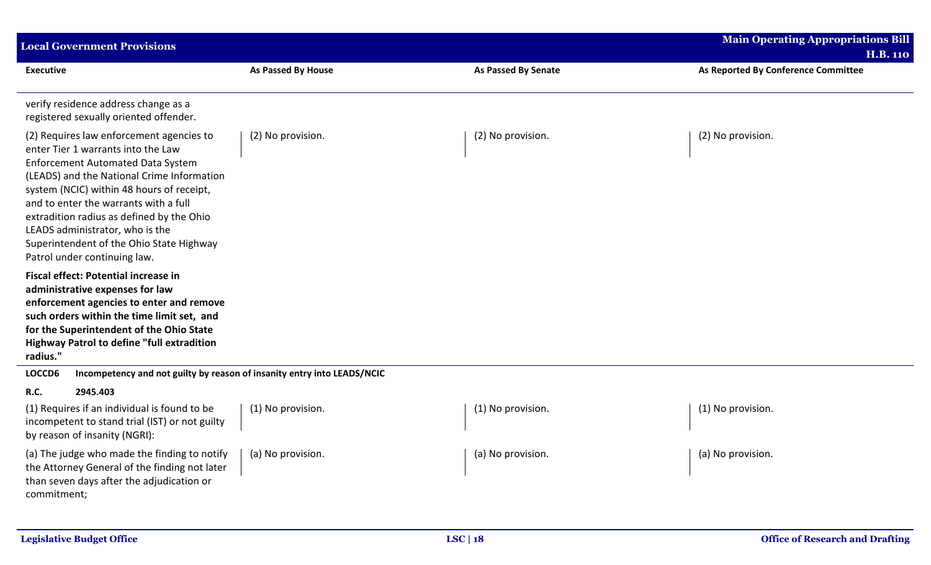| <b>Local Government Provisions</b>                                                                                                                                                                                                                                                                                                                                                                                                                                        |                    |                            | <b>Main Operating Appropriations Bill</b><br><b>H.B. 110</b> |
|---------------------------------------------------------------------------------------------------------------------------------------------------------------------------------------------------------------------------------------------------------------------------------------------------------------------------------------------------------------------------------------------------------------------------------------------------------------------------|--------------------|----------------------------|--------------------------------------------------------------|
| <b>Executive</b>                                                                                                                                                                                                                                                                                                                                                                                                                                                          | As Passed By House | <b>As Passed By Senate</b> | As Reported By Conference Committee                          |
| verify residence address change as a<br>registered sexually oriented offender.                                                                                                                                                                                                                                                                                                                                                                                            |                    |                            |                                                              |
| (2) Requires law enforcement agencies to<br>enter Tier 1 warrants into the Law<br><b>Enforcement Automated Data System</b><br>(LEADS) and the National Crime Information<br>system (NCIC) within 48 hours of receipt,<br>and to enter the warrants with a full<br>extradition radius as defined by the Ohio<br>LEADS administrator, who is the<br>Superintendent of the Ohio State Highway<br>Patrol under continuing law.<br><b>Fiscal effect: Potential increase in</b> | (2) No provision.  | (2) No provision.          | (2) No provision.                                            |
| administrative expenses for law<br>enforcement agencies to enter and remove<br>such orders within the time limit set, and<br>for the Superintendent of the Ohio State<br><b>Highway Patrol to define "full extradition</b><br>radius."                                                                                                                                                                                                                                    |                    |                            |                                                              |
| LOCCD6<br>Incompetency and not guilty by reason of insanity entry into LEADS/NCIC                                                                                                                                                                                                                                                                                                                                                                                         |                    |                            |                                                              |
| 2945.403<br><b>R.C.</b><br>(1) Requires if an individual is found to be<br>incompetent to stand trial (IST) or not guilty<br>by reason of insanity (NGRI):                                                                                                                                                                                                                                                                                                                | (1) No provision.  | (1) No provision.          | (1) No provision.                                            |
| (a) The judge who made the finding to notify<br>the Attorney General of the finding not later<br>than seven days after the adjudication or<br>commitment;                                                                                                                                                                                                                                                                                                                 | (a) No provision.  | (a) No provision.          | (a) No provision.                                            |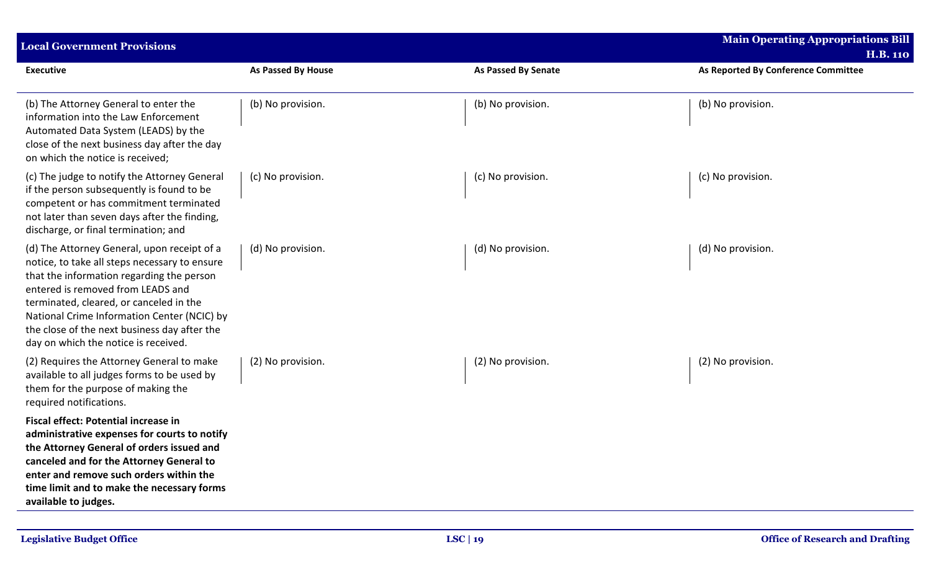| <b>Local Government Provisions</b>                                                                                                                                                                                                                                                                                                                               |                    |                            | <b>Main Operating Appropriations Bill</b><br><b>H.B. 110</b> |
|------------------------------------------------------------------------------------------------------------------------------------------------------------------------------------------------------------------------------------------------------------------------------------------------------------------------------------------------------------------|--------------------|----------------------------|--------------------------------------------------------------|
| <b>Executive</b>                                                                                                                                                                                                                                                                                                                                                 | As Passed By House | <b>As Passed By Senate</b> | As Reported By Conference Committee                          |
| (b) The Attorney General to enter the<br>information into the Law Enforcement<br>Automated Data System (LEADS) by the<br>close of the next business day after the day<br>on which the notice is received;                                                                                                                                                        | (b) No provision.  | (b) No provision.          | (b) No provision.                                            |
| (c) The judge to notify the Attorney General<br>if the person subsequently is found to be<br>competent or has commitment terminated<br>not later than seven days after the finding,<br>discharge, or final termination; and                                                                                                                                      | (c) No provision.  | (c) No provision.          | (c) No provision.                                            |
| (d) The Attorney General, upon receipt of a<br>notice, to take all steps necessary to ensure<br>that the information regarding the person<br>entered is removed from LEADS and<br>terminated, cleared, or canceled in the<br>National Crime Information Center (NCIC) by<br>the close of the next business day after the<br>day on which the notice is received. | (d) No provision.  | (d) No provision.          | (d) No provision.                                            |
| (2) Requires the Attorney General to make<br>available to all judges forms to be used by<br>them for the purpose of making the<br>required notifications.                                                                                                                                                                                                        | (2) No provision.  | (2) No provision.          | (2) No provision.                                            |
| <b>Fiscal effect: Potential increase in</b><br>administrative expenses for courts to notify<br>the Attorney General of orders issued and<br>canceled and for the Attorney General to<br>enter and remove such orders within the<br>time limit and to make the necessary forms<br>available to judges.                                                            |                    |                            |                                                              |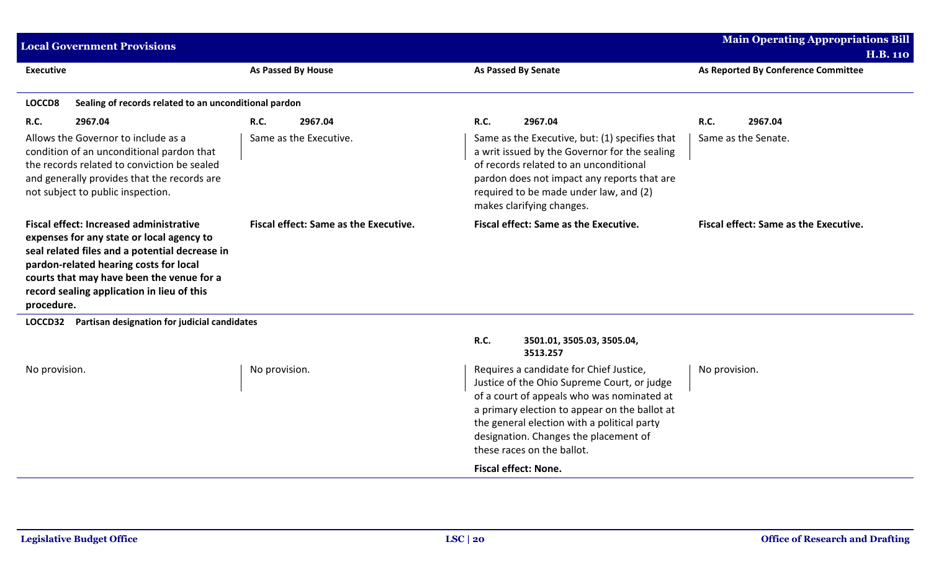|                  | <b>Main Operating Appropriations Bill</b><br><b>Local Government Provisions</b><br><b>H.B. 110</b>                                                                                                                                                                                 |                        |                                       |                                                                                                                                                                                                                                                                 |                                                                                                                                                                                                                                                                                                             |                     |                                       |
|------------------|------------------------------------------------------------------------------------------------------------------------------------------------------------------------------------------------------------------------------------------------------------------------------------|------------------------|---------------------------------------|-----------------------------------------------------------------------------------------------------------------------------------------------------------------------------------------------------------------------------------------------------------------|-------------------------------------------------------------------------------------------------------------------------------------------------------------------------------------------------------------------------------------------------------------------------------------------------------------|---------------------|---------------------------------------|
| <b>Executive</b> |                                                                                                                                                                                                                                                                                    |                        | As Passed By House                    |                                                                                                                                                                                                                                                                 | <b>As Passed By Senate</b>                                                                                                                                                                                                                                                                                  |                     | As Reported By Conference Committee   |
| LOCCD8           | Sealing of records related to an unconditional pardon                                                                                                                                                                                                                              |                        |                                       |                                                                                                                                                                                                                                                                 |                                                                                                                                                                                                                                                                                                             |                     |                                       |
| <b>R.C.</b>      | 2967.04                                                                                                                                                                                                                                                                            | <b>R.C.</b>            | 2967.04                               | <b>R.C.</b>                                                                                                                                                                                                                                                     | 2967.04                                                                                                                                                                                                                                                                                                     | <b>R.C.</b>         | 2967.04                               |
|                  | Allows the Governor to include as a<br>condition of an unconditional pardon that<br>the records related to conviction be sealed<br>and generally provides that the records are<br>not subject to public inspection.                                                                | Same as the Executive. |                                       | Same as the Executive, but: (1) specifies that<br>a writ issued by the Governor for the sealing<br>of records related to an unconditional<br>pardon does not impact any reports that are<br>required to be made under law, and (2)<br>makes clarifying changes. |                                                                                                                                                                                                                                                                                                             | Same as the Senate. |                                       |
| procedure.       | <b>Fiscal effect: Increased administrative</b><br>expenses for any state or local agency to<br>seal related files and a potential decrease in<br>pardon-related hearing costs for local<br>courts that may have been the venue for a<br>record sealing application in lieu of this |                        | Fiscal effect: Same as the Executive. |                                                                                                                                                                                                                                                                 | Fiscal effect: Same as the Executive.                                                                                                                                                                                                                                                                       |                     | Fiscal effect: Same as the Executive. |
| <b>LOCCD32</b>   | Partisan designation for judicial candidates                                                                                                                                                                                                                                       |                        |                                       |                                                                                                                                                                                                                                                                 |                                                                                                                                                                                                                                                                                                             |                     |                                       |
|                  |                                                                                                                                                                                                                                                                                    |                        |                                       | R.C.                                                                                                                                                                                                                                                            | 3501.01, 3505.03, 3505.04,<br>3513.257                                                                                                                                                                                                                                                                      |                     |                                       |
| No provision.    |                                                                                                                                                                                                                                                                                    | No provision.          |                                       |                                                                                                                                                                                                                                                                 | Requires a candidate for Chief Justice,<br>Justice of the Ohio Supreme Court, or judge<br>of a court of appeals who was nominated at<br>a primary election to appear on the ballot at<br>the general election with a political party<br>designation. Changes the placement of<br>these races on the ballot. | No provision.       |                                       |
|                  |                                                                                                                                                                                                                                                                                    |                        |                                       |                                                                                                                                                                                                                                                                 | <b>Fiscal effect: None.</b>                                                                                                                                                                                                                                                                                 |                     |                                       |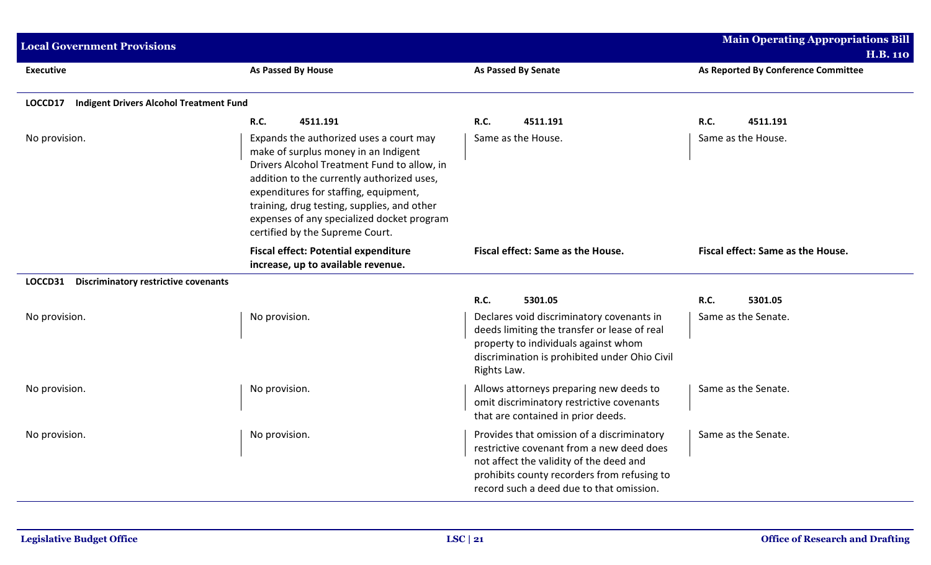| <b>Local Government Provisions</b>                        |                                                                                                                                                                                                                                                                                                                                                       | <b>Main Operating Appropriations Bill</b>                                                                                                                                                                                     |                                     |
|-----------------------------------------------------------|-------------------------------------------------------------------------------------------------------------------------------------------------------------------------------------------------------------------------------------------------------------------------------------------------------------------------------------------------------|-------------------------------------------------------------------------------------------------------------------------------------------------------------------------------------------------------------------------------|-------------------------------------|
|                                                           |                                                                                                                                                                                                                                                                                                                                                       |                                                                                                                                                                                                                               | <b>H.B. 110</b>                     |
| <b>Executive</b>                                          | As Passed By House                                                                                                                                                                                                                                                                                                                                    | As Passed By Senate                                                                                                                                                                                                           | As Reported By Conference Committee |
| <b>Indigent Drivers Alcohol Treatment Fund</b><br>LOCCD17 |                                                                                                                                                                                                                                                                                                                                                       |                                                                                                                                                                                                                               |                                     |
|                                                           | <b>R.C.</b><br>4511.191                                                                                                                                                                                                                                                                                                                               | R.C.<br>4511.191                                                                                                                                                                                                              | <b>R.C.</b><br>4511.191             |
| No provision.                                             | Expands the authorized uses a court may<br>make of surplus money in an Indigent<br>Drivers Alcohol Treatment Fund to allow, in<br>addition to the currently authorized uses,<br>expenditures for staffing, equipment,<br>training, drug testing, supplies, and other<br>expenses of any specialized docket program<br>certified by the Supreme Court. | Same as the House.                                                                                                                                                                                                            | Same as the House.                  |
|                                                           | <b>Fiscal effect: Potential expenditure</b><br>increase, up to available revenue.                                                                                                                                                                                                                                                                     | Fiscal effect: Same as the House.                                                                                                                                                                                             | Fiscal effect: Same as the House.   |
| LOCCD31<br><b>Discriminatory restrictive covenants</b>    |                                                                                                                                                                                                                                                                                                                                                       |                                                                                                                                                                                                                               |                                     |
|                                                           |                                                                                                                                                                                                                                                                                                                                                       | R.C.<br>5301.05                                                                                                                                                                                                               | <b>R.C.</b><br>5301.05              |
| No provision.                                             | No provision.                                                                                                                                                                                                                                                                                                                                         | Declares void discriminatory covenants in<br>deeds limiting the transfer or lease of real<br>property to individuals against whom<br>discrimination is prohibited under Ohio Civil<br>Rights Law.                             | Same as the Senate.                 |
| No provision.                                             | No provision.                                                                                                                                                                                                                                                                                                                                         | Allows attorneys preparing new deeds to<br>omit discriminatory restrictive covenants<br>that are contained in prior deeds.                                                                                                    | Same as the Senate.                 |
| No provision.                                             | No provision.                                                                                                                                                                                                                                                                                                                                         | Provides that omission of a discriminatory<br>restrictive covenant from a new deed does<br>not affect the validity of the deed and<br>prohibits county recorders from refusing to<br>record such a deed due to that omission. | Same as the Senate.                 |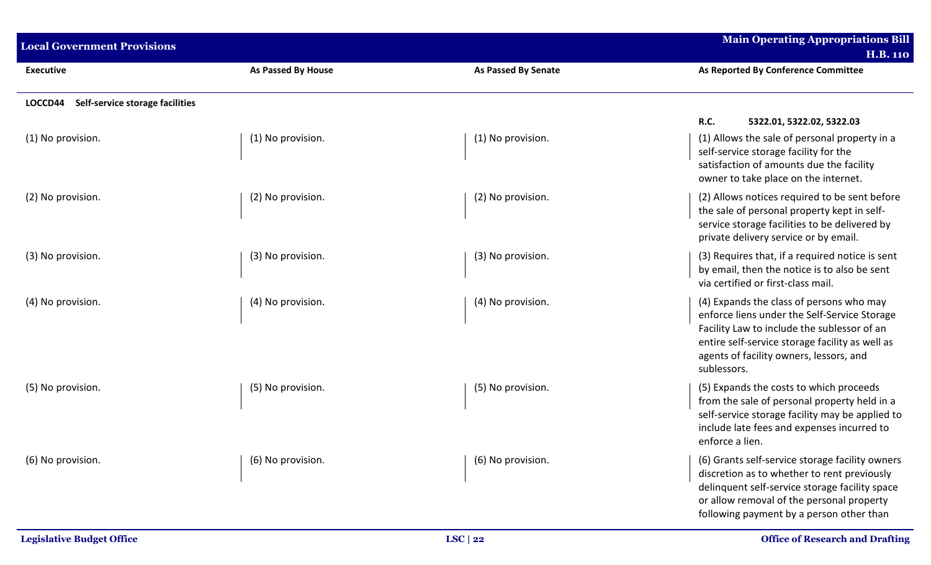| <b>Local Government Provisions</b>         |                           |                     | <b>Main Operating Appropriations Bill</b><br><b>H.B. 110</b>                                                                                                                                                                                         |
|--------------------------------------------|---------------------------|---------------------|------------------------------------------------------------------------------------------------------------------------------------------------------------------------------------------------------------------------------------------------------|
| <b>Executive</b>                           | <b>As Passed By House</b> | As Passed By Senate | As Reported By Conference Committee                                                                                                                                                                                                                  |
| Self-service storage facilities<br>LOCCD44 |                           |                     |                                                                                                                                                                                                                                                      |
|                                            |                           |                     | R.C.<br>5322.01, 5322.02, 5322.03                                                                                                                                                                                                                    |
| (1) No provision.                          | (1) No provision.         | (1) No provision.   | (1) Allows the sale of personal property in a<br>self-service storage facility for the<br>satisfaction of amounts due the facility<br>owner to take place on the internet.                                                                           |
| (2) No provision.                          | (2) No provision.         | (2) No provision.   | (2) Allows notices required to be sent before<br>the sale of personal property kept in self-<br>service storage facilities to be delivered by<br>private delivery service or by email.                                                               |
| (3) No provision.                          | (3) No provision.         | (3) No provision.   | (3) Requires that, if a required notice is sent<br>by email, then the notice is to also be sent<br>via certified or first-class mail.                                                                                                                |
| (4) No provision.                          | (4) No provision.         | (4) No provision.   | (4) Expands the class of persons who may<br>enforce liens under the Self-Service Storage<br>Facility Law to include the sublessor of an<br>entire self-service storage facility as well as<br>agents of facility owners, lessors, and<br>sublessors. |
| (5) No provision.                          | (5) No provision.         | (5) No provision.   | (5) Expands the costs to which proceeds<br>from the sale of personal property held in a<br>self-service storage facility may be applied to<br>include late fees and expenses incurred to<br>enforce a lien.                                          |
| (6) No provision.                          | (6) No provision.         | (6) No provision.   | (6) Grants self-service storage facility owners<br>discretion as to whether to rent previously<br>delinquent self-service storage facility space<br>or allow removal of the personal property<br>following payment by a person other than            |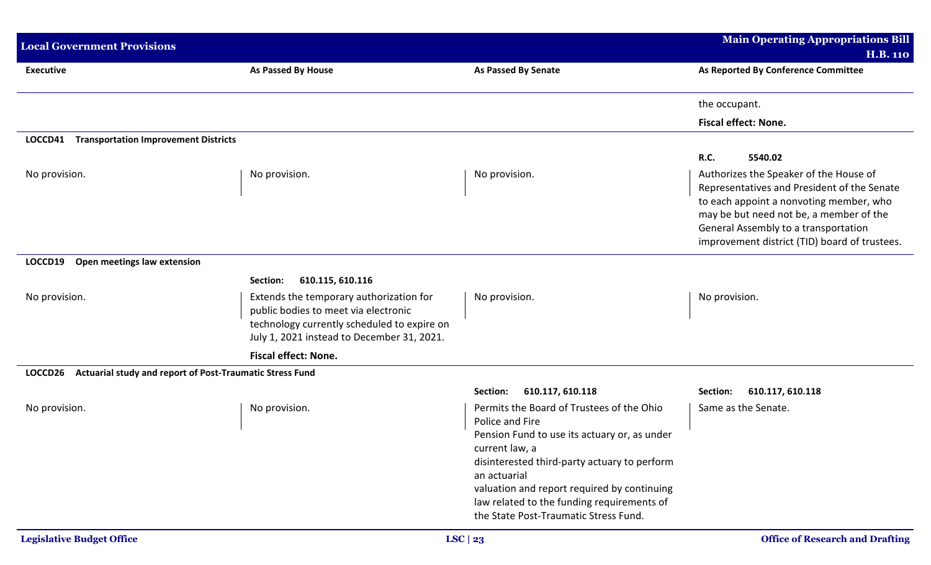| <b>Local Government Provisions</b>                                  |                                                                                                                                                                              |                                                                                                                                                                                                                                                                                                                                      | <b>Main Operating Appropriations Bill</b>                                                                                                                                                                                                                            |
|---------------------------------------------------------------------|------------------------------------------------------------------------------------------------------------------------------------------------------------------------------|--------------------------------------------------------------------------------------------------------------------------------------------------------------------------------------------------------------------------------------------------------------------------------------------------------------------------------------|----------------------------------------------------------------------------------------------------------------------------------------------------------------------------------------------------------------------------------------------------------------------|
|                                                                     |                                                                                                                                                                              |                                                                                                                                                                                                                                                                                                                                      | <b>H.B. 110</b>                                                                                                                                                                                                                                                      |
| <b>Executive</b>                                                    | As Passed By House                                                                                                                                                           | <b>As Passed By Senate</b>                                                                                                                                                                                                                                                                                                           | As Reported By Conference Committee                                                                                                                                                                                                                                  |
|                                                                     |                                                                                                                                                                              |                                                                                                                                                                                                                                                                                                                                      | the occupant.                                                                                                                                                                                                                                                        |
|                                                                     |                                                                                                                                                                              |                                                                                                                                                                                                                                                                                                                                      | <b>Fiscal effect: None.</b>                                                                                                                                                                                                                                          |
| <b>Transportation Improvement Districts</b><br>LOCCD41              |                                                                                                                                                                              |                                                                                                                                                                                                                                                                                                                                      |                                                                                                                                                                                                                                                                      |
|                                                                     |                                                                                                                                                                              |                                                                                                                                                                                                                                                                                                                                      | R.C.<br>5540.02                                                                                                                                                                                                                                                      |
| No provision.                                                       | No provision.                                                                                                                                                                | No provision.                                                                                                                                                                                                                                                                                                                        | Authorizes the Speaker of the House of<br>Representatives and President of the Senate<br>to each appoint a nonvoting member, who<br>may be but need not be, a member of the<br>General Assembly to a transportation<br>improvement district (TID) board of trustees. |
| Open meetings law extension<br>LOCCD19                              |                                                                                                                                                                              |                                                                                                                                                                                                                                                                                                                                      |                                                                                                                                                                                                                                                                      |
|                                                                     | 610.115, 610.116<br>Section:                                                                                                                                                 |                                                                                                                                                                                                                                                                                                                                      |                                                                                                                                                                                                                                                                      |
| No provision.                                                       | Extends the temporary authorization for<br>public bodies to meet via electronic<br>technology currently scheduled to expire on<br>July 1, 2021 instead to December 31, 2021. | No provision.                                                                                                                                                                                                                                                                                                                        | No provision.                                                                                                                                                                                                                                                        |
|                                                                     | <b>Fiscal effect: None.</b>                                                                                                                                                  |                                                                                                                                                                                                                                                                                                                                      |                                                                                                                                                                                                                                                                      |
| Actuarial study and report of Post-Traumatic Stress Fund<br>LOCCD26 |                                                                                                                                                                              |                                                                                                                                                                                                                                                                                                                                      |                                                                                                                                                                                                                                                                      |
|                                                                     |                                                                                                                                                                              | 610.117, 610.118<br>Section:                                                                                                                                                                                                                                                                                                         | 610.117, 610.118<br>Section:                                                                                                                                                                                                                                         |
| No provision.                                                       | No provision.                                                                                                                                                                | Permits the Board of Trustees of the Ohio<br>Police and Fire<br>Pension Fund to use its actuary or, as under<br>current law, a<br>disinterested third-party actuary to perform<br>an actuarial<br>valuation and report required by continuing<br>law related to the funding requirements of<br>the State Post-Traumatic Stress Fund. | Same as the Senate.                                                                                                                                                                                                                                                  |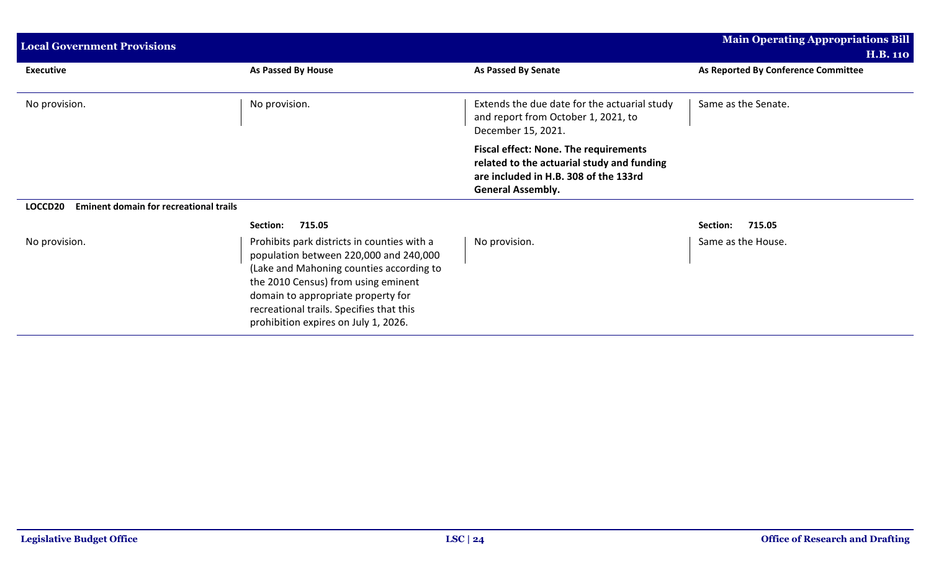| <b>Local Government Provisions</b>                       |                                                                                                                                                                                                                                                                                                    |                                                                                                                                                                 | <b>Main Operating Appropriations Bill</b>              |
|----------------------------------------------------------|----------------------------------------------------------------------------------------------------------------------------------------------------------------------------------------------------------------------------------------------------------------------------------------------------|-----------------------------------------------------------------------------------------------------------------------------------------------------------------|--------------------------------------------------------|
| <b>Executive</b>                                         | As Passed By House                                                                                                                                                                                                                                                                                 | <b>As Passed By Senate</b>                                                                                                                                      | <b>H.B. 110</b><br>As Reported By Conference Committee |
|                                                          |                                                                                                                                                                                                                                                                                                    |                                                                                                                                                                 |                                                        |
| No provision.                                            | No provision.                                                                                                                                                                                                                                                                                      | Extends the due date for the actuarial study<br>and report from October 1, 2021, to<br>December 15, 2021.                                                       | Same as the Senate.                                    |
|                                                          |                                                                                                                                                                                                                                                                                                    | <b>Fiscal effect: None. The requirements</b><br>related to the actuarial study and funding<br>are included in H.B. 308 of the 133rd<br><b>General Assembly.</b> |                                                        |
| <b>Eminent domain for recreational trails</b><br>LOCCD20 |                                                                                                                                                                                                                                                                                                    |                                                                                                                                                                 |                                                        |
|                                                          | 715.05<br><b>Section:</b>                                                                                                                                                                                                                                                                          |                                                                                                                                                                 | 715.05<br>Section:                                     |
| No provision.                                            | Prohibits park districts in counties with a<br>population between 220,000 and 240,000<br>(Lake and Mahoning counties according to<br>the 2010 Census) from using eminent<br>domain to appropriate property for<br>recreational trails. Specifies that this<br>prohibition expires on July 1, 2026. | No provision.                                                                                                                                                   | Same as the House.                                     |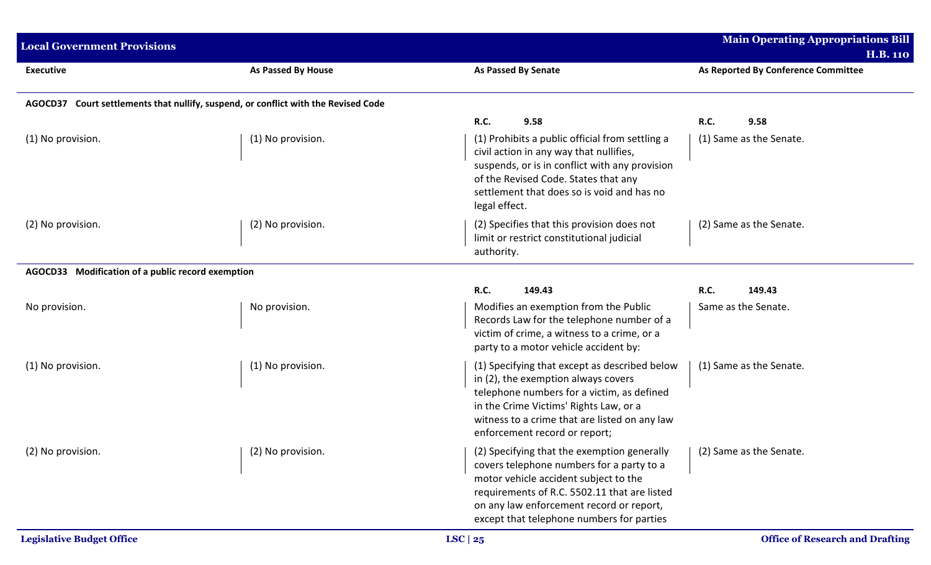| <b>Local Government Provisions</b>                |                                                                                    |                                                                                                                                                                                                                                                                            | <b>Main Operating Appropriations Bill</b><br><b>H.B. 110</b> |
|---------------------------------------------------|------------------------------------------------------------------------------------|----------------------------------------------------------------------------------------------------------------------------------------------------------------------------------------------------------------------------------------------------------------------------|--------------------------------------------------------------|
| <b>Executive</b>                                  | As Passed By House                                                                 | <b>As Passed By Senate</b>                                                                                                                                                                                                                                                 | As Reported By Conference Committee                          |
|                                                   | AGOCD37 Court settlements that nullify, suspend, or conflict with the Revised Code |                                                                                                                                                                                                                                                                            |                                                              |
|                                                   |                                                                                    | <b>R.C.</b><br>9.58                                                                                                                                                                                                                                                        | <b>R.C.</b><br>9.58                                          |
| (1) No provision.                                 | (1) No provision.                                                                  | (1) Prohibits a public official from settling a<br>civil action in any way that nullifies,<br>suspends, or is in conflict with any provision<br>of the Revised Code. States that any<br>settlement that does so is void and has no<br>legal effect.                        | (1) Same as the Senate.                                      |
| (2) No provision.                                 | (2) No provision.                                                                  | (2) Specifies that this provision does not<br>limit or restrict constitutional judicial<br>authority.                                                                                                                                                                      | (2) Same as the Senate.                                      |
| AGOCD33 Modification of a public record exemption |                                                                                    |                                                                                                                                                                                                                                                                            |                                                              |
|                                                   |                                                                                    | <b>R.C.</b><br>149.43                                                                                                                                                                                                                                                      | R.C.<br>149.43                                               |
| No provision.                                     | No provision.                                                                      | Modifies an exemption from the Public<br>Records Law for the telephone number of a<br>victim of crime, a witness to a crime, or a<br>party to a motor vehicle accident by:                                                                                                 | Same as the Senate.                                          |
| (1) No provision.                                 | (1) No provision.                                                                  | (1) Specifying that except as described below<br>in (2), the exemption always covers<br>telephone numbers for a victim, as defined<br>in the Crime Victims' Rights Law, or a<br>witness to a crime that are listed on any law<br>enforcement record or report;             | (1) Same as the Senate.                                      |
| (2) No provision.                                 | (2) No provision.                                                                  | (2) Specifying that the exemption generally<br>covers telephone numbers for a party to a<br>motor vehicle accident subject to the<br>requirements of R.C. 5502.11 that are listed<br>on any law enforcement record or report,<br>except that telephone numbers for parties | (2) Same as the Senate.                                      |
| <b>Legislative Budget Office</b>                  |                                                                                    | LSC $ 25$                                                                                                                                                                                                                                                                  | <b>Office of Research and Drafting</b>                       |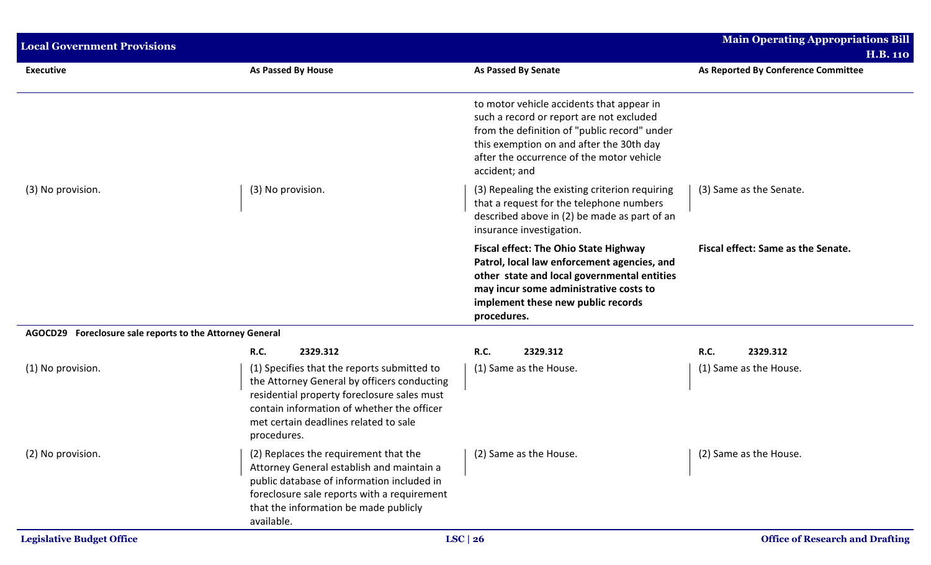| <b>Local Government Provisions</b>                       |                                                                                                                                                                                                                                                 |                                                                                                                                                                                                                                                 | <b>Main Operating Appropriations Bill</b> |
|----------------------------------------------------------|-------------------------------------------------------------------------------------------------------------------------------------------------------------------------------------------------------------------------------------------------|-------------------------------------------------------------------------------------------------------------------------------------------------------------------------------------------------------------------------------------------------|-------------------------------------------|
|                                                          |                                                                                                                                                                                                                                                 |                                                                                                                                                                                                                                                 | <b>H.B. 110</b>                           |
| <b>Executive</b>                                         | As Passed By House                                                                                                                                                                                                                              | <b>As Passed By Senate</b>                                                                                                                                                                                                                      | As Reported By Conference Committee       |
|                                                          |                                                                                                                                                                                                                                                 | to motor vehicle accidents that appear in<br>such a record or report are not excluded<br>from the definition of "public record" under<br>this exemption on and after the 30th day<br>after the occurrence of the motor vehicle<br>accident; and |                                           |
| (3) No provision.                                        | (3) No provision.                                                                                                                                                                                                                               | (3) Repealing the existing criterion requiring<br>that a request for the telephone numbers<br>described above in (2) be made as part of an<br>insurance investigation.                                                                          | (3) Same as the Senate.                   |
|                                                          |                                                                                                                                                                                                                                                 | <b>Fiscal effect: The Ohio State Highway</b><br>Patrol, local law enforcement agencies, and<br>other state and local governmental entities<br>may incur some administrative costs to<br>implement these new public records<br>procedures.       | Fiscal effect: Same as the Senate.        |
| AGOCD29 Foreclosure sale reports to the Attorney General |                                                                                                                                                                                                                                                 |                                                                                                                                                                                                                                                 |                                           |
|                                                          | R.C.<br>2329.312                                                                                                                                                                                                                                | <b>R.C.</b><br>2329.312                                                                                                                                                                                                                         | R.C.<br>2329.312                          |
| (1) No provision.                                        | (1) Specifies that the reports submitted to<br>the Attorney General by officers conducting<br>residential property foreclosure sales must<br>contain information of whether the officer<br>met certain deadlines related to sale<br>procedures. | (1) Same as the House.                                                                                                                                                                                                                          | (1) Same as the House.                    |
| (2) No provision.                                        | (2) Replaces the requirement that the<br>Attorney General establish and maintain a<br>public database of information included in<br>foreclosure sale reports with a requirement<br>that the information be made publicly<br>available.          | (2) Same as the House.                                                                                                                                                                                                                          | (2) Same as the House.                    |
| <b>Legislative Budget Office</b>                         |                                                                                                                                                                                                                                                 | LSC $ 26$                                                                                                                                                                                                                                       | <b>Office of Research and Drafting</b>    |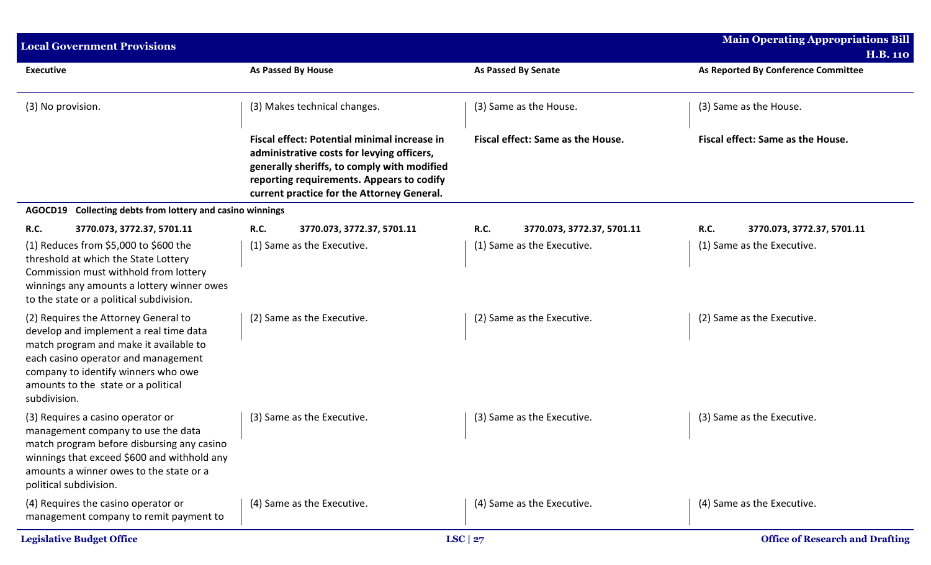| <b>Local Government Provisions</b>                                                                                                                                                                                                                            |                                                                                                                                                                                                                                      |                                    | <b>Main Operating Appropriations Bill</b><br><b>H.B. 110</b> |
|---------------------------------------------------------------------------------------------------------------------------------------------------------------------------------------------------------------------------------------------------------------|--------------------------------------------------------------------------------------------------------------------------------------------------------------------------------------------------------------------------------------|------------------------------------|--------------------------------------------------------------|
| <b>Executive</b>                                                                                                                                                                                                                                              | As Passed By House                                                                                                                                                                                                                   | <b>As Passed By Senate</b>         | As Reported By Conference Committee                          |
| (3) No provision.                                                                                                                                                                                                                                             | (3) Makes technical changes.                                                                                                                                                                                                         | (3) Same as the House.             | (3) Same as the House.                                       |
|                                                                                                                                                                                                                                                               | Fiscal effect: Potential minimal increase in<br>administrative costs for levying officers,<br>generally sheriffs, to comply with modified<br>reporting requirements. Appears to codify<br>current practice for the Attorney General. | Fiscal effect: Same as the House.  | Fiscal effect: Same as the House.                            |
| Collecting debts from lottery and casino winnings<br>AGOCD19                                                                                                                                                                                                  |                                                                                                                                                                                                                                      |                                    |                                                              |
| R.C.<br>3770.073, 3772.37, 5701.11                                                                                                                                                                                                                            | R.C.<br>3770.073, 3772.37, 5701.11                                                                                                                                                                                                   | R.C.<br>3770.073, 3772.37, 5701.11 | R.C.<br>3770.073, 3772.37, 5701.11                           |
| (1) Reduces from \$5,000 to \$600 the<br>threshold at which the State Lottery<br>Commission must withhold from lottery<br>winnings any amounts a lottery winner owes<br>to the state or a political subdivision.                                              | (1) Same as the Executive.                                                                                                                                                                                                           | (1) Same as the Executive.         | (1) Same as the Executive.                                   |
| (2) Requires the Attorney General to<br>develop and implement a real time data<br>match program and make it available to<br>each casino operator and management<br>company to identify winners who owe<br>amounts to the state or a political<br>subdivision. | (2) Same as the Executive.                                                                                                                                                                                                           | (2) Same as the Executive.         | (2) Same as the Executive.                                   |
| (3) Requires a casino operator or<br>management company to use the data<br>match program before disbursing any casino<br>winnings that exceed \$600 and withhold any<br>amounts a winner owes to the state or a<br>political subdivision.                     | (3) Same as the Executive.                                                                                                                                                                                                           | (3) Same as the Executive.         | (3) Same as the Executive.                                   |
| (4) Requires the casino operator or<br>management company to remit payment to                                                                                                                                                                                 | (4) Same as the Executive.                                                                                                                                                                                                           | (4) Same as the Executive.         | (4) Same as the Executive.                                   |
| <b>Legislative Budget Office</b>                                                                                                                                                                                                                              |                                                                                                                                                                                                                                      | LSC $ 27$                          | <b>Office of Research and Drafting</b>                       |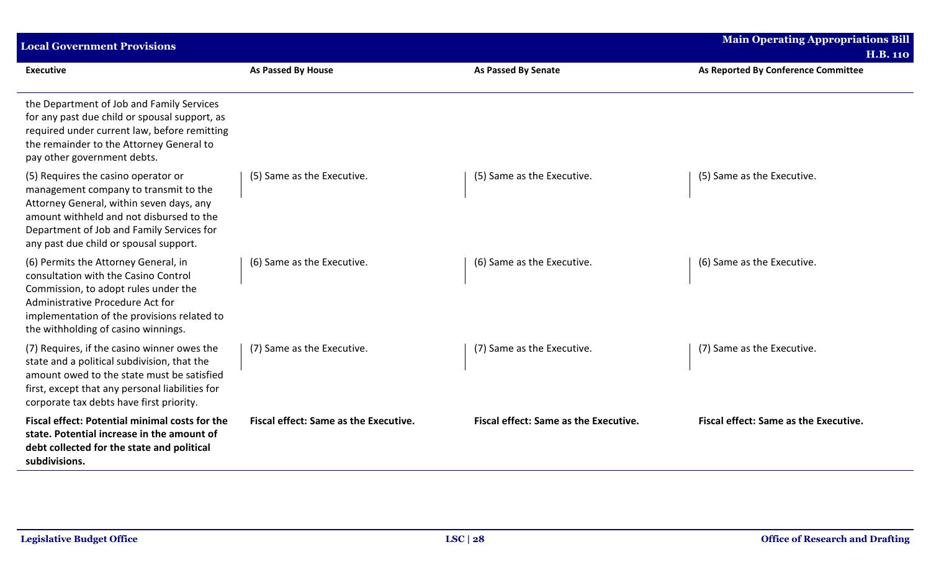| <b>Local Government Provisions</b>                                                                                                                                                                                                                          |                                              |                                       | <b>Main Operating Appropriations Bill</b><br><b>H.B. 110</b> |
|-------------------------------------------------------------------------------------------------------------------------------------------------------------------------------------------------------------------------------------------------------------|----------------------------------------------|---------------------------------------|--------------------------------------------------------------|
| <b>Executive</b>                                                                                                                                                                                                                                            | As Passed By House                           | <b>As Passed By Senate</b>            | As Reported By Conference Committee                          |
| the Department of Job and Family Services<br>for any past due child or spousal support, as<br>required under current law, before remitting<br>the remainder to the Attorney General to<br>pay other government debts.                                       |                                              |                                       |                                                              |
| (5) Requires the casino operator or<br>management company to transmit to the<br>Attorney General, within seven days, any<br>amount withheld and not disbursed to the<br>Department of Job and Family Services for<br>any past due child or spousal support. | (5) Same as the Executive.                   | (5) Same as the Executive.            | (5) Same as the Executive.                                   |
| (6) Permits the Attorney General, in<br>consultation with the Casino Control<br>Commission, to adopt rules under the<br>Administrative Procedure Act for<br>implementation of the provisions related to<br>the withholding of casino winnings.              | (6) Same as the Executive.                   | (6) Same as the Executive.            | (6) Same as the Executive.                                   |
| (7) Requires, if the casino winner owes the<br>state and a political subdivision, that the<br>amount owed to the state must be satisfied<br>first, except that any personal liabilities for<br>corporate tax debts have first priority.                     | (7) Same as the Executive.                   | (7) Same as the Executive.            | (7) Same as the Executive.                                   |
| Fiscal effect: Potential minimal costs for the<br>state. Potential increase in the amount of<br>debt collected for the state and political<br>subdivisions.                                                                                                 | <b>Fiscal effect: Same as the Executive.</b> | Fiscal effect: Same as the Executive. | <b>Fiscal effect: Same as the Executive.</b>                 |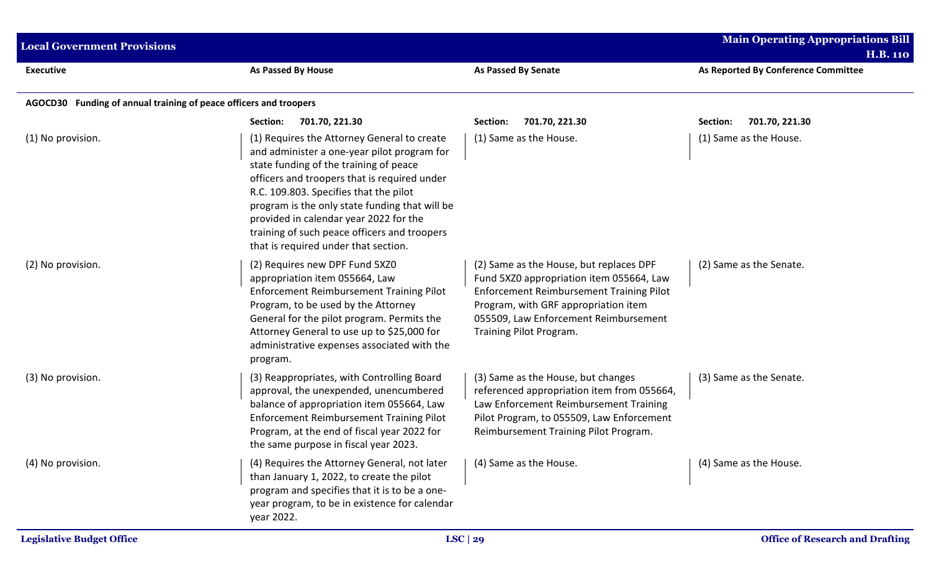| <b>Local Government Provisions</b>                                |                                                                                                                                                                                                                                                                                                                                                                                                                    |                                                                                                                                                                                                                                             | <b>Main Operating Appropriations Bill</b><br><b>H.B. 110</b> |
|-------------------------------------------------------------------|--------------------------------------------------------------------------------------------------------------------------------------------------------------------------------------------------------------------------------------------------------------------------------------------------------------------------------------------------------------------------------------------------------------------|---------------------------------------------------------------------------------------------------------------------------------------------------------------------------------------------------------------------------------------------|--------------------------------------------------------------|
| <b>Executive</b>                                                  | As Passed By House                                                                                                                                                                                                                                                                                                                                                                                                 | <b>As Passed By Senate</b>                                                                                                                                                                                                                  | As Reported By Conference Committee                          |
| AGOCD30 Funding of annual training of peace officers and troopers |                                                                                                                                                                                                                                                                                                                                                                                                                    |                                                                                                                                                                                                                                             |                                                              |
|                                                                   | 701.70, 221.30<br>Section:                                                                                                                                                                                                                                                                                                                                                                                         | 701.70, 221.30<br>Section:                                                                                                                                                                                                                  | 701.70, 221.30<br>Section:                                   |
| (1) No provision.                                                 | (1) Requires the Attorney General to create<br>and administer a one-year pilot program for<br>state funding of the training of peace<br>officers and troopers that is required under<br>R.C. 109.803. Specifies that the pilot<br>program is the only state funding that will be<br>provided in calendar year 2022 for the<br>training of such peace officers and troopers<br>that is required under that section. | (1) Same as the House.                                                                                                                                                                                                                      | (1) Same as the House.                                       |
| (2) No provision.                                                 | (2) Requires new DPF Fund 5XZ0<br>appropriation item 055664, Law<br><b>Enforcement Reimbursement Training Pilot</b><br>Program, to be used by the Attorney<br>General for the pilot program. Permits the<br>Attorney General to use up to \$25,000 for<br>administrative expenses associated with the<br>program.                                                                                                  | (2) Same as the House, but replaces DPF<br>Fund 5XZ0 appropriation item 055664, Law<br>Enforcement Reimbursement Training Pilot<br>Program, with GRF appropriation item<br>055509, Law Enforcement Reimbursement<br>Training Pilot Program. | (2) Same as the Senate.                                      |
| (3) No provision.                                                 | (3) Reappropriates, with Controlling Board<br>approval, the unexpended, unencumbered<br>balance of appropriation item 055664, Law<br><b>Enforcement Reimbursement Training Pilot</b><br>Program, at the end of fiscal year 2022 for<br>the same purpose in fiscal year 2023.                                                                                                                                       | (3) Same as the House, but changes<br>referenced appropriation item from 055664,<br>Law Enforcement Reimbursement Training<br>Pilot Program, to 055509, Law Enforcement<br>Reimbursement Training Pilot Program.                            | (3) Same as the Senate.                                      |
| (4) No provision.                                                 | (4) Requires the Attorney General, not later<br>than January 1, 2022, to create the pilot<br>program and specifies that it is to be a one-<br>year program, to be in existence for calendar<br>year 2022.                                                                                                                                                                                                          | (4) Same as the House.                                                                                                                                                                                                                      | (4) Same as the House.                                       |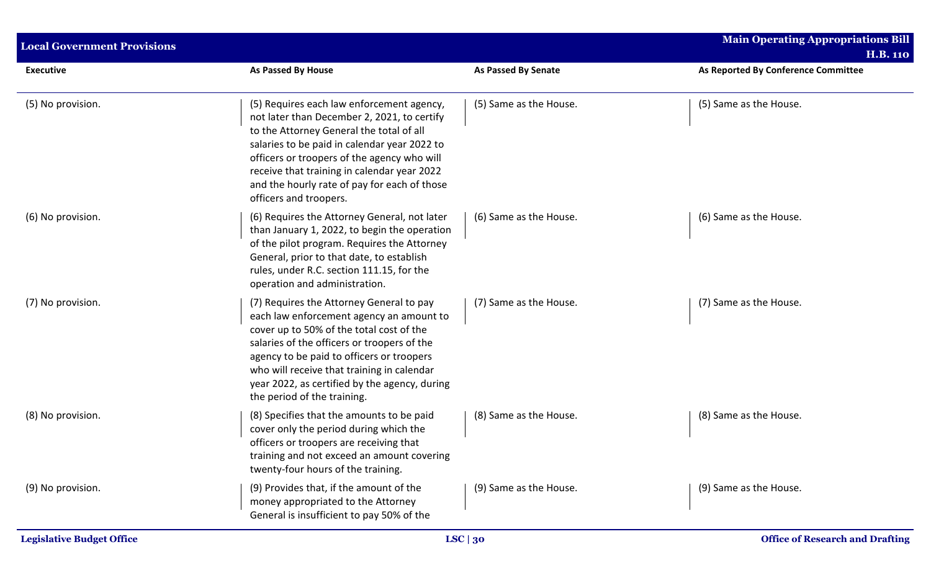| <b>Local Government Provisions</b> |                                                                                                                                                                                                                                                                                                                                                              |                            | <b>Main Operating Appropriations Bill</b><br><b>H.B. 110</b> |
|------------------------------------|--------------------------------------------------------------------------------------------------------------------------------------------------------------------------------------------------------------------------------------------------------------------------------------------------------------------------------------------------------------|----------------------------|--------------------------------------------------------------|
| <b>Executive</b>                   | <b>As Passed By House</b>                                                                                                                                                                                                                                                                                                                                    | <b>As Passed By Senate</b> | As Reported By Conference Committee                          |
| (5) No provision.                  | (5) Requires each law enforcement agency,<br>not later than December 2, 2021, to certify<br>to the Attorney General the total of all<br>salaries to be paid in calendar year 2022 to<br>officers or troopers of the agency who will<br>receive that training in calendar year 2022<br>and the hourly rate of pay for each of those<br>officers and troopers. | (5) Same as the House.     | (5) Same as the House.                                       |
| (6) No provision.                  | (6) Requires the Attorney General, not later<br>than January 1, 2022, to begin the operation<br>of the pilot program. Requires the Attorney<br>General, prior to that date, to establish<br>rules, under R.C. section 111.15, for the<br>operation and administration.                                                                                       | (6) Same as the House.     | (6) Same as the House.                                       |
| (7) No provision.                  | (7) Requires the Attorney General to pay<br>each law enforcement agency an amount to<br>cover up to 50% of the total cost of the<br>salaries of the officers or troopers of the<br>agency to be paid to officers or troopers<br>who will receive that training in calendar<br>year 2022, as certified by the agency, during<br>the period of the training.   | (7) Same as the House.     | (7) Same as the House.                                       |
| (8) No provision.                  | (8) Specifies that the amounts to be paid<br>cover only the period during which the<br>officers or troopers are receiving that<br>training and not exceed an amount covering<br>twenty-four hours of the training.                                                                                                                                           | (8) Same as the House.     | (8) Same as the House.                                       |
| (9) No provision.                  | (9) Provides that, if the amount of the<br>money appropriated to the Attorney<br>General is insufficient to pay 50% of the                                                                                                                                                                                                                                   | (9) Same as the House.     | (9) Same as the House.                                       |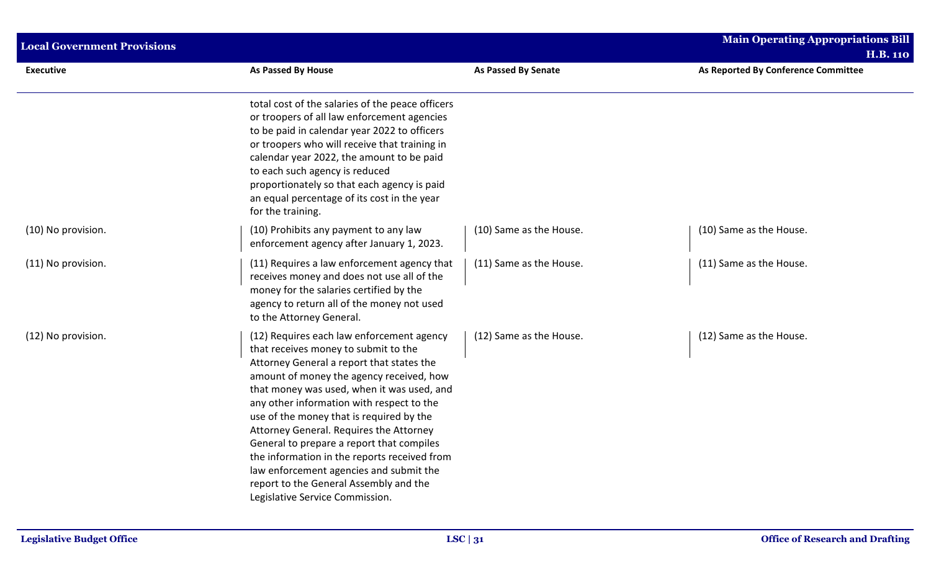| <b>Local Government Provisions</b> |                                                                                                                                                                                                                                                                                                                                                                                                                                                                                                                                                                                   | <b>Main Operating Appropriations Bill</b><br><b>H.B. 110</b> |                                     |  |
|------------------------------------|-----------------------------------------------------------------------------------------------------------------------------------------------------------------------------------------------------------------------------------------------------------------------------------------------------------------------------------------------------------------------------------------------------------------------------------------------------------------------------------------------------------------------------------------------------------------------------------|--------------------------------------------------------------|-------------------------------------|--|
| <b>Executive</b>                   | As Passed By House                                                                                                                                                                                                                                                                                                                                                                                                                                                                                                                                                                | As Passed By Senate                                          | As Reported By Conference Committee |  |
|                                    | total cost of the salaries of the peace officers<br>or troopers of all law enforcement agencies<br>to be paid in calendar year 2022 to officers<br>or troopers who will receive that training in<br>calendar year 2022, the amount to be paid<br>to each such agency is reduced<br>proportionately so that each agency is paid<br>an equal percentage of its cost in the year<br>for the training.                                                                                                                                                                                |                                                              |                                     |  |
| (10) No provision.                 | (10) Prohibits any payment to any law<br>enforcement agency after January 1, 2023.                                                                                                                                                                                                                                                                                                                                                                                                                                                                                                | (10) Same as the House.                                      | (10) Same as the House.             |  |
| (11) No provision.                 | (11) Requires a law enforcement agency that<br>receives money and does not use all of the<br>money for the salaries certified by the<br>agency to return all of the money not used<br>to the Attorney General.                                                                                                                                                                                                                                                                                                                                                                    | (11) Same as the House.                                      | (11) Same as the House.             |  |
| (12) No provision.                 | (12) Requires each law enforcement agency<br>that receives money to submit to the<br>Attorney General a report that states the<br>amount of money the agency received, how<br>that money was used, when it was used, and<br>any other information with respect to the<br>use of the money that is required by the<br>Attorney General. Requires the Attorney<br>General to prepare a report that compiles<br>the information in the reports received from<br>law enforcement agencies and submit the<br>report to the General Assembly and the<br>Legislative Service Commission. | (12) Same as the House.                                      | (12) Same as the House.             |  |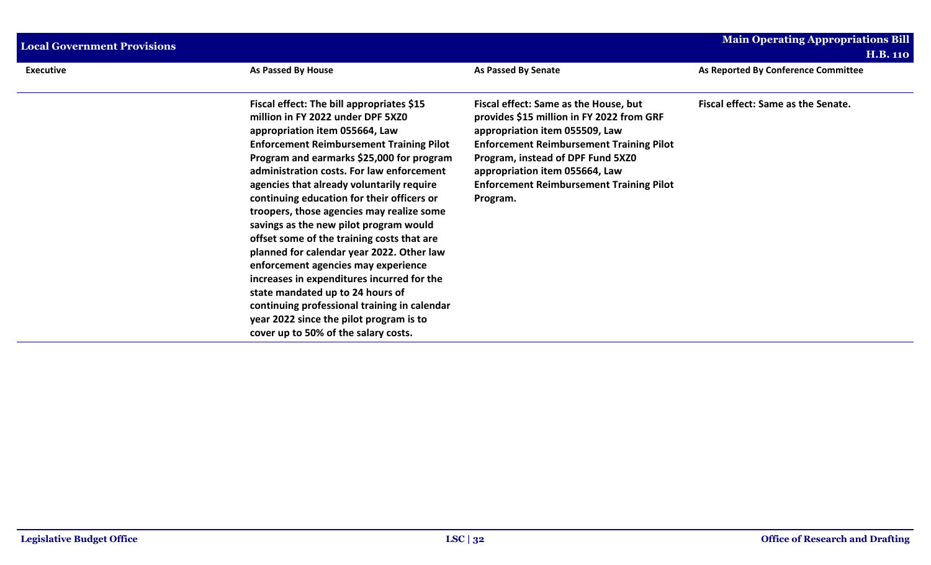| <b>Local Government Provisions</b> |                                                                                                                                                                                                                                                                                                                                                                                                                                                                                                                                                                                                                                                                                                                                                                                                        |                                                                                                                                                                                                                                                                                                               | <b>Main Operating Appropriations Bill</b><br>H.B. 110 |
|------------------------------------|--------------------------------------------------------------------------------------------------------------------------------------------------------------------------------------------------------------------------------------------------------------------------------------------------------------------------------------------------------------------------------------------------------------------------------------------------------------------------------------------------------------------------------------------------------------------------------------------------------------------------------------------------------------------------------------------------------------------------------------------------------------------------------------------------------|---------------------------------------------------------------------------------------------------------------------------------------------------------------------------------------------------------------------------------------------------------------------------------------------------------------|-------------------------------------------------------|
| <b>Executive</b>                   | As Passed By House                                                                                                                                                                                                                                                                                                                                                                                                                                                                                                                                                                                                                                                                                                                                                                                     | <b>As Passed By Senate</b>                                                                                                                                                                                                                                                                                    | As Reported By Conference Committee                   |
|                                    | Fiscal effect: The bill appropriates \$15<br>million in FY 2022 under DPF 5XZ0<br>appropriation item 055664, Law<br><b>Enforcement Reimbursement Training Pilot</b><br>Program and earmarks \$25,000 for program<br>administration costs. For law enforcement<br>agencies that already voluntarily require<br>continuing education for their officers or<br>troopers, those agencies may realize some<br>savings as the new pilot program would<br>offset some of the training costs that are<br>planned for calendar year 2022. Other law<br>enforcement agencies may experience<br>increases in expenditures incurred for the<br>state mandated up to 24 hours of<br>continuing professional training in calendar<br>year 2022 since the pilot program is to<br>cover up to 50% of the salary costs. | Fiscal effect: Same as the House, but<br>provides \$15 million in FY 2022 from GRF<br>appropriation item 055509, Law<br><b>Enforcement Reimbursement Training Pilot</b><br>Program, instead of DPF Fund 5XZ0<br>appropriation item 055664, Law<br><b>Enforcement Reimbursement Training Pilot</b><br>Program. | Fiscal effect: Same as the Senate.                    |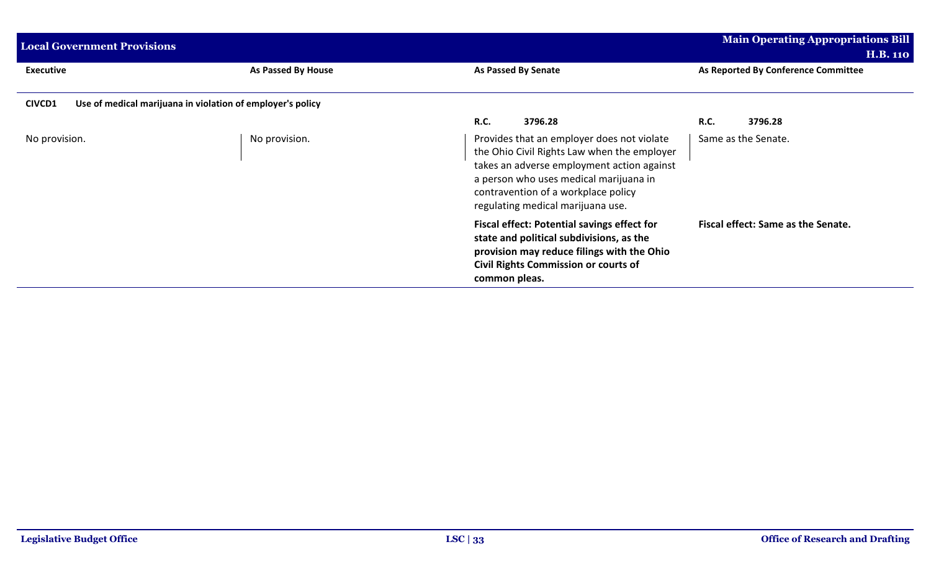| <b>Local Government Provisions</b> |                                                            |                                                                                                                                                                                                                                                               | <b>Main Operating Appropriations Bill</b><br><b>H.B. 110</b> |
|------------------------------------|------------------------------------------------------------|---------------------------------------------------------------------------------------------------------------------------------------------------------------------------------------------------------------------------------------------------------------|--------------------------------------------------------------|
| <b>Executive</b>                   | As Passed By House                                         | <b>As Passed By Senate</b>                                                                                                                                                                                                                                    | As Reported By Conference Committee                          |
| <b>CIVCD1</b>                      | Use of medical marijuana in violation of employer's policy |                                                                                                                                                                                                                                                               |                                                              |
|                                    |                                                            | <b>R.C.</b><br>3796.28                                                                                                                                                                                                                                        | <b>R.C.</b><br>3796.28                                       |
| No provision.                      | No provision.                                              | Provides that an employer does not violate<br>the Ohio Civil Rights Law when the employer<br>takes an adverse employment action against<br>a person who uses medical marijuana in<br>contravention of a workplace policy<br>regulating medical marijuana use. | Same as the Senate.                                          |
|                                    |                                                            | <b>Fiscal effect: Potential savings effect for</b><br>state and political subdivisions, as the<br>provision may reduce filings with the Ohio<br>Civil Rights Commission or courts of<br>common pleas.                                                         | Fiscal effect: Same as the Senate.                           |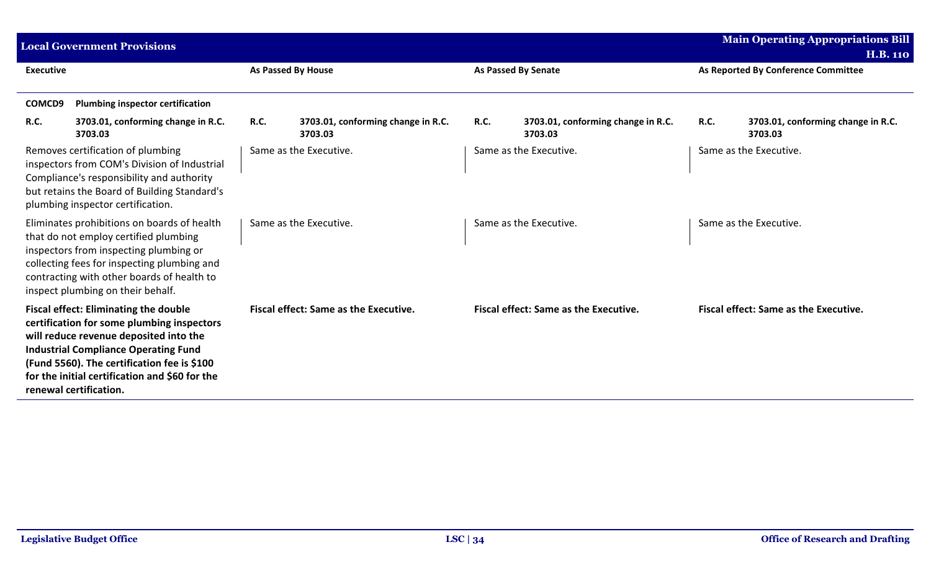|                  | <b>Local Government Provisions</b>                                                                                                                                                                                                                                                                             |             |                                               |             |                                               |             | <b>Main Operating Appropriations Bill</b><br><b>H.B. 110</b> |
|------------------|----------------------------------------------------------------------------------------------------------------------------------------------------------------------------------------------------------------------------------------------------------------------------------------------------------------|-------------|-----------------------------------------------|-------------|-----------------------------------------------|-------------|--------------------------------------------------------------|
| <b>Executive</b> |                                                                                                                                                                                                                                                                                                                |             | As Passed By House                            |             | <b>As Passed By Senate</b>                    |             | As Reported By Conference Committee                          |
| COMCD9           | <b>Plumbing inspector certification</b>                                                                                                                                                                                                                                                                        |             |                                               |             |                                               |             |                                                              |
| R.C.             | 3703.01, conforming change in R.C.<br>3703.03                                                                                                                                                                                                                                                                  | <b>R.C.</b> | 3703.01, conforming change in R.C.<br>3703.03 | <b>R.C.</b> | 3703.01, conforming change in R.C.<br>3703.03 | <b>R.C.</b> | 3703.01, conforming change in R.C.<br>3703.03                |
|                  | Removes certification of plumbing<br>inspectors from COM's Division of Industrial<br>Compliance's responsibility and authority<br>but retains the Board of Building Standard's<br>plumbing inspector certification.                                                                                            |             | Same as the Executive.                        |             | Same as the Executive.                        |             | Same as the Executive.                                       |
|                  | Eliminates prohibitions on boards of health<br>that do not employ certified plumbing<br>inspectors from inspecting plumbing or<br>collecting fees for inspecting plumbing and<br>contracting with other boards of health to<br>inspect plumbing on their behalf.                                               |             | Same as the Executive.                        |             | Same as the Executive.                        |             | Same as the Executive.                                       |
|                  | <b>Fiscal effect: Eliminating the double</b><br>certification for some plumbing inspectors<br>will reduce revenue deposited into the<br><b>Industrial Compliance Operating Fund</b><br>(Fund 5560). The certification fee is \$100<br>for the initial certification and \$60 for the<br>renewal certification. |             | <b>Fiscal effect: Same as the Executive.</b>  |             | <b>Fiscal effect: Same as the Executive.</b>  |             | <b>Fiscal effect: Same as the Executive.</b>                 |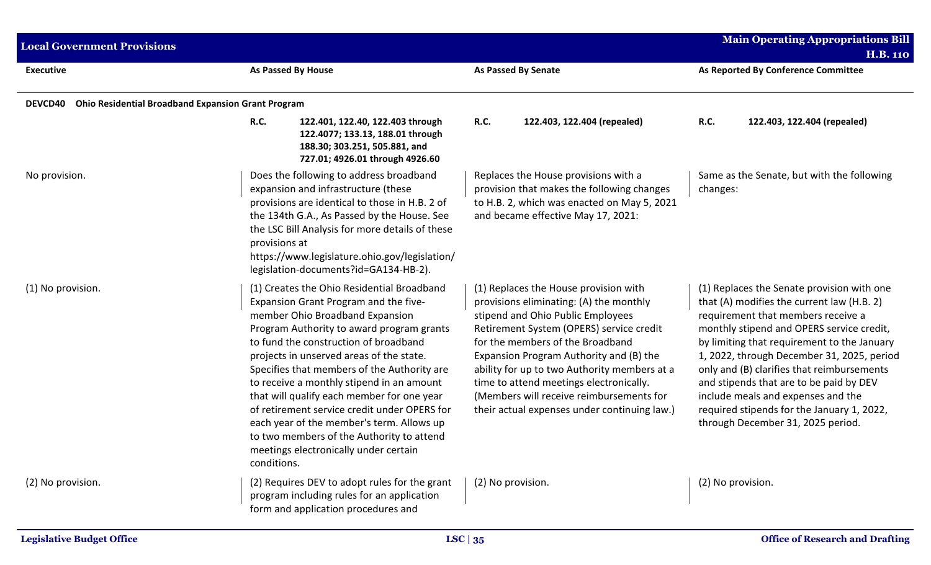| <b>Local Government Provisions</b> |                                                                                                                                                                                                                                                                                                                                                                                                                                                                                                                                                                                                      |                                                                                                                                                                                                                                                                                                                                                                                                                                         | <b>Main Operating Appropriations Bill</b><br><b>H.B. 110</b>                                                                                                                                                                                                                                                                                                                                                                                                                               |  |
|------------------------------------|------------------------------------------------------------------------------------------------------------------------------------------------------------------------------------------------------------------------------------------------------------------------------------------------------------------------------------------------------------------------------------------------------------------------------------------------------------------------------------------------------------------------------------------------------------------------------------------------------|-----------------------------------------------------------------------------------------------------------------------------------------------------------------------------------------------------------------------------------------------------------------------------------------------------------------------------------------------------------------------------------------------------------------------------------------|--------------------------------------------------------------------------------------------------------------------------------------------------------------------------------------------------------------------------------------------------------------------------------------------------------------------------------------------------------------------------------------------------------------------------------------------------------------------------------------------|--|
| <b>Executive</b>                   | As Passed By House                                                                                                                                                                                                                                                                                                                                                                                                                                                                                                                                                                                   | As Passed By Senate                                                                                                                                                                                                                                                                                                                                                                                                                     | As Reported By Conference Committee                                                                                                                                                                                                                                                                                                                                                                                                                                                        |  |
| DEVCD40                            | <b>Ohio Residential Broadband Expansion Grant Program</b>                                                                                                                                                                                                                                                                                                                                                                                                                                                                                                                                            |                                                                                                                                                                                                                                                                                                                                                                                                                                         |                                                                                                                                                                                                                                                                                                                                                                                                                                                                                            |  |
|                                    | <b>R.C.</b><br>122.401, 122.40, 122.403 through<br>122.4077; 133.13, 188.01 through<br>188.30; 303.251, 505.881, and<br>727.01; 4926.01 through 4926.60                                                                                                                                                                                                                                                                                                                                                                                                                                              | 122.403, 122.404 (repealed)<br><b>R.C.</b>                                                                                                                                                                                                                                                                                                                                                                                              | <b>R.C.</b><br>122.403, 122.404 (repealed)                                                                                                                                                                                                                                                                                                                                                                                                                                                 |  |
| No provision.                      | Does the following to address broadband<br>expansion and infrastructure (these<br>provisions are identical to those in H.B. 2 of<br>the 134th G.A., As Passed by the House. See<br>the LSC Bill Analysis for more details of these<br>provisions at<br>https://www.legislature.ohio.gov/legislation/<br>legislation-documents?id=GA134-HB-2).                                                                                                                                                                                                                                                        | Replaces the House provisions with a<br>provision that makes the following changes<br>to H.B. 2, which was enacted on May 5, 2021<br>and became effective May 17, 2021:                                                                                                                                                                                                                                                                 | Same as the Senate, but with the following<br>changes:                                                                                                                                                                                                                                                                                                                                                                                                                                     |  |
| (1) No provision.                  | (1) Creates the Ohio Residential Broadband<br>Expansion Grant Program and the five-<br>member Ohio Broadband Expansion<br>Program Authority to award program grants<br>to fund the construction of broadband<br>projects in unserved areas of the state.<br>Specifies that members of the Authority are<br>to receive a monthly stipend in an amount<br>that will qualify each member for one year<br>of retirement service credit under OPERS for<br>each year of the member's term. Allows up<br>to two members of the Authority to attend<br>meetings electronically under certain<br>conditions. | (1) Replaces the House provision with<br>provisions eliminating: (A) the monthly<br>stipend and Ohio Public Employees<br>Retirement System (OPERS) service credit<br>for the members of the Broadband<br>Expansion Program Authority and (B) the<br>ability for up to two Authority members at a<br>time to attend meetings electronically.<br>(Members will receive reimbursements for<br>their actual expenses under continuing law.) | (1) Replaces the Senate provision with one<br>that (A) modifies the current law (H.B. 2)<br>requirement that members receive a<br>monthly stipend and OPERS service credit,<br>by limiting that requirement to the January<br>1, 2022, through December 31, 2025, period<br>only and (B) clarifies that reimbursements<br>and stipends that are to be paid by DEV<br>include meals and expenses and the<br>required stipends for the January 1, 2022,<br>through December 31, 2025 period. |  |
| (2) No provision.                  | (2) Requires DEV to adopt rules for the grant<br>program including rules for an application<br>form and application procedures and                                                                                                                                                                                                                                                                                                                                                                                                                                                                   | (2) No provision.                                                                                                                                                                                                                                                                                                                                                                                                                       | (2) No provision.                                                                                                                                                                                                                                                                                                                                                                                                                                                                          |  |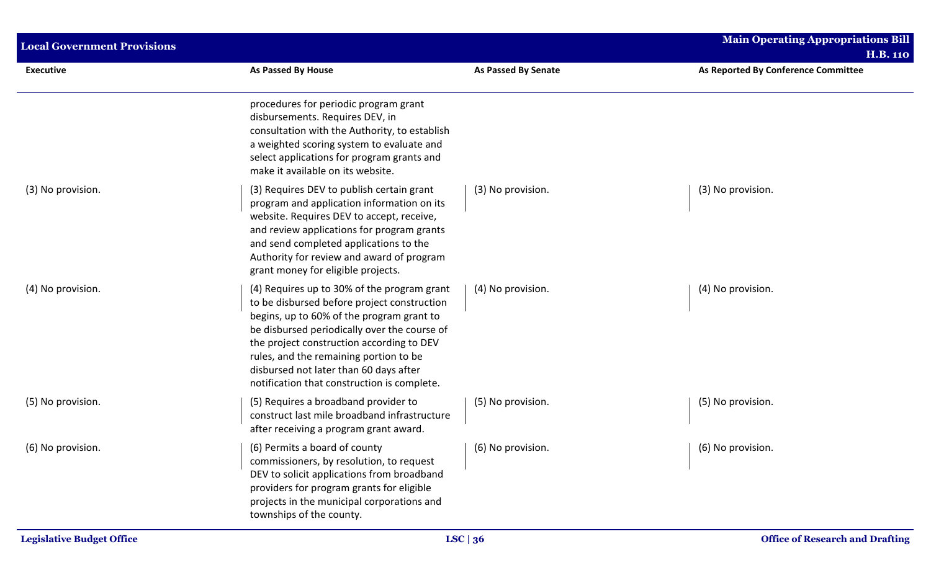| <b>Local Government Provisions</b> |                                                                                                                                                                                                                                                                                                                                                                         | <b>Main Operating Appropriations Bill</b> |                                                        |  |
|------------------------------------|-------------------------------------------------------------------------------------------------------------------------------------------------------------------------------------------------------------------------------------------------------------------------------------------------------------------------------------------------------------------------|-------------------------------------------|--------------------------------------------------------|--|
| <b>Executive</b>                   | As Passed By House                                                                                                                                                                                                                                                                                                                                                      | <b>As Passed By Senate</b>                | <b>H.B. 110</b><br>As Reported By Conference Committee |  |
|                                    | procedures for periodic program grant<br>disbursements. Requires DEV, in<br>consultation with the Authority, to establish<br>a weighted scoring system to evaluate and<br>select applications for program grants and<br>make it available on its website.                                                                                                               |                                           |                                                        |  |
| (3) No provision.                  | (3) Requires DEV to publish certain grant<br>program and application information on its<br>website. Requires DEV to accept, receive,<br>and review applications for program grants<br>and send completed applications to the<br>Authority for review and award of program<br>grant money for eligible projects.                                                         | (3) No provision.                         | (3) No provision.                                      |  |
| (4) No provision.                  | (4) Requires up to 30% of the program grant<br>to be disbursed before project construction<br>begins, up to 60% of the program grant to<br>be disbursed periodically over the course of<br>the project construction according to DEV<br>rules, and the remaining portion to be<br>disbursed not later than 60 days after<br>notification that construction is complete. | (4) No provision.                         | (4) No provision.                                      |  |
| (5) No provision.                  | (5) Requires a broadband provider to<br>construct last mile broadband infrastructure<br>after receiving a program grant award.                                                                                                                                                                                                                                          | (5) No provision.                         | (5) No provision.                                      |  |
| (6) No provision.                  | (6) Permits a board of county<br>commissioners, by resolution, to request<br>DEV to solicit applications from broadband<br>providers for program grants for eligible<br>projects in the municipal corporations and<br>townships of the county.                                                                                                                          | (6) No provision.                         | (6) No provision.                                      |  |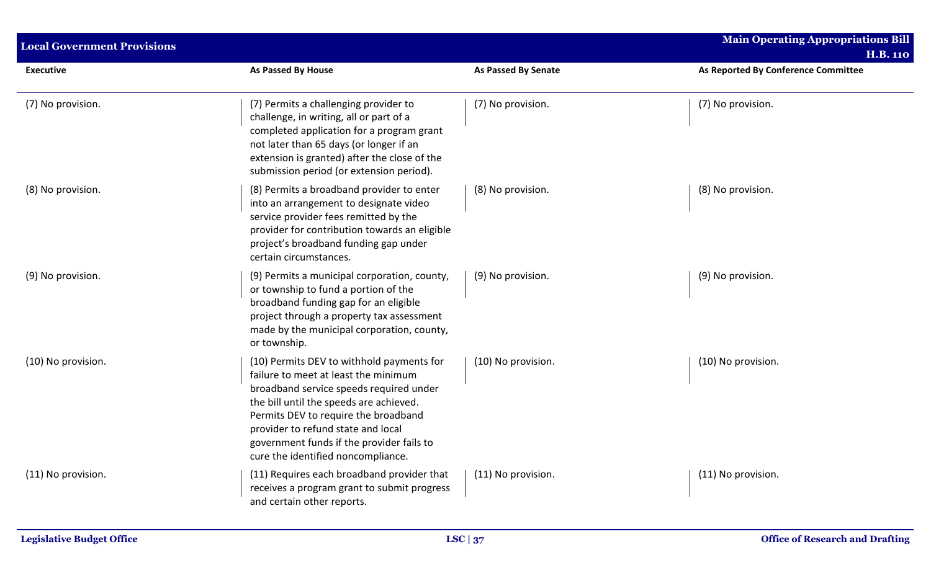| <b>Local Government Provisions</b> |                                                                                                                                                                                                                                                                                                                                          |                            | <b>Main Operating Appropriations Bill</b><br><b>H.B. 110</b> |
|------------------------------------|------------------------------------------------------------------------------------------------------------------------------------------------------------------------------------------------------------------------------------------------------------------------------------------------------------------------------------------|----------------------------|--------------------------------------------------------------|
| <b>Executive</b>                   | <b>As Passed By House</b>                                                                                                                                                                                                                                                                                                                | <b>As Passed By Senate</b> | As Reported By Conference Committee                          |
| (7) No provision.                  | (7) Permits a challenging provider to<br>challenge, in writing, all or part of a<br>completed application for a program grant<br>not later than 65 days (or longer if an<br>extension is granted) after the close of the<br>submission period (or extension period).                                                                     | (7) No provision.          | (7) No provision.                                            |
| (8) No provision.                  | (8) Permits a broadband provider to enter<br>into an arrangement to designate video<br>service provider fees remitted by the<br>provider for contribution towards an eligible<br>project's broadband funding gap under<br>certain circumstances.                                                                                         | (8) No provision.          | (8) No provision.                                            |
| (9) No provision.                  | (9) Permits a municipal corporation, county,<br>or township to fund a portion of the<br>broadband funding gap for an eligible<br>project through a property tax assessment<br>made by the municipal corporation, county,<br>or township.                                                                                                 | (9) No provision.          | (9) No provision.                                            |
| (10) No provision.                 | (10) Permits DEV to withhold payments for<br>failure to meet at least the minimum<br>broadband service speeds required under<br>the bill until the speeds are achieved.<br>Permits DEV to require the broadband<br>provider to refund state and local<br>government funds if the provider fails to<br>cure the identified noncompliance. | (10) No provision.         | (10) No provision.                                           |
| (11) No provision.                 | (11) Requires each broadband provider that<br>receives a program grant to submit progress<br>and certain other reports.                                                                                                                                                                                                                  | (11) No provision.         | (11) No provision.                                           |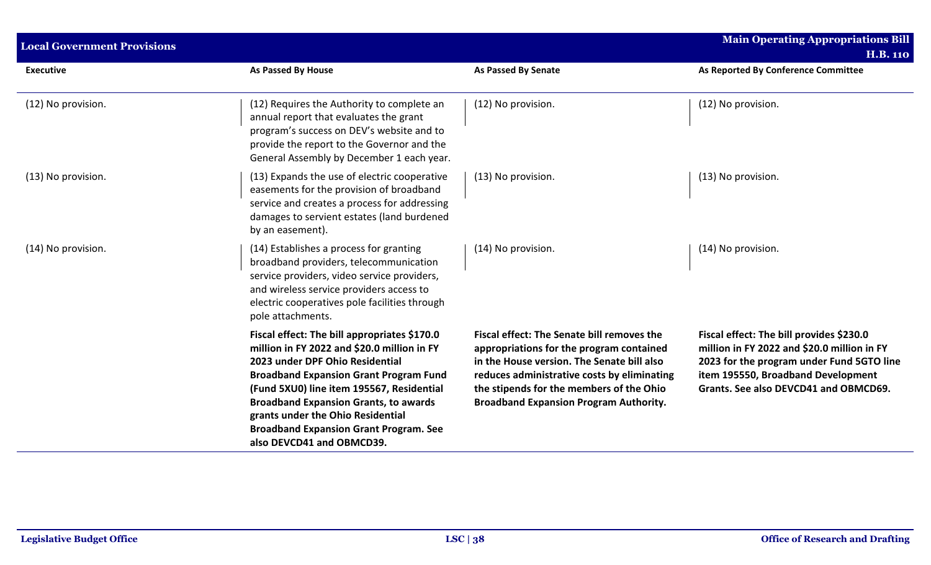| <b>Local Government Provisions</b> |                                                                                                                                                                                                                                                                                                                                                                                                 |                                                                                                                                                                                                                                                                                         | <b>Main Operating Appropriations Bill</b><br><b>H.B. 110</b>                                                                                                                                                        |  |
|------------------------------------|-------------------------------------------------------------------------------------------------------------------------------------------------------------------------------------------------------------------------------------------------------------------------------------------------------------------------------------------------------------------------------------------------|-----------------------------------------------------------------------------------------------------------------------------------------------------------------------------------------------------------------------------------------------------------------------------------------|---------------------------------------------------------------------------------------------------------------------------------------------------------------------------------------------------------------------|--|
| <b>Executive</b>                   | As Passed By House                                                                                                                                                                                                                                                                                                                                                                              | <b>As Passed By Senate</b>                                                                                                                                                                                                                                                              | As Reported By Conference Committee                                                                                                                                                                                 |  |
| (12) No provision.                 | (12) Requires the Authority to complete an<br>annual report that evaluates the grant<br>program's success on DEV's website and to<br>provide the report to the Governor and the<br>General Assembly by December 1 each year.                                                                                                                                                                    | (12) No provision.                                                                                                                                                                                                                                                                      | (12) No provision.                                                                                                                                                                                                  |  |
| (13) No provision.                 | (13) Expands the use of electric cooperative<br>easements for the provision of broadband<br>service and creates a process for addressing<br>damages to servient estates (land burdened<br>by an easement).                                                                                                                                                                                      | (13) No provision.                                                                                                                                                                                                                                                                      | (13) No provision.                                                                                                                                                                                                  |  |
| (14) No provision.                 | (14) Establishes a process for granting<br>broadband providers, telecommunication<br>service providers, video service providers,<br>and wireless service providers access to<br>electric cooperatives pole facilities through<br>pole attachments.                                                                                                                                              | (14) No provision.                                                                                                                                                                                                                                                                      | (14) No provision.                                                                                                                                                                                                  |  |
|                                    | Fiscal effect: The bill appropriates \$170.0<br>million in FY 2022 and \$20.0 million in FY<br>2023 under DPF Ohio Residential<br><b>Broadband Expansion Grant Program Fund</b><br>(Fund 5XU0) line item 195567, Residential<br><b>Broadband Expansion Grants, to awards</b><br>grants under the Ohio Residential<br><b>Broadband Expansion Grant Program. See</b><br>also DEVCD41 and OBMCD39. | <b>Fiscal effect: The Senate bill removes the</b><br>appropriations for the program contained<br>in the House version. The Senate bill also<br>reduces administrative costs by eliminating<br>the stipends for the members of the Ohio<br><b>Broadband Expansion Program Authority.</b> | Fiscal effect: The bill provides \$230.0<br>million in FY 2022 and \$20.0 million in FY<br>2023 for the program under Fund 5GTO line<br>item 195550, Broadband Development<br>Grants. See also DEVCD41 and OBMCD69. |  |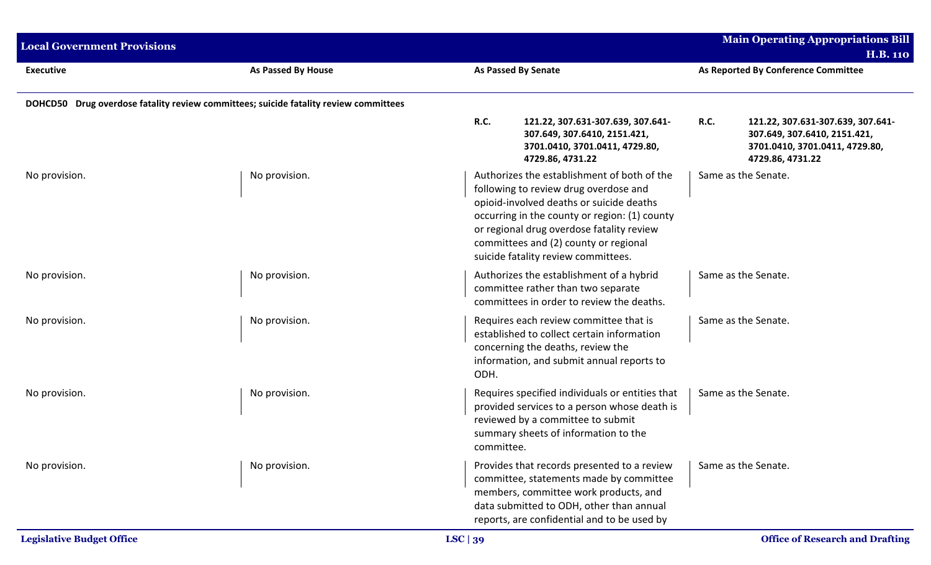| <b>Local Government Provisions</b> |                                                                                      |                            |                                                                                                                                                                                                                                                                                                                |             | <b>Main Operating Appropriations Bill</b><br><b>H.B. 110</b>                                                            |
|------------------------------------|--------------------------------------------------------------------------------------|----------------------------|----------------------------------------------------------------------------------------------------------------------------------------------------------------------------------------------------------------------------------------------------------------------------------------------------------------|-------------|-------------------------------------------------------------------------------------------------------------------------|
| <b>Executive</b>                   | As Passed By House                                                                   | <b>As Passed By Senate</b> |                                                                                                                                                                                                                                                                                                                |             | As Reported By Conference Committee                                                                                     |
|                                    | DOHCD50 Drug overdose fatality review committees; suicide fatality review committees |                            |                                                                                                                                                                                                                                                                                                                |             |                                                                                                                         |
|                                    |                                                                                      | <b>R.C.</b>                | 121.22, 307.631-307.639, 307.641-<br>307.649, 307.6410, 2151.421,<br>3701.0410, 3701.0411, 4729.80,<br>4729.86, 4731.22                                                                                                                                                                                        | <b>R.C.</b> | 121.22, 307.631-307.639, 307.641-<br>307.649, 307.6410, 2151.421,<br>3701.0410, 3701.0411, 4729.80,<br>4729.86, 4731.22 |
| No provision.                      | No provision.                                                                        |                            | Authorizes the establishment of both of the<br>following to review drug overdose and<br>opioid-involved deaths or suicide deaths<br>occurring in the county or region: (1) county<br>or regional drug overdose fatality review<br>committees and (2) county or regional<br>suicide fatality review committees. |             | Same as the Senate.                                                                                                     |
| No provision.                      | No provision.                                                                        |                            | Authorizes the establishment of a hybrid<br>committee rather than two separate<br>committees in order to review the deaths.                                                                                                                                                                                    |             | Same as the Senate.                                                                                                     |
| No provision.                      | No provision.                                                                        | ODH.                       | Requires each review committee that is<br>established to collect certain information<br>concerning the deaths, review the<br>information, and submit annual reports to                                                                                                                                         |             | Same as the Senate.                                                                                                     |
| No provision.                      | No provision.                                                                        | committee.                 | Requires specified individuals or entities that<br>provided services to a person whose death is<br>reviewed by a committee to submit<br>summary sheets of information to the                                                                                                                                   |             | Same as the Senate.                                                                                                     |
| No provision.                      | No provision.                                                                        |                            | Provides that records presented to a review<br>committee, statements made by committee<br>members, committee work products, and<br>data submitted to ODH, other than annual<br>reports, are confidential and to be used by                                                                                     |             | Same as the Senate.                                                                                                     |
| <b>Legislative Budget Office</b>   |                                                                                      | LSC $ 39$                  |                                                                                                                                                                                                                                                                                                                |             | <b>Office of Research and Drafting</b>                                                                                  |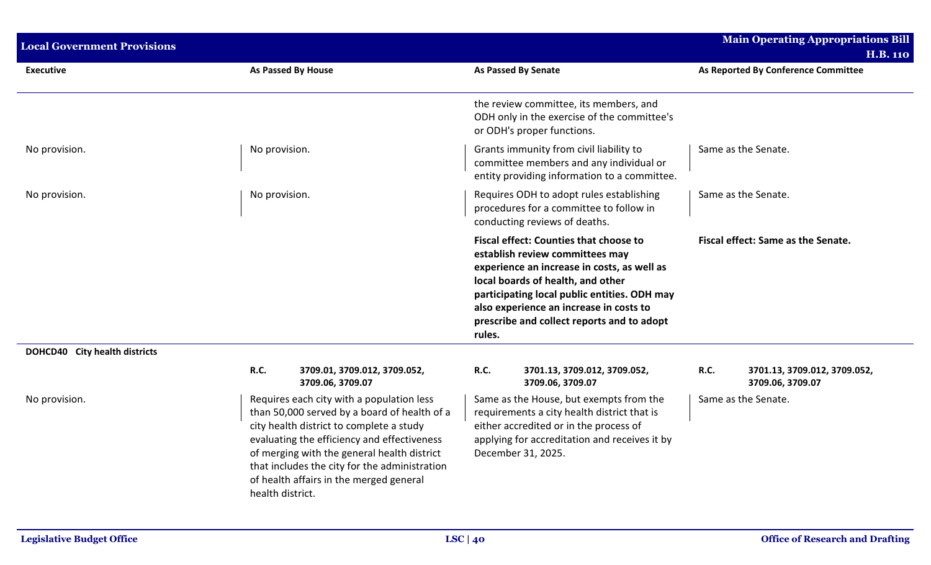| <b>Local Government Provisions</b> |                  |                                                                                                                                                                                                                                                                                                                                 |             |                                                                                                                                                                                                                                                                                                               |             | <b>Main Operating Appropriations Bill</b>        |
|------------------------------------|------------------|---------------------------------------------------------------------------------------------------------------------------------------------------------------------------------------------------------------------------------------------------------------------------------------------------------------------------------|-------------|---------------------------------------------------------------------------------------------------------------------------------------------------------------------------------------------------------------------------------------------------------------------------------------------------------------|-------------|--------------------------------------------------|
|                                    |                  |                                                                                                                                                                                                                                                                                                                                 |             |                                                                                                                                                                                                                                                                                                               |             | <b>H.B. 110</b>                                  |
| <b>Executive</b>                   |                  | As Passed By House                                                                                                                                                                                                                                                                                                              |             | As Passed By Senate                                                                                                                                                                                                                                                                                           |             | As Reported By Conference Committee              |
|                                    |                  |                                                                                                                                                                                                                                                                                                                                 |             | the review committee, its members, and<br>ODH only in the exercise of the committee's<br>or ODH's proper functions.                                                                                                                                                                                           |             |                                                  |
| No provision.                      | No provision.    |                                                                                                                                                                                                                                                                                                                                 |             | Grants immunity from civil liability to<br>committee members and any individual or<br>entity providing information to a committee.                                                                                                                                                                            |             | Same as the Senate.                              |
| No provision.                      | No provision.    |                                                                                                                                                                                                                                                                                                                                 |             | Requires ODH to adopt rules establishing<br>procedures for a committee to follow in<br>conducting reviews of deaths.                                                                                                                                                                                          |             | Same as the Senate.                              |
|                                    |                  |                                                                                                                                                                                                                                                                                                                                 | rules.      | <b>Fiscal effect: Counties that choose to</b><br>establish review committees may<br>experience an increase in costs, as well as<br>local boards of health, and other<br>participating local public entities. ODH may<br>also experience an increase in costs to<br>prescribe and collect reports and to adopt |             | Fiscal effect: Same as the Senate.               |
| DOHCD40 City health districts      |                  |                                                                                                                                                                                                                                                                                                                                 |             |                                                                                                                                                                                                                                                                                                               |             |                                                  |
|                                    | <b>R.C.</b>      | 3709.01, 3709.012, 3709.052,<br>3709.06, 3709.07                                                                                                                                                                                                                                                                                | <b>R.C.</b> | 3701.13, 3709.012, 3709.052,<br>3709.06, 3709.07                                                                                                                                                                                                                                                              | <b>R.C.</b> | 3701.13, 3709.012, 3709.052,<br>3709.06, 3709.07 |
| No provision.                      | health district. | Requires each city with a population less<br>than 50,000 served by a board of health of a<br>city health district to complete a study<br>evaluating the efficiency and effectiveness<br>of merging with the general health district<br>that includes the city for the administration<br>of health affairs in the merged general |             | Same as the House, but exempts from the<br>requirements a city health district that is<br>either accredited or in the process of<br>applying for accreditation and receives it by<br>December 31, 2025.                                                                                                       |             | Same as the Senate.                              |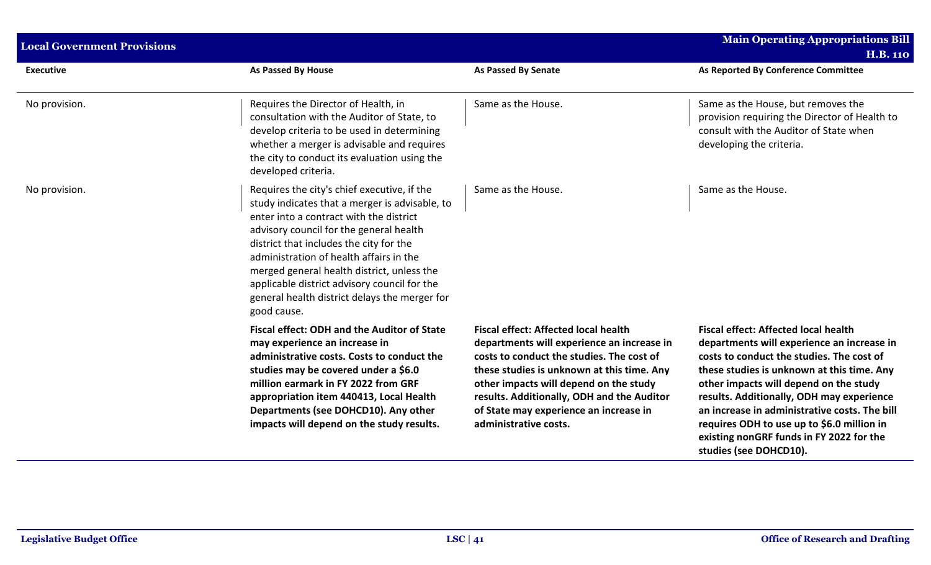| <b>Local Government Provisions</b> |                                                                                                                                                                                                                                                                                                                                                                                                                                         |                                                                                                                                                                                                                                                                                                                                                 | <b>Main Operating Appropriations Bill</b><br><b>H.B. 110</b>                                                                                                                                                                                                                                                                                                                                                                                     |
|------------------------------------|-----------------------------------------------------------------------------------------------------------------------------------------------------------------------------------------------------------------------------------------------------------------------------------------------------------------------------------------------------------------------------------------------------------------------------------------|-------------------------------------------------------------------------------------------------------------------------------------------------------------------------------------------------------------------------------------------------------------------------------------------------------------------------------------------------|--------------------------------------------------------------------------------------------------------------------------------------------------------------------------------------------------------------------------------------------------------------------------------------------------------------------------------------------------------------------------------------------------------------------------------------------------|
| <b>Executive</b>                   | <b>As Passed By House</b>                                                                                                                                                                                                                                                                                                                                                                                                               | As Passed By Senate                                                                                                                                                                                                                                                                                                                             | As Reported By Conference Committee                                                                                                                                                                                                                                                                                                                                                                                                              |
| No provision.                      | Requires the Director of Health, in<br>consultation with the Auditor of State, to<br>develop criteria to be used in determining<br>whether a merger is advisable and requires<br>the city to conduct its evaluation using the<br>developed criteria.                                                                                                                                                                                    | Same as the House.                                                                                                                                                                                                                                                                                                                              | Same as the House, but removes the<br>provision requiring the Director of Health to<br>consult with the Auditor of State when<br>developing the criteria.                                                                                                                                                                                                                                                                                        |
| No provision.                      | Requires the city's chief executive, if the<br>study indicates that a merger is advisable, to<br>enter into a contract with the district<br>advisory council for the general health<br>district that includes the city for the<br>administration of health affairs in the<br>merged general health district, unless the<br>applicable district advisory council for the<br>general health district delays the merger for<br>good cause. | Same as the House.                                                                                                                                                                                                                                                                                                                              | Same as the House.                                                                                                                                                                                                                                                                                                                                                                                                                               |
|                                    | <b>Fiscal effect: ODH and the Auditor of State</b><br>may experience an increase in<br>administrative costs. Costs to conduct the<br>studies may be covered under a \$6.0<br>million earmark in FY 2022 from GRF<br>appropriation item 440413, Local Health<br>Departments (see DOHCD10). Any other<br>impacts will depend on the study results.                                                                                        | <b>Fiscal effect: Affected local health</b><br>departments will experience an increase in<br>costs to conduct the studies. The cost of<br>these studies is unknown at this time. Any<br>other impacts will depend on the study<br>results. Additionally, ODH and the Auditor<br>of State may experience an increase in<br>administrative costs. | <b>Fiscal effect: Affected local health</b><br>departments will experience an increase in<br>costs to conduct the studies. The cost of<br>these studies is unknown at this time. Any<br>other impacts will depend on the study<br>results. Additionally, ODH may experience<br>an increase in administrative costs. The bill<br>requires ODH to use up to \$6.0 million in<br>existing nonGRF funds in FY 2022 for the<br>studies (see DOHCD10). |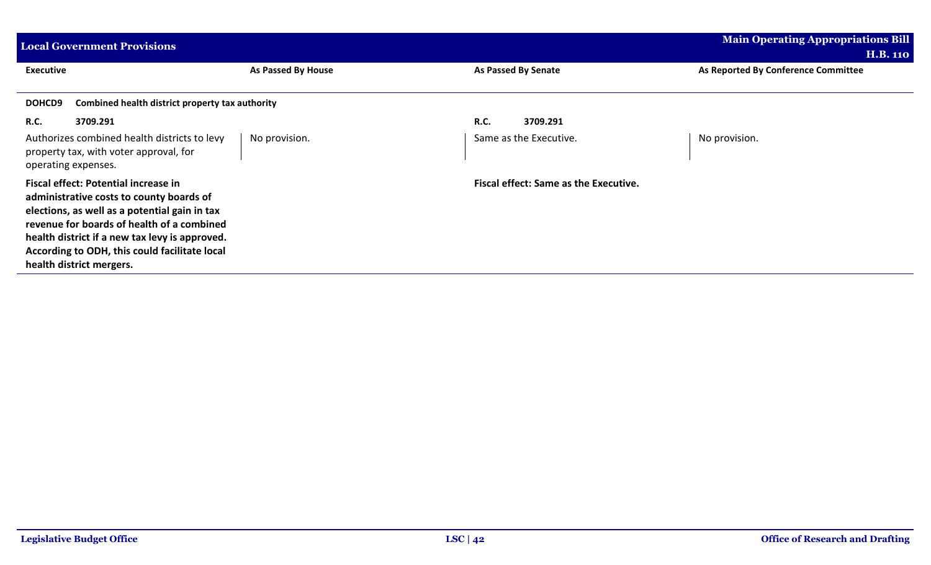| <b>Local Government Provisions</b>                                                                                                                                                                                                                                                                             |                    |                                              | <b>Main Operating Appropriations Bill</b><br><b>H.B. 110</b> |
|----------------------------------------------------------------------------------------------------------------------------------------------------------------------------------------------------------------------------------------------------------------------------------------------------------------|--------------------|----------------------------------------------|--------------------------------------------------------------|
| <b>Executive</b>                                                                                                                                                                                                                                                                                               | As Passed By House | As Passed By Senate                          | As Reported By Conference Committee                          |
| DOHCD9<br>Combined health district property tax authority                                                                                                                                                                                                                                                      |                    |                                              |                                                              |
| <b>R.C.</b><br>3709.291                                                                                                                                                                                                                                                                                        |                    | <b>R.C.</b><br>3709.291                      |                                                              |
| Authorizes combined health districts to levy<br>property tax, with voter approval, for<br>operating expenses.                                                                                                                                                                                                  | No provision.      | Same as the Executive.                       | No provision.                                                |
| Fiscal effect: Potential increase in<br>administrative costs to county boards of<br>elections, as well as a potential gain in tax<br>revenue for boards of health of a combined<br>health district if a new tax levy is approved.<br>According to ODH, this could facilitate local<br>health district mergers. |                    | <b>Fiscal effect: Same as the Executive.</b> |                                                              |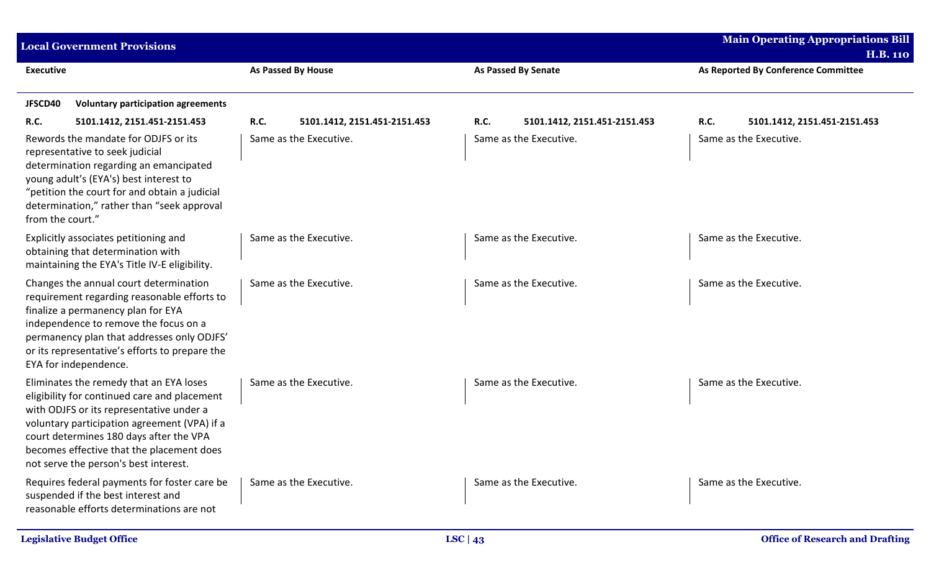| <b>Local Government Provisions</b>                                                                                                                                                                                                                                                                                   |                                             |                                      | <b>Main Operating Appropriations Bill</b><br><b>H.B. 110</b> |
|----------------------------------------------------------------------------------------------------------------------------------------------------------------------------------------------------------------------------------------------------------------------------------------------------------------------|---------------------------------------------|--------------------------------------|--------------------------------------------------------------|
| <b>Executive</b>                                                                                                                                                                                                                                                                                                     | <b>As Passed By House</b>                   | <b>As Passed By Senate</b>           | As Reported By Conference Committee                          |
| JFSCD40<br><b>Voluntary participation agreements</b>                                                                                                                                                                                                                                                                 |                                             |                                      |                                                              |
| <b>R.C.</b><br>5101.1412, 2151.451-2151.453                                                                                                                                                                                                                                                                          | <b>R.C.</b><br>5101.1412, 2151.451-2151.453 | R.C.<br>5101.1412, 2151.451-2151.453 | R.C.<br>5101.1412, 2151.451-2151.453                         |
| Rewords the mandate for ODJFS or its<br>representative to seek judicial<br>determination regarding an emancipated<br>young adult's (EYA's) best interest to<br>"petition the court for and obtain a judicial<br>determination," rather than "seek approval<br>from the court."                                       | Same as the Executive.                      | Same as the Executive.               | Same as the Executive.                                       |
| Explicitly associates petitioning and<br>obtaining that determination with<br>maintaining the EYA's Title IV-E eligibility.                                                                                                                                                                                          | Same as the Executive.                      | Same as the Executive.               | Same as the Executive.                                       |
| Changes the annual court determination<br>requirement regarding reasonable efforts to<br>finalize a permanency plan for EYA<br>independence to remove the focus on a<br>permanency plan that addresses only ODJFS'<br>or its representative's efforts to prepare the<br>EYA for independence.                        | Same as the Executive.                      | Same as the Executive.               | Same as the Executive.                                       |
| Eliminates the remedy that an EYA loses<br>eligibility for continued care and placement<br>with ODJFS or its representative under a<br>voluntary participation agreement (VPA) if a<br>court determines 180 days after the VPA<br>becomes effective that the placement does<br>not serve the person's best interest. | Same as the Executive.                      | Same as the Executive.               | Same as the Executive.                                       |
| Requires federal payments for foster care be<br>suspended if the best interest and<br>reasonable efforts determinations are not                                                                                                                                                                                      | Same as the Executive.                      | Same as the Executive.               | Same as the Executive.                                       |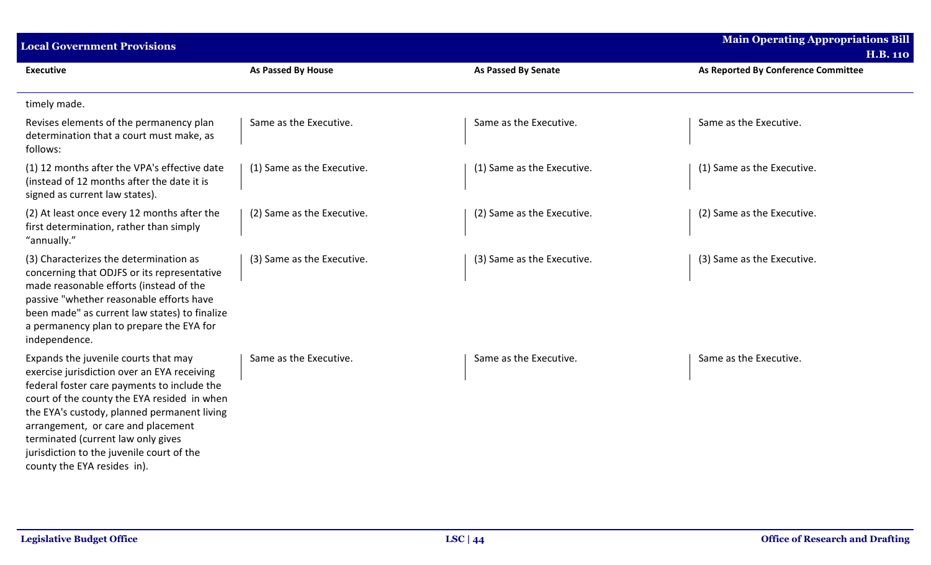| <b>Local Government Provisions</b>                                                                                                                                                                                                                                                                                                                                                       |                            |                            | <b>Main Operating Appropriations Bill</b><br><b>H.B. 110</b> |
|------------------------------------------------------------------------------------------------------------------------------------------------------------------------------------------------------------------------------------------------------------------------------------------------------------------------------------------------------------------------------------------|----------------------------|----------------------------|--------------------------------------------------------------|
| <b>Executive</b>                                                                                                                                                                                                                                                                                                                                                                         | As Passed By House         | <b>As Passed By Senate</b> | As Reported By Conference Committee                          |
| timely made.                                                                                                                                                                                                                                                                                                                                                                             |                            |                            |                                                              |
| Revises elements of the permanency plan<br>determination that a court must make, as<br>follows:                                                                                                                                                                                                                                                                                          | Same as the Executive.     | Same as the Executive.     | Same as the Executive.                                       |
| (1) 12 months after the VPA's effective date<br>(instead of 12 months after the date it is<br>signed as current law states).                                                                                                                                                                                                                                                             | (1) Same as the Executive. | (1) Same as the Executive. | (1) Same as the Executive.                                   |
| (2) At least once every 12 months after the<br>first determination, rather than simply<br>"annually."                                                                                                                                                                                                                                                                                    | (2) Same as the Executive. | (2) Same as the Executive. | (2) Same as the Executive.                                   |
| (3) Characterizes the determination as<br>concerning that ODJFS or its representative<br>made reasonable efforts (instead of the<br>passive "whether reasonable efforts have<br>been made" as current law states) to finalize<br>a permanency plan to prepare the EYA for<br>independence.                                                                                               | (3) Same as the Executive. | (3) Same as the Executive. | (3) Same as the Executive.                                   |
| Expands the juvenile courts that may<br>exercise jurisdiction over an EYA receiving<br>federal foster care payments to include the<br>court of the county the EYA resided in when<br>the EYA's custody, planned permanent living<br>arrangement, or care and placement<br>terminated (current law only gives<br>jurisdiction to the juvenile court of the<br>county the EYA resides in). | Same as the Executive.     | Same as the Executive.     | Same as the Executive.                                       |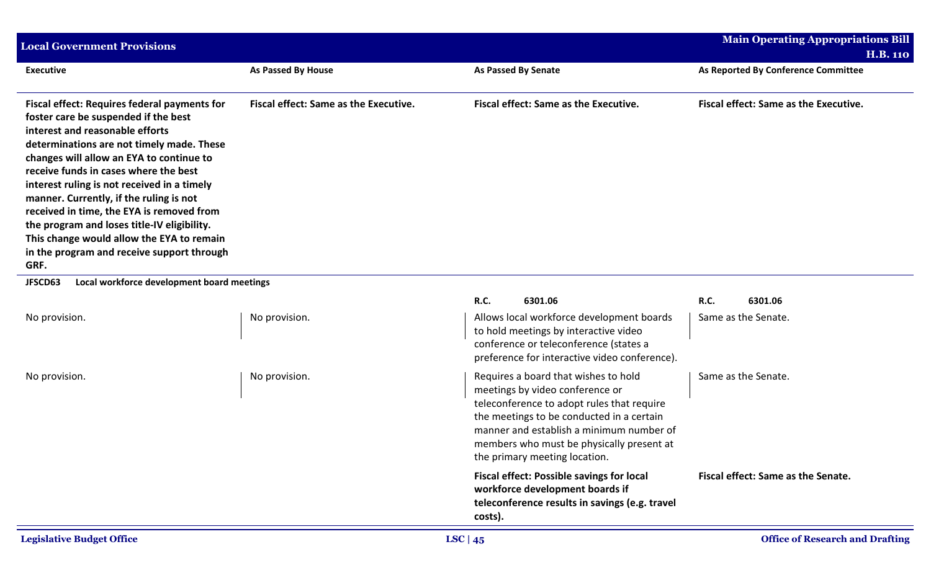| <b>Local Government Provisions</b>                                                                                                                                                                                                                                                                                                                                                                                                                                                                                                                        |                                              |                                                                                                                                                                                                                                                                                              | <b>Main Operating Appropriations Bill</b>    |
|-----------------------------------------------------------------------------------------------------------------------------------------------------------------------------------------------------------------------------------------------------------------------------------------------------------------------------------------------------------------------------------------------------------------------------------------------------------------------------------------------------------------------------------------------------------|----------------------------------------------|----------------------------------------------------------------------------------------------------------------------------------------------------------------------------------------------------------------------------------------------------------------------------------------------|----------------------------------------------|
|                                                                                                                                                                                                                                                                                                                                                                                                                                                                                                                                                           |                                              |                                                                                                                                                                                                                                                                                              | <b>H.B. 110</b>                              |
| <b>Executive</b>                                                                                                                                                                                                                                                                                                                                                                                                                                                                                                                                          | <b>As Passed By House</b>                    | <b>As Passed By Senate</b>                                                                                                                                                                                                                                                                   | As Reported By Conference Committee          |
| <b>Fiscal effect: Requires federal payments for</b><br>foster care be suspended if the best<br>interest and reasonable efforts<br>determinations are not timely made. These<br>changes will allow an EYA to continue to<br>receive funds in cases where the best<br>interest ruling is not received in a timely<br>manner. Currently, if the ruling is not<br>received in time, the EYA is removed from<br>the program and loses title-IV eligibility.<br>This change would allow the EYA to remain<br>in the program and receive support through<br>GRF. | <b>Fiscal effect: Same as the Executive.</b> | <b>Fiscal effect: Same as the Executive.</b>                                                                                                                                                                                                                                                 | <b>Fiscal effect: Same as the Executive.</b> |
| Local workforce development board meetings<br>JFSCD63                                                                                                                                                                                                                                                                                                                                                                                                                                                                                                     |                                              |                                                                                                                                                                                                                                                                                              |                                              |
|                                                                                                                                                                                                                                                                                                                                                                                                                                                                                                                                                           |                                              | <b>R.C.</b><br>6301.06                                                                                                                                                                                                                                                                       | R.C.<br>6301.06                              |
| No provision.                                                                                                                                                                                                                                                                                                                                                                                                                                                                                                                                             | No provision.                                | Allows local workforce development boards<br>to hold meetings by interactive video<br>conference or teleconference (states a<br>preference for interactive video conference).                                                                                                                | Same as the Senate.                          |
| No provision.                                                                                                                                                                                                                                                                                                                                                                                                                                                                                                                                             | No provision.                                | Requires a board that wishes to hold<br>meetings by video conference or<br>teleconference to adopt rules that require<br>the meetings to be conducted in a certain<br>manner and establish a minimum number of<br>members who must be physically present at<br>the primary meeting location. | Same as the Senate.                          |
|                                                                                                                                                                                                                                                                                                                                                                                                                                                                                                                                                           |                                              | <b>Fiscal effect: Possible savings for local</b><br>workforce development boards if<br>teleconference results in savings (e.g. travel<br>costs).                                                                                                                                             | Fiscal effect: Same as the Senate.           |
| <b>Legislative Budget Office</b>                                                                                                                                                                                                                                                                                                                                                                                                                                                                                                                          |                                              | LSC   $45$                                                                                                                                                                                                                                                                                   | <b>Office of Research and Drafting</b>       |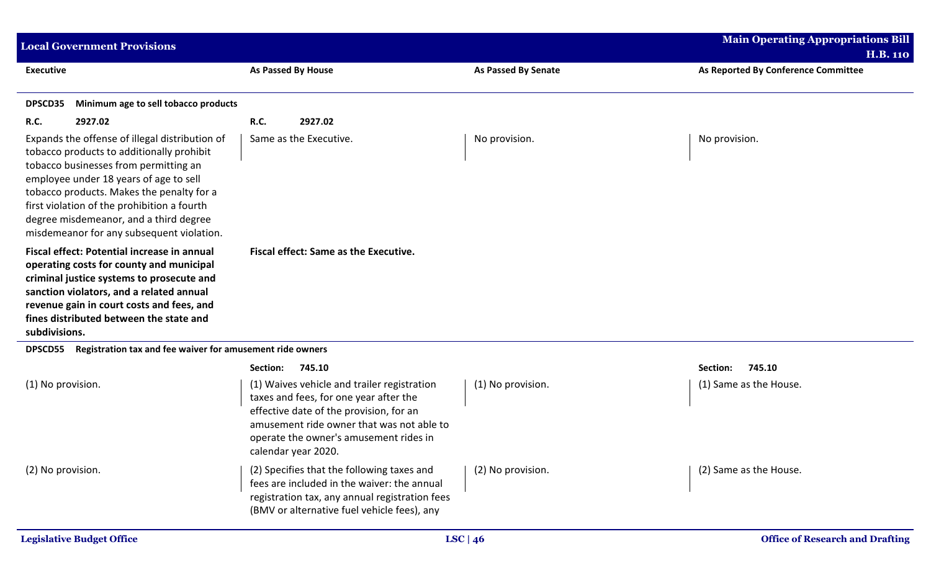| <b>Local Government Provisions</b>                                                                                                                                                                                                                                                                                                                                |                                                                                                                                                                                                                                                |                            | <b>Main Operating Appropriations Bill</b><br><b>H.B. 110</b> |
|-------------------------------------------------------------------------------------------------------------------------------------------------------------------------------------------------------------------------------------------------------------------------------------------------------------------------------------------------------------------|------------------------------------------------------------------------------------------------------------------------------------------------------------------------------------------------------------------------------------------------|----------------------------|--------------------------------------------------------------|
| <b>Executive</b>                                                                                                                                                                                                                                                                                                                                                  | <b>As Passed By House</b>                                                                                                                                                                                                                      | <b>As Passed By Senate</b> | As Reported By Conference Committee                          |
| DPSCD35<br>Minimum age to sell tobacco products                                                                                                                                                                                                                                                                                                                   |                                                                                                                                                                                                                                                |                            |                                                              |
| <b>R.C.</b><br>2927.02                                                                                                                                                                                                                                                                                                                                            | <b>R.C.</b><br>2927.02                                                                                                                                                                                                                         |                            |                                                              |
| Expands the offense of illegal distribution of<br>tobacco products to additionally prohibit<br>tobacco businesses from permitting an<br>employee under 18 years of age to sell<br>tobacco products. Makes the penalty for a<br>first violation of the prohibition a fourth<br>degree misdemeanor, and a third degree<br>misdemeanor for any subsequent violation. | Same as the Executive.                                                                                                                                                                                                                         | No provision.              | No provision.                                                |
| Fiscal effect: Potential increase in annual<br>operating costs for county and municipal<br>criminal justice systems to prosecute and<br>sanction violators, and a related annual<br>revenue gain in court costs and fees, and<br>fines distributed between the state and<br>subdivisions.                                                                         | <b>Fiscal effect: Same as the Executive.</b>                                                                                                                                                                                                   |                            |                                                              |
| Registration tax and fee waiver for amusement ride owners<br><b>DPSCD55</b>                                                                                                                                                                                                                                                                                       |                                                                                                                                                                                                                                                |                            |                                                              |
|                                                                                                                                                                                                                                                                                                                                                                   | 745.10<br>Section:                                                                                                                                                                                                                             |                            | 745.10<br>Section:                                           |
| (1) No provision.                                                                                                                                                                                                                                                                                                                                                 | (1) Waives vehicle and trailer registration<br>taxes and fees, for one year after the<br>effective date of the provision, for an<br>amusement ride owner that was not able to<br>operate the owner's amusement rides in<br>calendar year 2020. | (1) No provision.          | (1) Same as the House.                                       |
| (2) No provision.                                                                                                                                                                                                                                                                                                                                                 | (2) Specifies that the following taxes and<br>fees are included in the waiver: the annual<br>registration tax, any annual registration fees<br>(BMV or alternative fuel vehicle fees), any                                                     | (2) No provision.          | (2) Same as the House.                                       |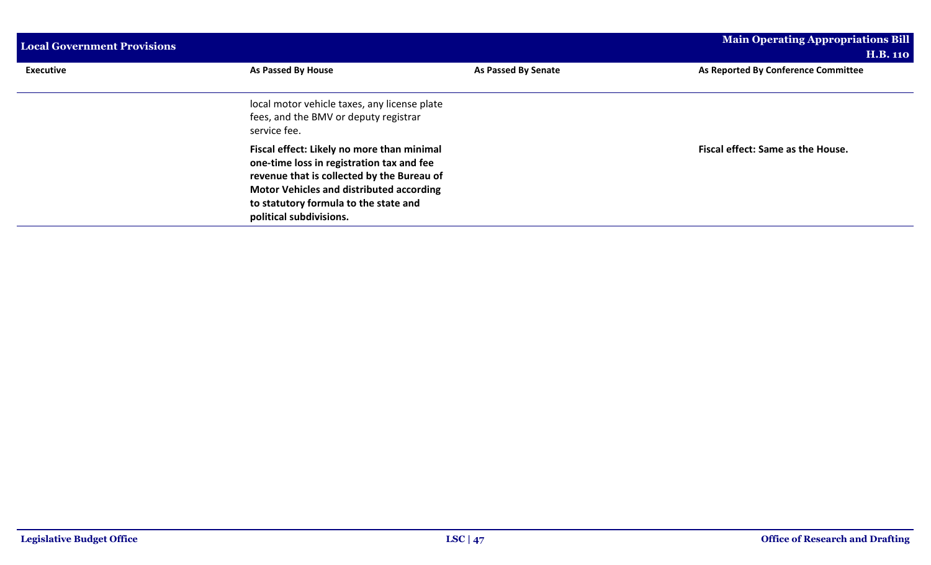| <b>Local Government Provisions</b> |                                                                                                                                                                                                                                                              |                     | <b>Main Operating Appropriations Bill</b> |
|------------------------------------|--------------------------------------------------------------------------------------------------------------------------------------------------------------------------------------------------------------------------------------------------------------|---------------------|-------------------------------------------|
|                                    |                                                                                                                                                                                                                                                              |                     | <b>H.B. 110</b>                           |
| <b>Executive</b>                   | As Passed By House                                                                                                                                                                                                                                           | As Passed By Senate | As Reported By Conference Committee       |
|                                    | local motor vehicle taxes, any license plate<br>fees, and the BMV or deputy registrar<br>service fee.                                                                                                                                                        |                     |                                           |
|                                    | Fiscal effect: Likely no more than minimal<br>one-time loss in registration tax and fee<br>revenue that is collected by the Bureau of<br><b>Motor Vehicles and distributed according</b><br>to statutory formula to the state and<br>political subdivisions. |                     | Fiscal effect: Same as the House.         |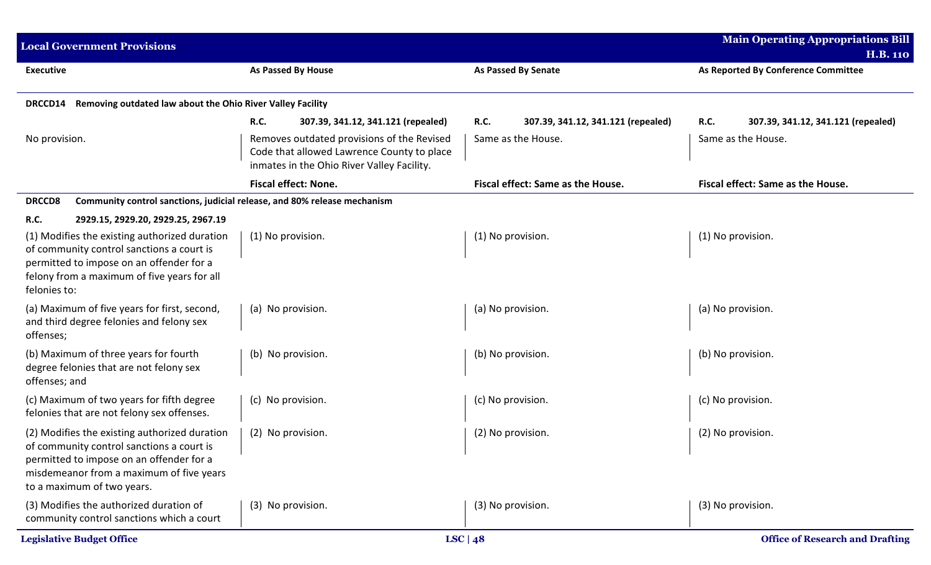| <b>Local Government Provisions</b>                                                                                                                                                                               |                                                                                                                                        |                                                   | <b>Main Operating Appropriations Bill</b>              |
|------------------------------------------------------------------------------------------------------------------------------------------------------------------------------------------------------------------|----------------------------------------------------------------------------------------------------------------------------------------|---------------------------------------------------|--------------------------------------------------------|
| <b>Executive</b>                                                                                                                                                                                                 | As Passed By House                                                                                                                     | As Passed By Senate                               | <b>H.B. 110</b><br>As Reported By Conference Committee |
| Removing outdated law about the Ohio River Valley Facility<br><b>DRCCD14</b>                                                                                                                                     |                                                                                                                                        |                                                   |                                                        |
|                                                                                                                                                                                                                  | <b>R.C.</b><br>307.39, 341.12, 341.121 (repealed)                                                                                      | 307.39, 341.12, 341.121 (repealed)<br><b>R.C.</b> | <b>R.C.</b><br>307.39, 341.12, 341.121 (repealed)      |
| No provision.                                                                                                                                                                                                    | Removes outdated provisions of the Revised<br>Code that allowed Lawrence County to place<br>inmates in the Ohio River Valley Facility. | Same as the House.                                | Same as the House.                                     |
|                                                                                                                                                                                                                  | <b>Fiscal effect: None.</b>                                                                                                            | Fiscal effect: Same as the House.                 | Fiscal effect: Same as the House.                      |
| Community control sanctions, judicial release, and 80% release mechanism<br><b>DRCCD8</b>                                                                                                                        |                                                                                                                                        |                                                   |                                                        |
| <b>R.C.</b><br>2929.15, 2929.20, 2929.25, 2967.19                                                                                                                                                                |                                                                                                                                        |                                                   |                                                        |
| (1) Modifies the existing authorized duration<br>of community control sanctions a court is<br>permitted to impose on an offender for a<br>felony from a maximum of five years for all<br>felonies to:            | (1) No provision.                                                                                                                      | (1) No provision.                                 | (1) No provision.                                      |
| (a) Maximum of five years for first, second,<br>and third degree felonies and felony sex<br>offenses;                                                                                                            | (a) No provision.                                                                                                                      | (a) No provision.                                 | (a) No provision.                                      |
| (b) Maximum of three years for fourth<br>degree felonies that are not felony sex<br>offenses; and                                                                                                                | (b) No provision.                                                                                                                      | (b) No provision.                                 | (b) No provision.                                      |
| (c) Maximum of two years for fifth degree<br>felonies that are not felony sex offenses.                                                                                                                          | (c) No provision.                                                                                                                      | (c) No provision.                                 | (c) No provision.                                      |
| (2) Modifies the existing authorized duration<br>of community control sanctions a court is<br>permitted to impose on an offender for a<br>misdemeanor from a maximum of five years<br>to a maximum of two years. | (2) No provision.                                                                                                                      | (2) No provision.                                 | (2) No provision.                                      |
| (3) Modifies the authorized duration of<br>community control sanctions which a court                                                                                                                             | (3) No provision.                                                                                                                      | (3) No provision.                                 | (3) No provision.                                      |
| <b>Legislative Budget Office</b>                                                                                                                                                                                 |                                                                                                                                        | LSC   $48$                                        | <b>Office of Research and Drafting</b>                 |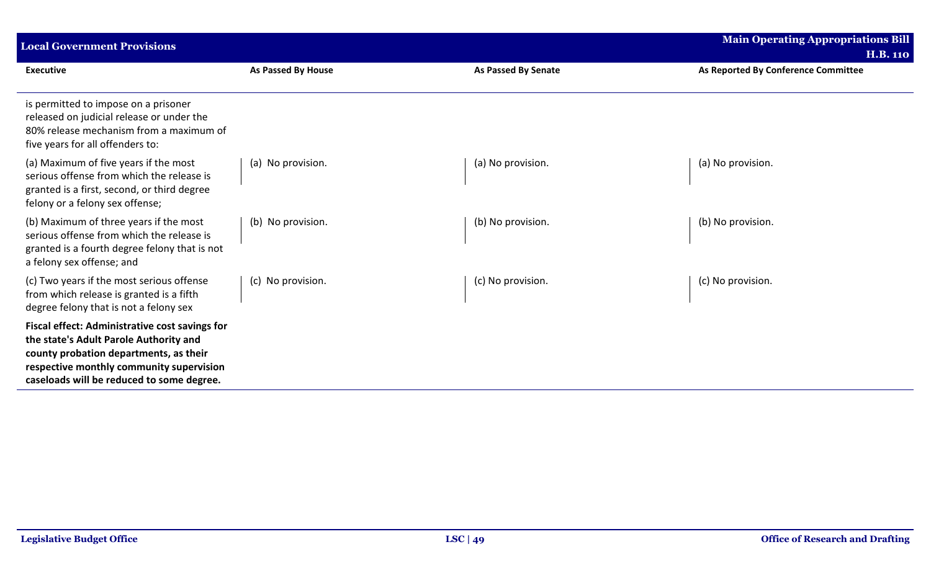| <b>Main Operating Appropriations Bill</b><br><b>Local Government Provisions</b>                                                                                                                                             |                    |                            |                                     |  |  |
|-----------------------------------------------------------------------------------------------------------------------------------------------------------------------------------------------------------------------------|--------------------|----------------------------|-------------------------------------|--|--|
|                                                                                                                                                                                                                             |                    |                            | <b>H.B. 110</b>                     |  |  |
| <b>Executive</b>                                                                                                                                                                                                            | As Passed By House | <b>As Passed By Senate</b> | As Reported By Conference Committee |  |  |
| is permitted to impose on a prisoner<br>released on judicial release or under the<br>80% release mechanism from a maximum of<br>five years for all offenders to:                                                            |                    |                            |                                     |  |  |
| (a) Maximum of five years if the most<br>serious offense from which the release is<br>granted is a first, second, or third degree<br>felony or a felony sex offense;                                                        | (a) No provision.  | (a) No provision.          | (a) No provision.                   |  |  |
| (b) Maximum of three years if the most<br>serious offense from which the release is<br>granted is a fourth degree felony that is not<br>a felony sex offense; and                                                           | (b) No provision.  | (b) No provision.          | (b) No provision.                   |  |  |
| (c) Two years if the most serious offense<br>from which release is granted is a fifth<br>degree felony that is not a felony sex                                                                                             | (c) No provision.  | (c) No provision.          | (c) No provision.                   |  |  |
| Fiscal effect: Administrative cost savings for<br>the state's Adult Parole Authority and<br>county probation departments, as their<br>respective monthly community supervision<br>caseloads will be reduced to some degree. |                    |                            |                                     |  |  |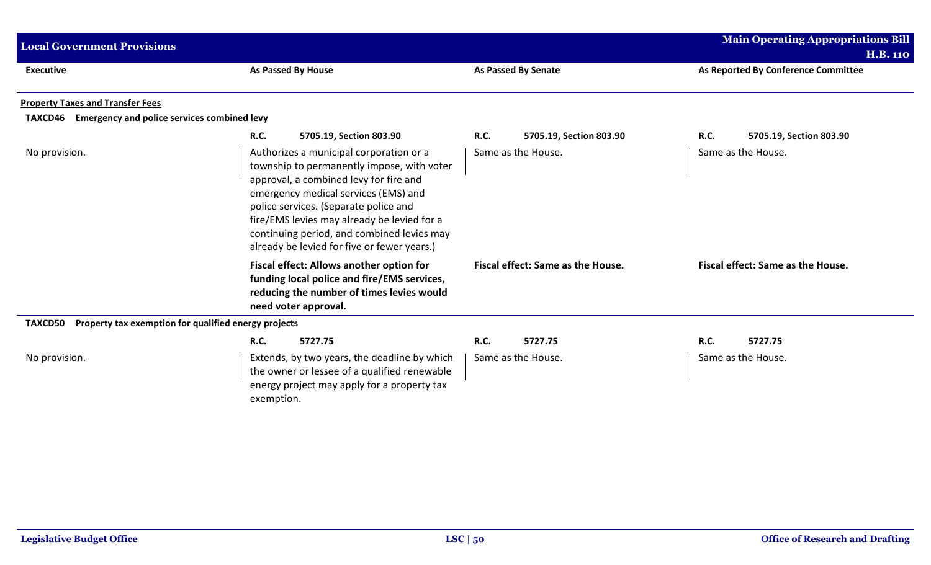| <b>Local Government Provisions</b>                              |                                                                                                                                                                                                                                                                                                                                                              |                                   | <b>Main Operating Appropriations Bill</b> |
|-----------------------------------------------------------------|--------------------------------------------------------------------------------------------------------------------------------------------------------------------------------------------------------------------------------------------------------------------------------------------------------------------------------------------------------------|-----------------------------------|-------------------------------------------|
|                                                                 |                                                                                                                                                                                                                                                                                                                                                              |                                   | <b>H.B. 110</b>                           |
| <b>Executive</b>                                                | <b>As Passed By House</b>                                                                                                                                                                                                                                                                                                                                    | <b>As Passed By Senate</b>        | As Reported By Conference Committee       |
| <b>Property Taxes and Transfer Fees</b>                         |                                                                                                                                                                                                                                                                                                                                                              |                                   |                                           |
| <b>Emergency and police services combined levy</b><br>TAXCD46   |                                                                                                                                                                                                                                                                                                                                                              |                                   |                                           |
|                                                                 | <b>R.C.</b><br>5705.19, Section 803.90                                                                                                                                                                                                                                                                                                                       | R.C.<br>5705.19, Section 803.90   | <b>R.C.</b><br>5705.19, Section 803.90    |
| No provision.                                                   | Authorizes a municipal corporation or a<br>township to permanently impose, with voter<br>approval, a combined levy for fire and<br>emergency medical services (EMS) and<br>police services. (Separate police and<br>fire/EMS levies may already be levied for a<br>continuing period, and combined levies may<br>already be levied for five or fewer years.) | Same as the House.                | Same as the House.                        |
|                                                                 | Fiscal effect: Allows another option for<br>funding local police and fire/EMS services,<br>reducing the number of times levies would<br>need voter approval.                                                                                                                                                                                                 | Fiscal effect: Same as the House. | Fiscal effect: Same as the House.         |
| TAXCD50<br>Property tax exemption for qualified energy projects |                                                                                                                                                                                                                                                                                                                                                              |                                   |                                           |
|                                                                 | 5727.75<br><b>R.C.</b>                                                                                                                                                                                                                                                                                                                                       | 5727.75<br>R.C.                   | <b>R.C.</b><br>5727.75                    |
| No provision.                                                   | Extends, by two years, the deadline by which<br>the owner or lessee of a qualified renewable<br>energy project may apply for a property tax<br>exemption.                                                                                                                                                                                                    | Same as the House.                | Same as the House.                        |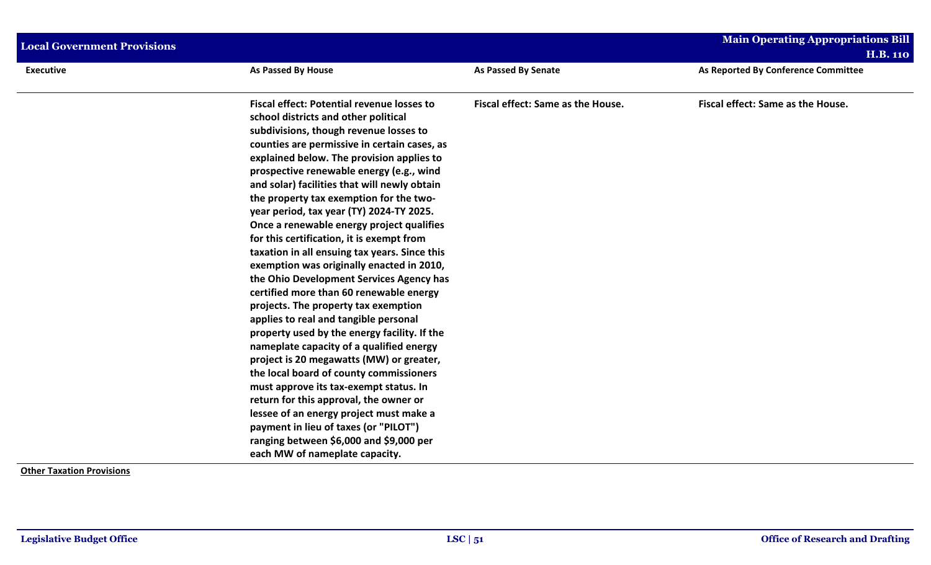| <b>Local Government Provisions</b> |                                                                                                                                                                                                                                                                                                                                                                                                                                                                                                                                                                                                                                                                                                                                                                                                                                                                                                                                                                                                                                                                                                                                                                                                                             |                                   | <b>Main Operating Appropriations Bill</b> |
|------------------------------------|-----------------------------------------------------------------------------------------------------------------------------------------------------------------------------------------------------------------------------------------------------------------------------------------------------------------------------------------------------------------------------------------------------------------------------------------------------------------------------------------------------------------------------------------------------------------------------------------------------------------------------------------------------------------------------------------------------------------------------------------------------------------------------------------------------------------------------------------------------------------------------------------------------------------------------------------------------------------------------------------------------------------------------------------------------------------------------------------------------------------------------------------------------------------------------------------------------------------------------|-----------------------------------|-------------------------------------------|
|                                    |                                                                                                                                                                                                                                                                                                                                                                                                                                                                                                                                                                                                                                                                                                                                                                                                                                                                                                                                                                                                                                                                                                                                                                                                                             |                                   | <b>H.B. 110</b>                           |
| <b>Executive</b>                   | <b>As Passed By House</b>                                                                                                                                                                                                                                                                                                                                                                                                                                                                                                                                                                                                                                                                                                                                                                                                                                                                                                                                                                                                                                                                                                                                                                                                   | <b>As Passed By Senate</b>        | As Reported By Conference Committee       |
|                                    | <b>Fiscal effect: Potential revenue losses to</b><br>school districts and other political<br>subdivisions, though revenue losses to<br>counties are permissive in certain cases, as<br>explained below. The provision applies to<br>prospective renewable energy (e.g., wind<br>and solar) facilities that will newly obtain<br>the property tax exemption for the two-<br>year period, tax year (TY) 2024-TY 2025.<br>Once a renewable energy project qualifies<br>for this certification, it is exempt from<br>taxation in all ensuing tax years. Since this<br>exemption was originally enacted in 2010,<br>the Ohio Development Services Agency has<br>certified more than 60 renewable energy<br>projects. The property tax exemption<br>applies to real and tangible personal<br>property used by the energy facility. If the<br>nameplate capacity of a qualified energy<br>project is 20 megawatts (MW) or greater,<br>the local board of county commissioners<br>must approve its tax-exempt status. In<br>return for this approval, the owner or<br>lessee of an energy project must make a<br>payment in lieu of taxes (or "PILOT")<br>ranging between \$6,000 and \$9,000 per<br>each MW of nameplate capacity. | Fiscal effect: Same as the House. | Fiscal effect: Same as the House.         |

**Other Taxation Provisions**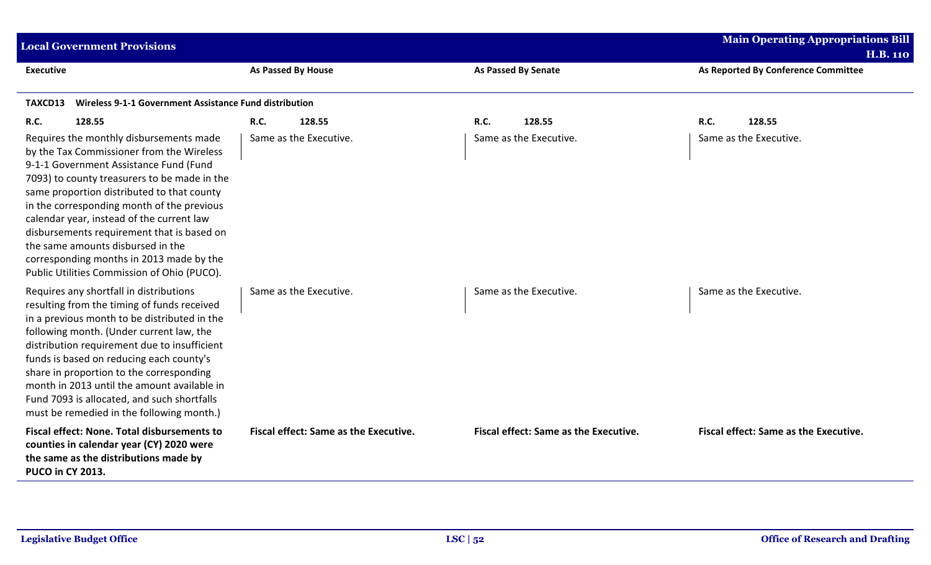| <b>Local Government Provisions</b>                                                                                                                                                                                                                                                                                                                                                                                                                                                                    |                                       |                                       | <b>Main Operating Appropriations Bill</b> |
|-------------------------------------------------------------------------------------------------------------------------------------------------------------------------------------------------------------------------------------------------------------------------------------------------------------------------------------------------------------------------------------------------------------------------------------------------------------------------------------------------------|---------------------------------------|---------------------------------------|-------------------------------------------|
|                                                                                                                                                                                                                                                                                                                                                                                                                                                                                                       |                                       |                                       | <b>H.B. 110</b>                           |
| <b>Executive</b>                                                                                                                                                                                                                                                                                                                                                                                                                                                                                      | As Passed By House                    | <b>As Passed By Senate</b>            | As Reported By Conference Committee       |
| <b>Wireless 9-1-1 Government Assistance Fund distribution</b><br>TAXCD13                                                                                                                                                                                                                                                                                                                                                                                                                              |                                       |                                       |                                           |
| <b>R.C.</b><br>128.55                                                                                                                                                                                                                                                                                                                                                                                                                                                                                 | <b>R.C.</b><br>128.55                 | R.C.<br>128.55                        | R.C.<br>128.55                            |
| Requires the monthly disbursements made<br>by the Tax Commissioner from the Wireless<br>9-1-1 Government Assistance Fund (Fund<br>7093) to county treasurers to be made in the<br>same proportion distributed to that county<br>in the corresponding month of the previous<br>calendar year, instead of the current law<br>disbursements requirement that is based on<br>the same amounts disbursed in the<br>corresponding months in 2013 made by the<br>Public Utilities Commission of Ohio (PUCO). | Same as the Executive.                | Same as the Executive.                | Same as the Executive.                    |
| Requires any shortfall in distributions<br>resulting from the timing of funds received<br>in a previous month to be distributed in the<br>following month. (Under current law, the<br>distribution requirement due to insufficient<br>funds is based on reducing each county's<br>share in proportion to the corresponding<br>month in 2013 until the amount available in<br>Fund 7093 is allocated, and such shortfalls<br>must be remedied in the following month.)                                 | Same as the Executive.                | Same as the Executive.                | Same as the Executive.                    |
| <b>Fiscal effect: None. Total disbursements to</b><br>counties in calendar year (CY) 2020 were<br>the same as the distributions made by<br><b>PUCO in CY 2013.</b>                                                                                                                                                                                                                                                                                                                                    | Fiscal effect: Same as the Executive. | Fiscal effect: Same as the Executive. | Fiscal effect: Same as the Executive.     |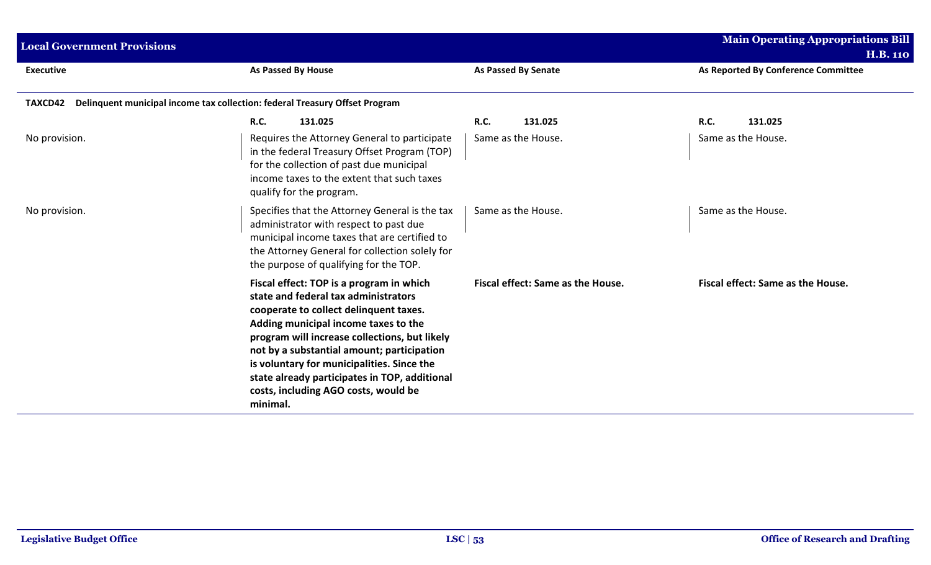| <b>Local Government Provisions</b>                                                            |                                                                                                                                                                                                                                                                                                                                                                                                                      |                                   | <b>Main Operating Appropriations Bill</b><br><b>H.B. 110</b> |  |
|-----------------------------------------------------------------------------------------------|----------------------------------------------------------------------------------------------------------------------------------------------------------------------------------------------------------------------------------------------------------------------------------------------------------------------------------------------------------------------------------------------------------------------|-----------------------------------|--------------------------------------------------------------|--|
| <b>Executive</b>                                                                              | <b>As Passed By House</b>                                                                                                                                                                                                                                                                                                                                                                                            | <b>As Passed By Senate</b>        | As Reported By Conference Committee                          |  |
| Delinquent municipal income tax collection: federal Treasury Offset Program<br><b>TAXCD42</b> |                                                                                                                                                                                                                                                                                                                                                                                                                      |                                   |                                                              |  |
|                                                                                               | <b>R.C.</b><br>131.025                                                                                                                                                                                                                                                                                                                                                                                               | <b>R.C.</b><br>131.025            | <b>R.C.</b><br>131.025                                       |  |
| No provision.                                                                                 | Requires the Attorney General to participate<br>in the federal Treasury Offset Program (TOP)<br>for the collection of past due municipal<br>income taxes to the extent that such taxes<br>qualify for the program.                                                                                                                                                                                                   | Same as the House.                | Same as the House.                                           |  |
| No provision.                                                                                 | Specifies that the Attorney General is the tax<br>administrator with respect to past due<br>municipal income taxes that are certified to<br>the Attorney General for collection solely for<br>the purpose of qualifying for the TOP.                                                                                                                                                                                 | Same as the House.                | Same as the House.                                           |  |
|                                                                                               | Fiscal effect: TOP is a program in which<br>state and federal tax administrators<br>cooperate to collect delinquent taxes.<br>Adding municipal income taxes to the<br>program will increase collections, but likely<br>not by a substantial amount; participation<br>is voluntary for municipalities. Since the<br>state already participates in TOP, additional<br>costs, including AGO costs, would be<br>minimal. | Fiscal effect: Same as the House. | Fiscal effect: Same as the House.                            |  |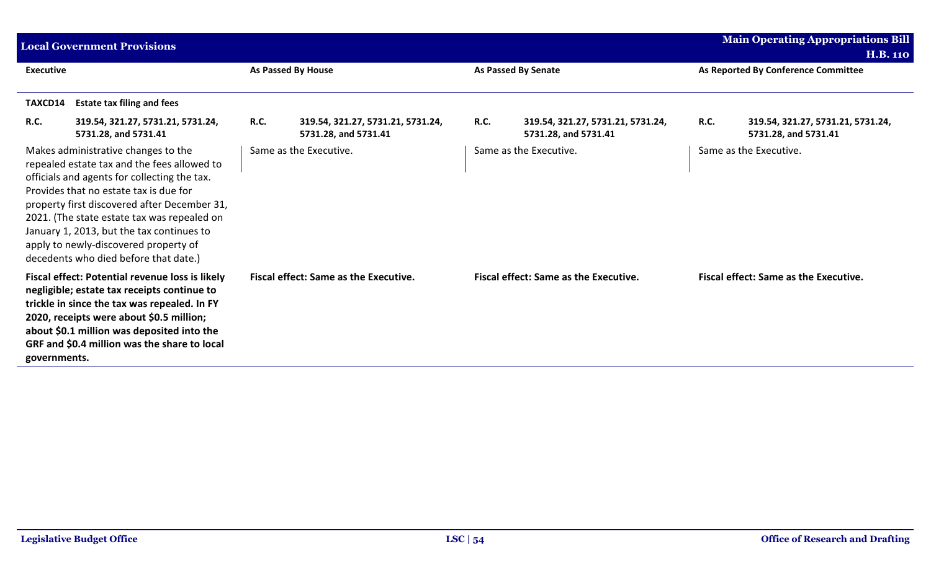|                  | <b>Local Government Provisions</b>                                                                                                                                                                                                                                                                                                                                                                         |                    |                                                           |                            |                                                           |                                     | <b>Main Operating Appropriations Bill</b><br><b>H.B. 110</b> |
|------------------|------------------------------------------------------------------------------------------------------------------------------------------------------------------------------------------------------------------------------------------------------------------------------------------------------------------------------------------------------------------------------------------------------------|--------------------|-----------------------------------------------------------|----------------------------|-----------------------------------------------------------|-------------------------------------|--------------------------------------------------------------|
| <b>Executive</b> |                                                                                                                                                                                                                                                                                                                                                                                                            | As Passed By House |                                                           | <b>As Passed By Senate</b> |                                                           | As Reported By Conference Committee |                                                              |
| TAXCD14          | <b>Estate tax filing and fees</b>                                                                                                                                                                                                                                                                                                                                                                          |                    |                                                           |                            |                                                           |                                     |                                                              |
| <b>R.C.</b>      | 319.54, 321.27, 5731.21, 5731.24,<br>5731.28, and 5731.41                                                                                                                                                                                                                                                                                                                                                  | <b>R.C.</b>        | 319.54, 321.27, 5731.21, 5731.24,<br>5731.28, and 5731.41 | <b>R.C.</b>                | 319.54, 321.27, 5731.21, 5731.24,<br>5731.28, and 5731.41 | R.C.                                | 319.54, 321.27, 5731.21, 5731.24,<br>5731.28, and 5731.41    |
|                  | Makes administrative changes to the<br>repealed estate tax and the fees allowed to<br>officials and agents for collecting the tax.<br>Provides that no estate tax is due for<br>property first discovered after December 31,<br>2021. (The state estate tax was repealed on<br>January 1, 2013, but the tax continues to<br>apply to newly-discovered property of<br>decedents who died before that date.) |                    | Same as the Executive.                                    |                            | Same as the Executive.                                    |                                     | Same as the Executive.                                       |
| governments.     | Fiscal effect: Potential revenue loss is likely<br>negligible; estate tax receipts continue to<br>trickle in since the tax was repealed. In FY<br>2020, receipts were about \$0.5 million;<br>about \$0.1 million was deposited into the<br>GRF and \$0.4 million was the share to local                                                                                                                   |                    | <b>Fiscal effect: Same as the Executive.</b>              |                            | <b>Fiscal effect: Same as the Executive.</b>              |                                     | <b>Fiscal effect: Same as the Executive.</b>                 |